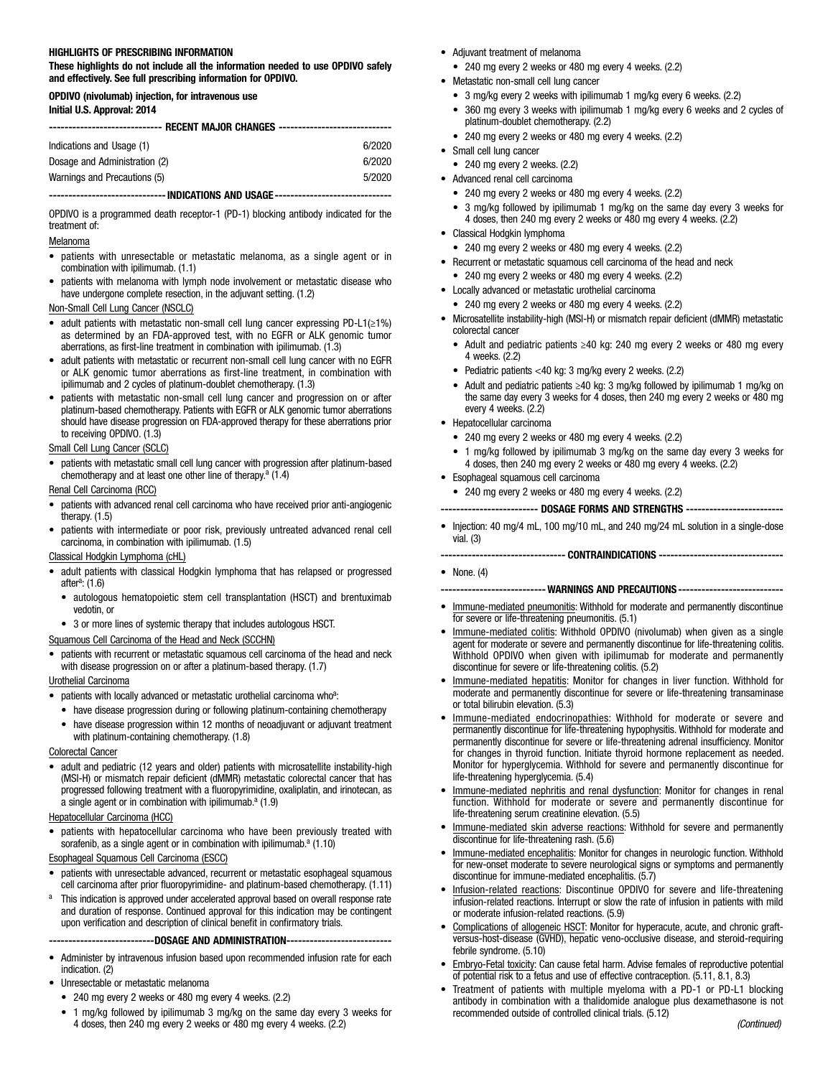#### HIGHLIGHTS OF PRESCRIBING INFORMATION

These highlights do not include all the information needed to use OPDIVO safely and effectively. See full prescribing information for OPDIVO.

#### OPDIVO (nivolumab) injection, for intravenous use

Initial U.S. Approval: 2014

|                           | ---------------------------- RECENT MAJOR CHANGES ----------------------------- |
|---------------------------|---------------------------------------------------------------------------------|
| Indications and Usage (1) | 6/2020                                                                          |

| ----------------------------- INDICATIONS AND USAGE----------------------------- |        |
|----------------------------------------------------------------------------------|--------|
| Warnings and Precautions (5)                                                     | 5/2020 |
| Dosage and Administration (2)                                                    | 6/2020 |
|                                                                                  |        |

OPDIVO is a programmed death receptor-1 (PD-1) blocking antibody indicated for the treatment of:

#### Melanoma

- patients with unresectable or metastatic melanoma, as a single agent or in combination with ipilimumab. (1.1)
- patients with melanoma with lymph node involvement or metastatic disease who have undergone complete resection, in the adjuvant setting. (1.2)

Non-Small Cell Lung Cancer (NSCLC)

- adult patients with metastatic non-small cell lung cancer expressing PD-L1( $\geq$ 1%) as determined by an FDA-approved test, with no EGFR or ALK genomic tumor aberrations, as first-line treatment in combination with ipilimumab. (1.3)
- adult patients with metastatic or recurrent non-small cell lung cancer with no EGFR or ALK genomic tumor aberrations as first-line treatment, in combination with ipilimumab and 2 cycles of platinum-doublet chemotherapy. (1.3)
- patients with metastatic non-small cell lung cancer and progression on or after platinum-based chemotherapy. Patients with EGFR or ALK genomic tumor aberrations should have disease progression on FDA-approved therapy for these aberrations prior to receiving OPDIVO. (1.3)

#### Small Cell Lung Cancer (SCLC)

• patients with metastatic small cell lung cancer with progression after platinum-based chemotherapy and at least one other line of therapy.<sup>a</sup> (1.4)

Renal Cell Carcinoma (RCC)

- patients with advanced renal cell carcinoma who have received prior anti-angiogenic therapy. (1.5)
- patients with intermediate or poor risk, previously untreated advanced renal cell carcinoma, in combination with ipilimumab. (1.5)

#### Classical Hodgkin Lymphoma (cHL)

- adult patients with classical Hodgkin lymphoma that has relapsed or progressed  $after<sup>a</sup>: (1.6)$ 
	- autologous hematopoietic stem cell transplantation (HSCT) and brentuximab vedotin, or
- 3 or more lines of systemic therapy that includes autologous HSCT.

#### Squamous Cell Carcinoma of the Head and Neck (SCCHN)

• patients with recurrent or metastatic squamous cell carcinoma of the head and neck with disease progression on or after a platinum-based therapy. (1.7)

#### Urothelial Carcinoma

- patients with locally advanced or metastatic urothelial carcinoma who<sup>a</sup>:
	- have disease progression during or following platinum-containing chemotherapy
	- have disease progression within 12 months of neoadjuvant or adjuvant treatment with platinum-containing chemotherapy. (1.8)

#### Colorectal Cancer

• adult and pediatric (12 years and older) patients with microsatellite instability-high (MSI-H) or mismatch repair deficient (dMMR) metastatic colorectal cancer that has progressed following treatment with a fluoropyrimidine, oxaliplatin, and irinotecan, as a single agent or in combination with ipilimumab.<sup>a</sup> (1.9)

#### Hepatocellular Carcinoma (HCC)

• patients with hepatocellular carcinoma who have been previously treated with sorafenib, as a single agent or in combination with ipilimumab. $a(1.10)$ 

Esophageal Squamous Cell Carcinoma (ESCC)

- patients with unresectable advanced, recurrent or metastatic esophageal squamous cell carcinoma after prior fluoropyrimidine- and platinum-based chemotherapy. (1.11)
- This indication is approved under accelerated approval based on overall response rate and duration of response. Continued approval for this indication may be contingent upon verification and description of clinical benefit in confirmatory trials.

#### --------DOSAGE AND ADMINISTRATION--

- Administer by intravenous infusion based upon recommended infusion rate for each indication. (2)
- Unresectable or metastatic melanoma
- 240 mg every 2 weeks or 480 mg every 4 weeks. (2.2)
- 1 mg/kg followed by ipilimumab 3 mg/kg on the same day every 3 weeks for 4 doses, then 240 mg every 2 weeks or 480 mg every 4 weeks. (2.2)
- Adjuvant treatment of melanoma
	- 240 mg every 2 weeks or 480 mg every 4 weeks. (2.2)
- Metastatic non-small cell lung cancer
	- 3 mg/kg every 2 weeks with ipilimumab 1 mg/kg every 6 weeks. (2.2)
	- 360 mg every 3 weeks with ipilimumab 1 mg/kg every 6 weeks and 2 cycles of platinum-doublet chemotherapy. (2.2)
	- 240 mg every 2 weeks or 480 mg every 4 weeks. (2.2)
- Small cell lung cancer
	- 240 mg every 2 weeks. (2.2)
- Advanced renal cell carcinoma
	- 240 mg every 2 weeks or 480 mg every 4 weeks. (2.2)
	- 3 mg/kg followed by ipilimumab 1 mg/kg on the same day every 3 weeks for 4 doses, then 240 mg every 2 weeks or 480 mg every 4 weeks. (2.2)
- Classical Hodgkin lymphoma
	- 240 mg every 2 weeks or 480 mg every 4 weeks. (2.2)
- Recurrent or metastatic squamous cell carcinoma of the head and neck
- 240 mg every 2 weeks or 480 mg every 4 weeks. (2.2)
- Locally advanced or metastatic urothelial carcinoma
	- 240 mg every 2 weeks or 480 mg every 4 weeks. (2.2)
- Microsatellite instability-high (MSI-H) or mismatch repair deficient (dMMR) metastatic colorectal cancer
	- Adult and pediatric patients ≥40 kg: 240 mg every 2 weeks or 480 mg every 4 weeks. (2.2)
	- Pediatric patients <40 kg: 3 mg/kg every 2 weeks. (2.2)
	- Adult and pediatric patients ≥40 kg: 3 mg/kg followed by ipilimumab 1 mg/kg on the same day every 3 weeks for 4 doses, then 240 mg every 2 weeks or 480 mg every 4 weeks. (2.2)
- Hepatocellular carcinoma
	- 240 mg every 2 weeks or 480 mg every 4 weeks. (2.2)
	- 1 mg/kg followed by ipilimumab 3 mg/kg on the same day every 3 weeks for 4 doses, then 240 mg every 2 weeks or 480 mg every 4 weeks. (2.2)
- Esophageal squamous cell carcinoma
- 240 mg every 2 weeks or 480 mg every 4 weeks. (2.2)
- ------- DOSAGE FORMS AND STRENGTHS
- Injection: 40 mg/4 mL, 100 mg/10 mL, and 240 mg/24 mL solution in a single-dose vial. (3)
	- -------------------------------- CONTRAINDICATIONS --------------------------------
- None. (4)
- --- WARNINGS AND PRECAUTIONS ----
- Immune-mediated pneumonitis: Withhold for moderate and permanently discontinue for severe or life-threatening pneumonitis. (5.1)
- Immune-mediated colitis: Withhold OPDIVO (nivolumab) when given as a single agent for moderate or severe and permanently discontinue for life-threatening colitis. Withhold OPDIVO when given with ipilimumab for moderate and permanently discontinue for severe or life-threatening colitis. (5.2)
- Immune-mediated hepatitis: Monitor for changes in liver function. Withhold for moderate and permanently discontinue for severe or life-threatening transaminase or total bilirubin elevation. (5.3)
- Immune-mediated endocrinopathies: Withhold for moderate or severe and permanently discontinue for life-threatening hypophysitis. Withhold for moderate and permanently discontinue for severe or life-threatening adrenal insufficiency. Monitor for changes in thyroid function. Initiate thyroid hormone replacement as needed. Monitor for hyperglycemia. Withhold for severe and permanently discontinue for life-threatening hyperglycemia. (5.4)
- Immune-mediated nephritis and renal dysfunction: Monitor for changes in renal function. Withhold for moderate or severe and permanently discontinue for life-threatening serum creatinine elevation. (5.5)
- Immune-mediated skin adverse reactions: Withhold for severe and permanently discontinue for life-threatening rash. (5.6)
- Immune-mediated encephalitis: Monitor for changes in neurologic function. Withhold for new-onset moderate to severe neurological signs or symptoms and permanently discontinue for immune-mediated encephalitis. (5.7)
- Infusion-related reactions: Discontinue OPDIVO for severe and life-threatening infusion-related reactions. Interrupt or slow the rate of infusion in patients with mild or moderate infusion-related reactions. (5.9)
- Complications of allogeneic HSCT: Monitor for hyperacute, acute, and chronic graftversus-host-disease (GVHD), hepatic veno-occlusive disease, and steroid-requiring febrile syndrome. (5.10)
- Embryo-Fetal toxicity: Can cause fetal harm. Advise females of reproductive potential of potential risk to a fetus and use of effective contraception. (5.11, 8.1, 8.3)
- Treatment of patients with multiple myeloma with a PD-1 or PD-L1 blocking antibody in combination with a thalidomide analogue plus dexamethasone is not recommended outside of controlled clinical trials. (5.12)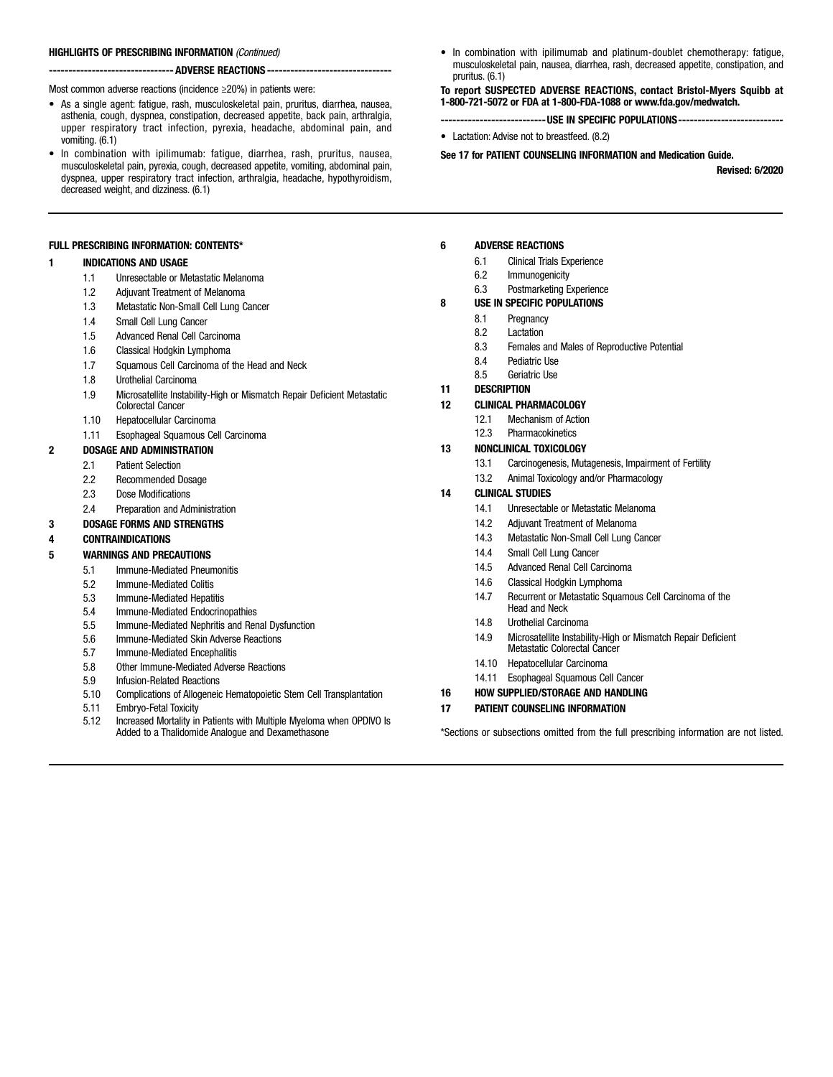#### HIGHLIGHTS OF PRESCRIBING INFORMATION (Continued)

#### -------------------------------- ADVERSE REACTIONS --------------------------------

Most common adverse reactions (incidence ≥20%) in patients were:

- As a single agent: fatigue, rash, musculoskeletal pain, pruritus, diarrhea, nausea, asthenia, cough, dyspnea, constipation, decreased appetite, back pain, arthralgia, upper respiratory tract infection, pyrexia, headache, abdominal pain, and vomiting. (6.1)
- In combination with ipilimumab: fatigue, diarrhea, rash, pruritus, nausea, musculoskeletal pain, pyrexia, cough, decreased appetite, vomiting, abdominal pain, dyspnea, upper respiratory tract infection, arthralgia, headache, hypothyroidism, decreased weight, and dizziness. (6.1)

#### FULL PRESCRIBING INFORMATION: CONTENTS\*

#### 1 INDICATIONS AND USAGE

- 1.1 Unresectable or Metastatic Melanoma
- 1.2 Adjuvant Treatment of Melanoma
- 1.3 Metastatic Non-Small Cell Lung Cancer
- 
- 1.4 Small Cell Lung Cancer<br>1.5 Advanced Renal Cell Ca Advanced Renal Cell Carcinoma
- 1.6 Classical Hodgkin Lymphoma
- 1.7 Squamous Cell Carcinoma of the Head and Neck
- 1.8 Urothelial Carcinoma
- 1.9 Microsatellite Instability-High or Mismatch Repair Deficient Metastatic Colorectal Cancer
- 1.10 Hepatocellular Carcinoma
- 1.11 Esophageal Squamous Cell Carcinoma

#### 2 DOSAGE AND ADMINISTRATION

- 2.1 Patient Selection
- 2.2 Recommended Dosage
- 2.3 Dose Modifications
- 2.4 Preparation and Administration

#### 3 DOSAGE FORMS AND STRENGTHS

4 CONTRAINDICATIONS

#### 5 WARNINGS AND PRECAUTIONS

- 5.1 Immune-Mediated Pneumonitis
- 5.2 Immune-Mediated Colitis
- 5.3 Immune-Mediated Hepatitis
- 5.4 Immune-Mediated Endocrinopathies
- 5.5 Immune-Mediated Nephritis and Renal Dysfunction
- 5.6 Immune-Mediated Skin Adverse Reactions
- 5.7 Immune-Mediated Encephalitis
- 5.8 Other Immune-Mediated Adverse Reactions
- 5.9 Infusion-Related Reactions
- 5.10 Complications of Allogeneic Hematopoietic Stem Cell Transplantation
- 5.11 Embryo-Fetal Toxicity
- 5.12 Increased Mortality in Patients with Multiple Myeloma when OPDIVO Is Added to a Thalidomide Analogue and Dexamethasone

*(Continued)* • In combination with ipilimumab and platinum-doublet chemotherapy: fatigue, musculoskeletal pain, nausea, diarrhea, rash, decreased appetite, constipation, and pruritus. (6.1)

To report SUSPECTED ADVERSE REACTIONS, contact Bristol-Myers Squibb at 1-800-721-5072 or FDA at 1-800-FDA-1088 or www.fda.gov/medwatch.

-------- USE IN SPECIFIC POPULATIONS-

• Lactation: Advise not to breastfeed. (8.2)

See 17 for PATIENT COUNSELING INFORMATION and Medication Guide.

Revised: 6/2020

- 6 ADVERSE REACTIONS
	- 6.1 Clinical Trials Experience
	- 6.2 Immunogenicity
	- 6.3 Postmarketing Experience

#### 8 USE IN SPECIFIC POPULATIONS

- 8.1 Pregnancy
- 8.2 Lactation
- 8.3 Females and Males of Reproductive Potential
- 8.4 Pediatric Use
- 8.5 Geriatric Use
- 11 DESCRIPTION

#### 12 CLINICAL PHARMACOLOGY

- 12.1 Mechanism of Action
- 12.3 Pharmacokinetics

#### 13 NONCLINICAL TOXICOLOGY

- 13.1 Carcinogenesis, Mutagenesis, Impairment of Fertility
- 13.2 Animal Toxicology and/or Pharmacology

### 14 CLINICAL STUDIES

- 14.1 Unresectable or Metastatic Melanoma
- 14.2 Adjuvant Treatment of Melanoma
- 14.3 Metastatic Non-Small Cell Lung Cancer
- 14.4 Small Cell Lung Cancer
- 14.5 Advanced Renal Cell Carcinoma
- 14.6 Classical Hodgkin Lymphoma
- 14.7 Recurrent or Metastatic Squamous Cell Carcinoma of the Head and Neck
- 14.8 Urothelial Carcinoma
- 14.9 Microsatellite Instability-High or Mismatch Repair Deficient Metastatic Colorectal Cancer
- 14.10 Hepatocellular Carcinoma
- 14.11 Esophageal Squamous Cell Cancer
- 16 HOW SUPPLIED/STORAGE AND HANDLING

#### 17 PATIENT COUNSELING INFORMATION

\*Sections or subsections omitted from the full prescribing information are not listed.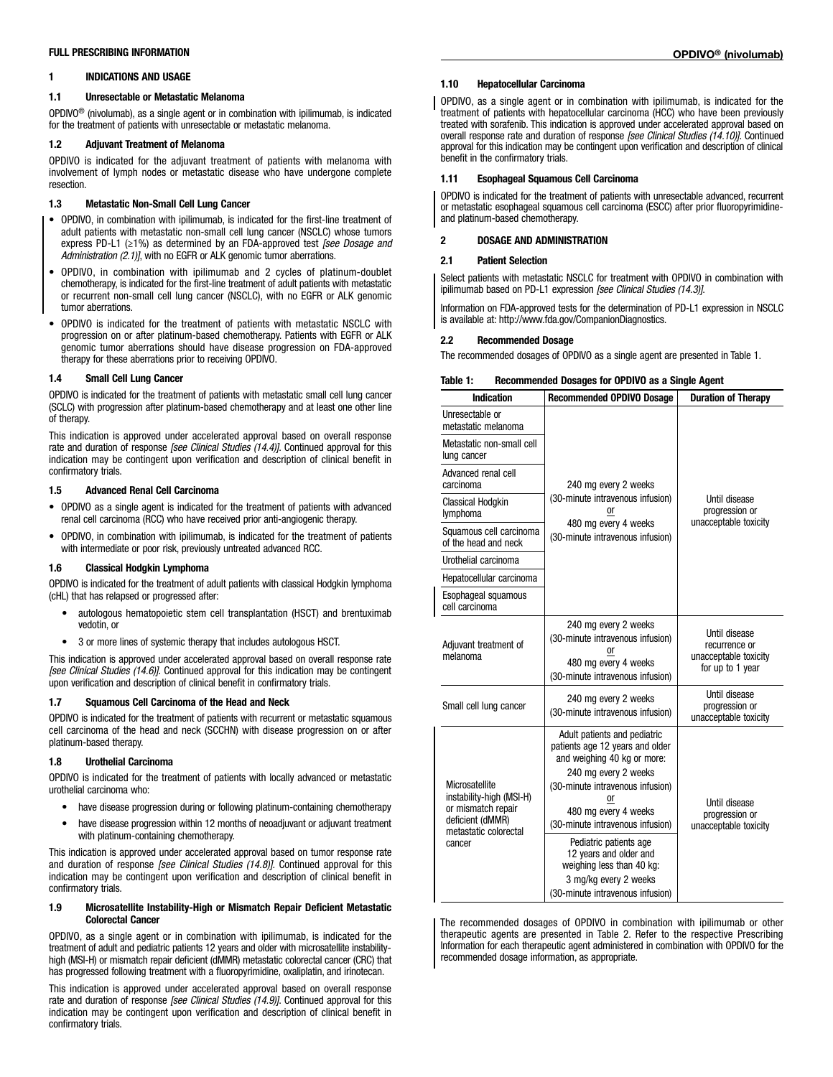#### FULL PRESCRIBING INFORMATION OPDIVO® (nivolumab)

#### 1 INDICATIONS AND USAGE

#### 1.1 Unresectable or Metastatic Melanoma

OPDIVO® (nivolumab), as a single agent or in combination with ipilimumab, is indicated for the treatment of patients with unresectable or metastatic melanoma.

#### 1.2 Adjuvant Treatment of Melanoma

OPDIVO is indicated for the adjuvant treatment of patients with melanoma with involvement of lymph nodes or metastatic disease who have undergone complete resection.

#### 1.3 Metastatic Non-Small Cell Lung Cancer

- OPDIVO, in combination with ipilimumab, is indicated for the first-line treatment of adult patients with metastatic non-small cell lung cancer (NSCLC) whose tumors express PD-L1 (≥1%) as determined by an FDA-approved test *[see Dosage and Administration (2.1)]*, with no EGFR or ALK genomic tumor aberrations.
- OPDIVO, in combination with ipilimumab and 2 cycles of platinum-doublet chemotherapy, is indicated for the first-line treatment of adult patients with metastatic or recurrent non-small cell lung cancer (NSCLC), with no EGFR or ALK genomic tumor aberrations.
- OPDIVO is indicated for the treatment of patients with metastatic NSCLC with progression on or after platinum-based chemotherapy. Patients with EGFR or ALK genomic tumor aberrations should have disease progression on FDA-approved therapy for these aberrations prior to receiving OPDIVO.

#### 1.4 Small Cell Lung Cancer

OPDIVO is indicated for the treatment of patients with metastatic small cell lung cancer (SCLC) with progression after platinum-based chemotherapy and at least one other line of therapy.

This indication is approved under accelerated approval based on overall response rate and duration of response *[see Clinical Studies (14.4)]*. Continued approval for this indication may be contingent upon verification and description of clinical benefit in confirmatory trials.

#### 1.5 Advanced Renal Cell Carcinoma

- OPDIVO as a single agent is indicated for the treatment of patients with advanced renal cell carcinoma (RCC) who have received prior anti-angiogenic therapy.
- OPDIVO, in combination with ipilimumab, is indicated for the treatment of patients with intermediate or poor risk, previously untreated advanced RCC.

#### 1.6 Classical Hodgkin Lymphoma

OPDIVO is indicated for the treatment of adult patients with classical Hodgkin lymphoma (cHL) that has relapsed or progressed after:

- autologous hematopoietic stem cell transplantation (HSCT) and brentuximab vedotin, or
- 3 or more lines of systemic therapy that includes autologous HSCT.

This indication is approved under accelerated approval based on overall response rate *[see Clinical Studies (14.6)]*. Continued approval for this indication may be contingent upon verification and description of clinical benefit in confirmatory trials.

#### 1.7 Squamous Cell Carcinoma of the Head and Neck

OPDIVO is indicated for the treatment of patients with recurrent or metastatic squamous cell carcinoma of the head and neck (SCCHN) with disease progression on or after platinum-based therapy.

#### 1.8 Urothelial Carcinoma

OPDIVO is indicated for the treatment of patients with locally advanced or metastatic urothelial carcinoma who:

- have disease progression during or following platinum-containing chemotherapy
- have disease progression within 12 months of neoadjuvant or adjuvant treatment with platinum-containing chemotherapy.

This indication is approved under accelerated approval based on tumor response rate and duration of response *[see Clinical Studies (14.8)]*. Continued approval for this indication may be contingent upon verification and description of clinical benefit in confirmatory trials.

#### 1.9 Microsatellite Instability-High or Mismatch Repair Deficient Metastatic Colorectal Cancer

OPDIVO, as a single agent or in combination with ipilimumab, is indicated for the treatment of adult and pediatric patients 12 years and older with microsatellite instabilityhigh (MSI-H) or mismatch repair deficient (dMMR) metastatic colorectal cancer (CRC) that has progressed following treatment with a fluoropyrimidine, oxaliplatin, and irinotecan.

This indication is approved under accelerated approval based on overall response rate and duration of response *[see Clinical Studies (14.9)]*. Continued approval for this indication may be contingent upon verification and description of clinical benefit in confirmatory trials.

#### 1.10 Hepatocellular Carcinoma

OPDIVO, as a single agent or in combination with ipilimumab, is indicated for the treatment of patients with hepatocellular carcinoma (HCC) who have been previously treated with sorafenib. This indication is approved under accelerated approval based on overall response rate and duration of response *[see Clinical Studies (14.10)]*. Continued approval for this indication may be contingent upon verification and description of clinical benefit in the confirmatory trials.

#### 1.11 Esophageal Squamous Cell Carcinoma

OPDIVO is indicated for the treatment of patients with unresectable advanced, recurrent or metastatic esophageal squamous cell carcinoma (ESCC) after prior fluoropyrimidineand platinum-based chemotherapy.

#### 2 DOSAGE AND ADMINISTRATION

#### 2.1 Patient Selection

Select patients with metastatic NSCLC for treatment with OPDIVO in combination with ipilimumab based on PD-L1 expression *[see Clinical Studies (14.3)]*.

Information on FDA-approved tests for the determination of PD-L1 expression in NSCLC is available at: http://www.fda.gov/CompanionDiagnostics.

#### 2.2 Recommended Dosage

The recommended dosages of OPDIVO as a single agent are presented in Table 1.

#### Table 1: Recommended Dosages for OPDIVO as a Single Agent

| <b>Indication</b>                                                                                                       | <b>Recommended OPDIVO Dosage</b>                                                                                                                                                                                                                                                                                                                                           | <b>Duration of Therapy</b>                                                  |  |
|-------------------------------------------------------------------------------------------------------------------------|----------------------------------------------------------------------------------------------------------------------------------------------------------------------------------------------------------------------------------------------------------------------------------------------------------------------------------------------------------------------------|-----------------------------------------------------------------------------|--|
| Unresectable or<br>metastatic melanoma                                                                                  |                                                                                                                                                                                                                                                                                                                                                                            |                                                                             |  |
| Metastatic non-small cell<br>lung cancer                                                                                |                                                                                                                                                                                                                                                                                                                                                                            |                                                                             |  |
| Advanced renal cell<br>carcinoma                                                                                        | 240 mg every 2 weeks                                                                                                                                                                                                                                                                                                                                                       |                                                                             |  |
| <b>Classical Hodgkin</b><br>lymphoma                                                                                    | (30-minute intravenous infusion)<br>or                                                                                                                                                                                                                                                                                                                                     | Until disease<br>progression or                                             |  |
| Squamous cell carcinoma<br>of the head and neck                                                                         | 480 mg every 4 weeks<br>(30-minute intravenous infusion)                                                                                                                                                                                                                                                                                                                   | unacceptable toxicity                                                       |  |
| Urothelial carcinoma                                                                                                    |                                                                                                                                                                                                                                                                                                                                                                            |                                                                             |  |
| Hepatocellular carcinoma                                                                                                |                                                                                                                                                                                                                                                                                                                                                                            |                                                                             |  |
| Esophageal squamous<br>cell carcinoma                                                                                   |                                                                                                                                                                                                                                                                                                                                                                            |                                                                             |  |
| Adjuvant treatment of<br>melanoma                                                                                       | 240 mg every 2 weeks<br>(30-minute intravenous infusion)<br>or<br>480 mg every 4 weeks<br>(30-minute intravenous infusion)                                                                                                                                                                                                                                                 | Until disease<br>recurrence or<br>unacceptable toxicity<br>for up to 1 year |  |
| Small cell lung cancer                                                                                                  | 240 mg every 2 weeks<br>(30-minute intravenous infusion)                                                                                                                                                                                                                                                                                                                   | Until disease<br>progression or<br>unacceptable toxicity                    |  |
| Microsatellite<br>instability-high (MSI-H)<br>or mismatch repair<br>deficient (dMMR)<br>metastatic colorectal<br>cancer | Adult patients and pediatric<br>patients age 12 years and older<br>and weighing 40 kg or more:<br>240 mg every 2 weeks<br>(30-minute intravenous infusion)<br>or<br>480 mg every 4 weeks<br>(30-minute intravenous infusion)<br>Pediatric patients age<br>12 years and older and<br>weighing less than 40 kg:<br>3 mg/kg every 2 weeks<br>(30-minute intravenous infusion) | Until disease<br>progression or<br>unacceptable toxicity                    |  |

The recommended dosages of OPDIVO in combination with ipilimumab or other therapeutic agents are presented in Table 2. Refer to the respective Prescribing Information for each therapeutic agent administered in combination with OPDIVO for the recommended dosage information, as appropriate.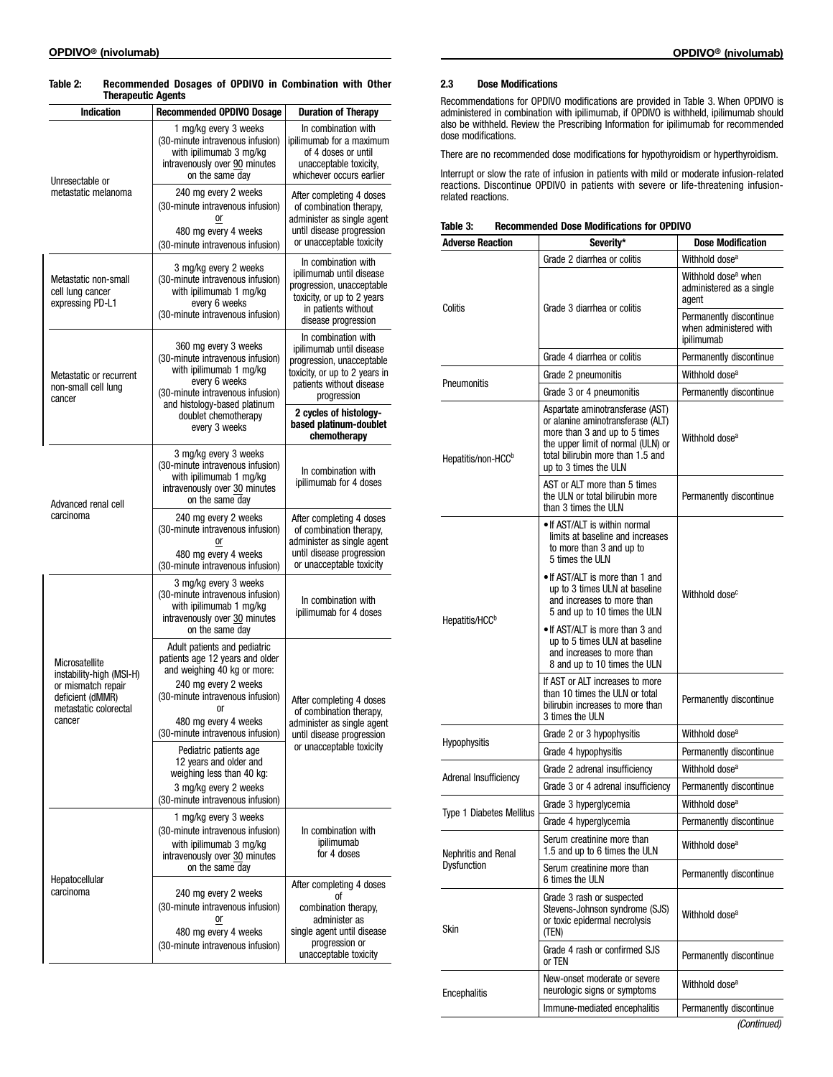| <b>Therapeutic Agents</b>                                                                                               |                                                                                                                                                                                                                                                                                                                                                                            |                                                                                                                                                          |
|-------------------------------------------------------------------------------------------------------------------------|----------------------------------------------------------------------------------------------------------------------------------------------------------------------------------------------------------------------------------------------------------------------------------------------------------------------------------------------------------------------------|----------------------------------------------------------------------------------------------------------------------------------------------------------|
| <b>Indication</b>                                                                                                       | <b>Recommended OPDIVO Dosage</b>                                                                                                                                                                                                                                                                                                                                           | <b>Duration of Therapy</b>                                                                                                                               |
| Unresectable or                                                                                                         | 1 mg/kg every 3 weeks<br>(30-minute intravenous infusion)<br>with ipilimumab 3 mg/kg<br>intravenously over 90 minutes<br>on the same day                                                                                                                                                                                                                                   | In combination with<br>ipilimumab for a maximum<br>of 4 doses or until<br>unacceptable toxicity.<br>whichever occurs earlier                             |
| metastatic melanoma                                                                                                     | 240 mg every 2 weeks<br>(30-minute intravenous infusion)<br>0r<br>480 mg every 4 weeks<br>(30-minute intravenous infusion)                                                                                                                                                                                                                                                 | After completing 4 doses<br>of combination therapy,<br>administer as single agent<br>until disease progression<br>or unacceptable toxicity               |
| Metastatic non-small<br>cell lung cancer<br>expressing PD-L1                                                            | 3 mg/kg every 2 weeks<br>(30-minute intravenous infusion)<br>with ipilimumab 1 mg/kg<br>every 6 weeks<br>(30-minute intravenous infusion)                                                                                                                                                                                                                                  | In combination with<br>ipilimumab until disease<br>progression, unacceptable<br>toxicity, or up to 2 years<br>in patients without<br>disease progression |
| Metastatic or recurrent<br>non-small cell lung<br>cancer                                                                | 360 mg every 3 weeks<br>(30-minute intravenous infusion)<br>with ipilimumab 1 mg/kg<br>every 6 weeks<br>(30-minute intravenous infusion)<br>and histology-based platinum                                                                                                                                                                                                   | In combination with<br>ipilimumab until disease<br>progression, unacceptable<br>toxicity, or up to 2 years in<br>patients without disease<br>progression |
|                                                                                                                         | doublet chemotherapy<br>every 3 weeks                                                                                                                                                                                                                                                                                                                                      | 2 cycles of histology-<br>based platinum-doublet<br>chemotherapy                                                                                         |
| Advanced renal cell<br>carcinoma                                                                                        | 3 mg/kg every 3 weeks<br>(30-minute intravenous infusion)<br>with ipilimumab 1 mq/kq<br>intravenously over 30 minutes<br>on the same day                                                                                                                                                                                                                                   | In combination with<br>ipilimumab for 4 doses                                                                                                            |
|                                                                                                                         | 240 mg every 2 weeks<br>(30-minute intravenous infusion)<br>or<br>480 mg every 4 weeks<br>(30-minute intravenous infusion)                                                                                                                                                                                                                                                 | After completing 4 doses<br>of combination therapy,<br>administer as single agent<br>until disease progression<br>or unacceptable toxicity               |
|                                                                                                                         | 3 mg/kg every 3 weeks<br>(30-minute intravenous infusion)<br>with ipilimumab 1 mg/kg<br>intravenously over 30 minutes<br>on the same day                                                                                                                                                                                                                                   | In combination with<br>ipilimumab for 4 doses                                                                                                            |
| Microsatellite<br>instability-high (MSI-H)<br>or mismatch repair<br>deficient (dMMR)<br>metastatic colorectal<br>cancer | Adult patients and pediatric<br>patients age 12 years and older<br>and weighing 40 kg or more:<br>240 mg every 2 weeks<br>(30-minute intravenous infusion)<br>or<br>480 mg every 4 weeks<br>(30-minute intravenous infusion)<br>Pediatric patients age<br>12 years and older and<br>weighing less than 40 kg:<br>3 mg/kg every 2 weeks<br>(30-minute intravenous infusion) | After completing 4 doses<br>of combination therapy,<br>administer as single agent<br>until disease progression<br>or unacceptable toxicity               |
|                                                                                                                         | 1 mg/kg every 3 weeks<br>(30-minute intravenous infusion)<br>with ipilimumab 3 mg/kg<br>intravenously over 30 minutes<br>on the same day                                                                                                                                                                                                                                   | In combination with<br>ipilimumab<br>for 4 doses                                                                                                         |
| Hepatocellular<br>carcinoma                                                                                             | 240 mg every 2 weeks<br>(30-minute intravenous infusion)<br>or<br>480 mg every 4 weeks<br>(30-minute intravenous infusion)                                                                                                                                                                                                                                                 | After completing 4 doses<br>οf<br>combination therapy,<br>administer as<br>single agent until disease<br>progression or<br>unacceptable toxicity         |

# Table 2: Recommended Dosages of OPDIVO in Combination with Other

#### 2.3 Dose Modifications

Recommendations for OPDIVO modifications are provided in Table 3. When OPDIVO is administered in combination with ipilimumab, if OPDIVO is withheld, ipilimumab should also be withheld. Review the Prescribing Information for ipilimumab for recommended dose modifications.

There are no recommended dose modifications for hypothyroidism or hyperthyroidism.

Interrupt or slow the rate of infusion in patients with mild or moderate infusion-related reactions. Discontinue OPDIVO in patients with severe or life-threatening infusionrelated reactions.

| Table 3: | <b>Recommended Dose Modifications for OPDIVO</b> |  |  |
|----------|--------------------------------------------------|--|--|
|          |                                                  |  |  |

| <b>Adverse Reaction</b>         | Severity*                                                                                                                                                                                                  |                                                                      |  |
|---------------------------------|------------------------------------------------------------------------------------------------------------------------------------------------------------------------------------------------------------|----------------------------------------------------------------------|--|
|                                 | Grade 2 diarrhea or colitis                                                                                                                                                                                | Withhold dose <sup>a</sup>                                           |  |
| Colitis                         | Grade 3 diarrhea or colitis                                                                                                                                                                                | Withhold dose <sup>a</sup> when<br>administered as a single<br>agent |  |
|                                 |                                                                                                                                                                                                            | Permanently discontinue<br>when administered with<br>ipilimumab      |  |
|                                 | Grade 4 diarrhea or colitis                                                                                                                                                                                | Permanently discontinue                                              |  |
| Pneumonitis                     | Grade 2 pneumonitis                                                                                                                                                                                        | Withhold dose <sup>a</sup>                                           |  |
|                                 | Grade 3 or 4 pneumonitis                                                                                                                                                                                   | Permanently discontinue                                              |  |
| Hepatitis/non-HCC <sup>b</sup>  | Aspartate aminotransferase (AST)<br>or alanine aminotransferase (ALT)<br>more than 3 and up to 5 times<br>the upper limit of normal (ULN) or<br>total bilirubin more than 1.5 and<br>up to 3 times the ULN | Withhold dose <sup>a</sup>                                           |  |
|                                 | AST or ALT more than 5 times<br>the ULN or total bilirubin more<br>than 3 times the ULN                                                                                                                    | Permanently discontinue                                              |  |
|                                 | • If AST/ALT is within normal<br>limits at baseline and increases<br>to more than 3 and up to<br>5 times the ULN                                                                                           |                                                                      |  |
| Hepatitis/HCC <sup>b</sup>      | • If AST/ALT is more than 1 and<br>up to 3 times ULN at baseline<br>and increases to more than<br>5 and up to 10 times the ULN                                                                             | Withhold dose <sup>c</sup>                                           |  |
|                                 | • If AST/ALT is more than 3 and<br>up to 5 times ULN at baseline<br>and increases to more than<br>8 and up to 10 times the ULN                                                                             |                                                                      |  |
|                                 | If AST or ALT increases to more<br>than 10 times the ULN or total<br>bilirubin increases to more than<br>3 times the ULN                                                                                   | Permanently discontinue                                              |  |
| <b>Hypophysitis</b>             | Grade 2 or 3 hypophysitis                                                                                                                                                                                  | Withhold dose <sup>a</sup>                                           |  |
|                                 | Grade 4 hypophysitis                                                                                                                                                                                       | Permanently discontinue                                              |  |
| Adrenal Insufficiency           | Grade 2 adrenal insufficiency                                                                                                                                                                              | Withhold dose <sup>a</sup>                                           |  |
|                                 | Grade 3 or 4 adrenal insufficiency                                                                                                                                                                         | Permanently discontinue                                              |  |
| <b>Type 1 Diabetes Mellitus</b> | Grade 3 hyperglycemia                                                                                                                                                                                      | Withhold dose <sup>a</sup>                                           |  |
|                                 | Grade 4 hyperglycemia                                                                                                                                                                                      | Permanently discontinue                                              |  |
| Nephritis and Renal             | Serum creatinine more than<br>1.5 and up to 6 times the ULN                                                                                                                                                | Withhold dose <sup>a</sup>                                           |  |
| Dysfunction                     | Serum creatinine more than<br>6 times the ULN                                                                                                                                                              | Permanently discontinue                                              |  |
| <b>Skin</b>                     | Grade 3 rash or suspected<br>Stevens-Johnson syndrome (SJS)<br>or toxic epidermal necrolysis<br>(TEN)                                                                                                      | Withhold dose <sup>a</sup>                                           |  |
|                                 | Grade 4 rash or confirmed SJS<br>or TEN                                                                                                                                                                    | Permanently discontinue                                              |  |
| Encephalitis                    | New-onset moderate or severe<br>neurologic signs or symptoms                                                                                                                                               | Withhold dose <sup>a</sup>                                           |  |
|                                 | Immune-mediated encephalitis                                                                                                                                                                               | Permanently discontinue                                              |  |

*(Continued)*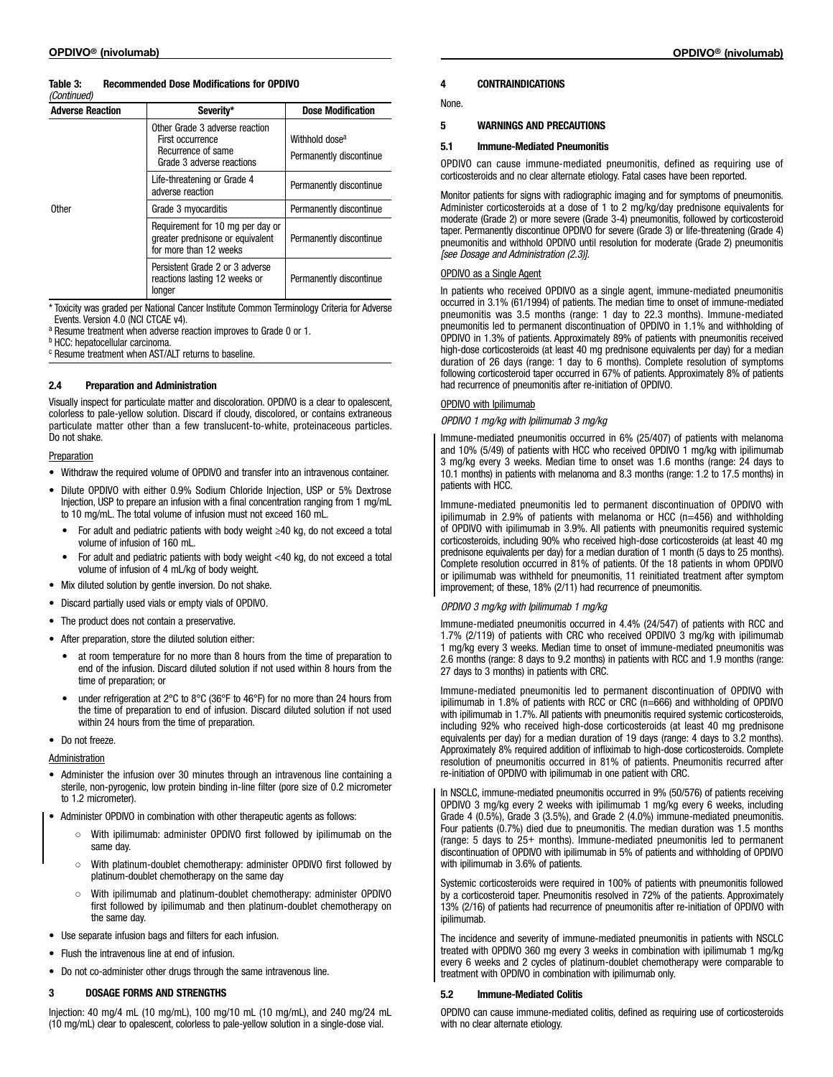### Table 3: Recommended Dose Modifications for OPDIVO

| (Continued)             |                                                                                                       |                                                       |
|-------------------------|-------------------------------------------------------------------------------------------------------|-------------------------------------------------------|
| <b>Adverse Reaction</b> | Severity*                                                                                             | <b>Dose Modification</b>                              |
|                         | Other Grade 3 adverse reaction<br>First occurrence<br>Recurrence of same<br>Grade 3 adverse reactions | Withhold dose <sup>a</sup><br>Permanently discontinue |
|                         | Life-threatening or Grade 4<br>adverse reaction                                                       | Permanently discontinue                               |
| 0ther                   | Grade 3 myocarditis                                                                                   | Permanently discontinue                               |
|                         | Requirement for 10 mg per day or<br>greater prednisone or equivalent<br>for more than 12 weeks        | Permanently discontinue                               |
|                         | Persistent Grade 2 or 3 adverse<br>reactions lasting 12 weeks or<br>longer                            | Permanently discontinue                               |

\* Toxicity was graded per National Cancer Institute Common Terminology Criteria for Adverse Events. Version 4.0 (NCI CTCAE v4).

<sup>a</sup> Resume treatment when adverse reaction improves to Grade 0 or 1.

**b** HCC: hepatocellular carcinoma.

<sup>c</sup> Resume treatment when AST/ALT returns to baseline.

#### 2.4 Preparation and Administration

Visually inspect for particulate matter and discoloration. OPDIVO is a clear to opalescent, colorless to pale-yellow solution. Discard if cloudy, discolored, or contains extraneous particulate matter other than a few translucent-to-white, proteinaceous particles. Do not shake.

#### Preparation

- Withdraw the required volume of OPDIVO and transfer into an intravenous container.
- Dilute OPDIVO with either 0.9% Sodium Chloride Injection, USP or 5% Dextrose Injection, USP to prepare an infusion with a final concentration ranging from 1 mg/mL to 10 mg/mL. The total volume of infusion must not exceed 160 mL.
	- For adult and pediatric patients with body weight ≥40 kg, do not exceed a total volume of infusion of 160 mL.
	- For adult and pediatric patients with body weight <40 kg, do not exceed a total volume of infusion of 4 mL/kg of body weight.
- Mix diluted solution by gentle inversion. Do not shake.
- Discard partially used vials or empty vials of OPDIVO.
- The product does not contain a preservative.
- After preparation, store the diluted solution either:
	- at room temperature for no more than 8 hours from the time of preparation to end of the infusion. Discard diluted solution if not used within 8 hours from the time of preparation; or
	- under refrigeration at  $2^{\circ}$ C to  $8^{\circ}$ C (36°F to 46°F) for no more than 24 hours from the time of preparation to end of infusion. Discard diluted solution if not used within 24 hours from the time of preparation.

#### • Do not freeze.

#### Administration

- Administer the infusion over 30 minutes through an intravenous line containing a sterile, non-pyrogenic, low protein binding in-line filter (pore size of 0.2 micrometer to 1.2 micrometer).
- Administer OPDIVO in combination with other therapeutic agents as follows:
	- With ipilimumab: administer OPDIVO first followed by ipilimumab on the same day.
	- With platinum-doublet chemotherapy: administer OPDIVO first followed by platinum-doublet chemotherapy on the same day
	- With ipilimumab and platinum-doublet chemotherapy: administer OPDIVO first followed by ipilimumab and then platinum-doublet chemotherapy on the same day.
- Use separate infusion bags and filters for each infusion.
- Flush the intravenous line at end of infusion.
- Do not co-administer other drugs through the same intravenous line.

#### 3 DOSAGE FORMS AND STRENGTHS

Injection: 40 mg/4 mL (10 mg/mL), 100 mg/10 mL (10 mg/mL), and 240 mg/24 mL (10 mg/mL) clear to opalescent, colorless to pale-yellow solution in a single-dose vial.

#### 4 CONTRAINDICATIONS

None.

#### 5 WARNINGS AND PRECAUTIONS

#### 5.1 Immune-Mediated Pneumonitis

OPDIVO can cause immune-mediated pneumonitis, defined as requiring use of corticosteroids and no clear alternate etiology. Fatal cases have been reported.

Monitor patients for signs with radiographic imaging and for symptoms of pneumonitis. Administer corticosteroids at a dose of 1 to 2 mg/kg/day prednisone equivalents for moderate (Grade 2) or more severe (Grade 3-4) pneumonitis, followed by corticosteroid taper. Permanently discontinue OPDIVO for severe (Grade 3) or life-threatening (Grade 4) pneumonitis and withhold OPDIVO until resolution for moderate (Grade 2) pneumonitis *[see Dosage and Administration (2.3)]*.

#### OPDIVO as a Single Agent

In patients who received OPDIVO as a single agent, immune-mediated pneumonitis occurred in 3.1% (61/1994) of patients. The median time to onset of immune-mediated pneumonitis was 3.5 months (range: 1 day to 22.3 months). Immune-mediated pneumonitis led to permanent discontinuation of OPDIVO in 1.1% and withholding of OPDIVO in 1.3% of patients. Approximately 89% of patients with pneumonitis received high-dose corticosteroids (at least 40 mg prednisone equivalents per day) for a median duration of 26 days (range: 1 day to 6 months). Complete resolution of symptoms following corticosteroid taper occurred in 67% of patients. Approximately 8% of patients had recurrence of pneumonitis after re-initiation of OPDIVO.

#### OPDIVO with Ipilimumab

*OPDIVO 1 mg/kg with Ipilimumab 3 mg/kg*

Immune-mediated pneumonitis occurred in 6% (25/407) of patients with melanoma and 10% (5/49) of patients with HCC who received OPDIVO 1 mg/kg with ipilimumab 3 mg/kg every 3 weeks. Median time to onset was 1.6 months (range: 24 days to 10.1 months) in patients with melanoma and 8.3 months (range: 1.2 to 17.5 months) in patients with HCC.

Immune-mediated pneumonitis led to permanent discontinuation of OPDIVO with ipilimumab in 2.9% of patients with melanoma or HCC (n=456) and withholding of OPDIVO with ipilimumab in 3.9%. All patients with pneumonitis required systemic corticosteroids, including 90% who received high-dose corticosteroids (at least 40 mg prednisone equivalents per day) for a median duration of 1 month (5 days to 25 months). Complete resolution occurred in 81% of patients. Of the 18 patients in whom OPDIVO or ipilimumab was withheld for pneumonitis, 11 reinitiated treatment after symptom improvement; of these, 18% (2/11) had recurrence of pneumonitis.

#### *OPDIVO 3 mg/kg with Ipilimumab 1 mg/kg*

Immune-mediated pneumonitis occurred in 4.4% (24/547) of patients with RCC and 1.7% (2/119) of patients with CRC who received OPDIVO 3 mg/kg with ipilimumab 1 mg/kg every 3 weeks. Median time to onset of immune-mediated pneumonitis was 2.6 months (range: 8 days to 9.2 months) in patients with RCC and 1.9 months (range: 27 days to 3 months) in patients with CRC.

Immune-mediated pneumonitis led to permanent discontinuation of OPDIVO with ipilimumab in 1.8% of patients with RCC or CRC (n=666) and withholding of OPDIVO with ipilimumab in 1.7%. All patients with pneumonitis required systemic corticosteroids, including 92% who received high-dose corticosteroids (at least 40 mg prednisone equivalents per day) for a median duration of 19 days (range: 4 days to 3.2 months). Approximately 8% required addition of infliximab to high-dose corticosteroids. Complete resolution of pneumonitis occurred in 81% of patients. Pneumonitis recurred after re-initiation of OPDIVO with ipilimumab in one patient with CRC.

In NSCLC, immune-mediated pneumonitis occurred in 9% (50/576) of patients receiving OPDIVO 3 mg/kg every 2 weeks with ipilimumab 1 mg/kg every 6 weeks, including Grade 4 (0.5%), Grade 3 (3.5%), and Grade 2 (4.0%) immune-mediated pneumonitis. Four patients (0.7%) died due to pneumonitis. The median duration was 1.5 months (range: 5 days to 25+ months). Immune-mediated pneumonitis led to permanent discontinuation of OPDIVO with ipilimumab in 5% of patients and withholding of OPDIVO with ipilimumab in 3.6% of patients.

Systemic corticosteroids were required in 100% of patients with pneumonitis followed by a corticosteroid taper. Pneumonitis resolved in 72% of the patients. Approximately 13% (2/16) of patients had recurrence of pneumonitis after re-initiation of OPDIVO with ipilimumab.

The incidence and severity of immune-mediated pneumonitis in patients with NSCLC treated with OPDIVO 360 mg every 3 weeks in combination with ipilimumab 1 mg/kg every 6 weeks and 2 cycles of platinum-doublet chemotherapy were comparable to treatment with OPDIVO in combination with ipilimumab only.

#### 5.2 Immune-Mediated Colitis

OPDIVO can cause immune-mediated colitis, defined as requiring use of corticosteroids with no clear alternate etiology.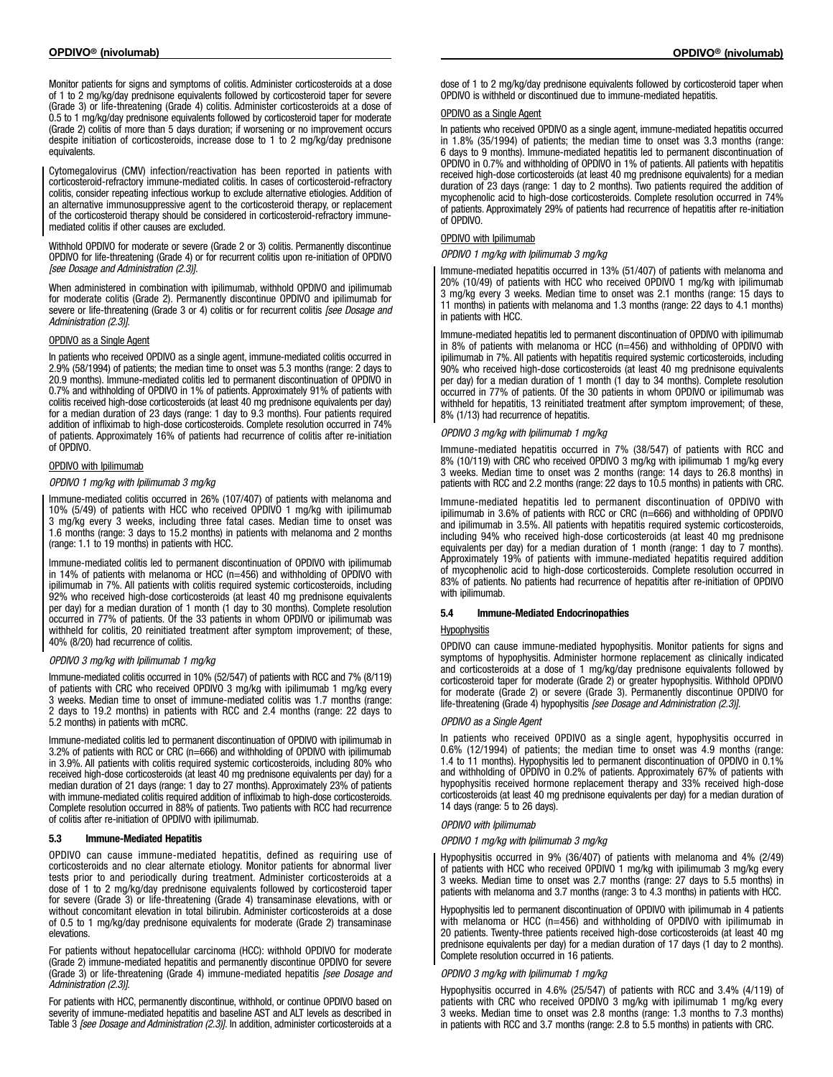Monitor patients for signs and symptoms of colitis. Administer corticosteroids at a dose of 1 to 2 mg/kg/day prednisone equivalents followed by corticosteroid taper for severe (Grade 3) or life-threatening (Grade 4) colitis. Administer corticosteroids at a dose of 0.5 to 1 mg/kg/day prednisone equivalents followed by corticosteroid taper for moderate (Grade 2) colitis of more than 5 days duration; if worsening or no improvement occurs despite initiation of corticosteroids, increase dose to 1 to 2 mg/kg/day prednisone equivalents.

Cytomegalovirus (CMV) infection/reactivation has been reported in patients with corticosteroid-refractory immune-mediated colitis. In cases of corticosteroid-refractory colitis, consider repeating infectious workup to exclude alternative etiologies. Addition of an alternative immunosuppressive agent to the corticosteroid therapy, or replacement of the corticosteroid therapy should be considered in corticosteroid-refractory immunemediated colitis if other causes are excluded.

Withhold OPDIVO for moderate or severe (Grade 2 or 3) colitis. Permanently discontinue OPDIVO for life-threatening (Grade 4) or for recurrent colitis upon re-initiation of OPDIVO *[see Dosage and Administration (2.3)]*.

When administered in combination with ipilimumab, withhold OPDIVO and ipilimumab for moderate colitis (Grade 2). Permanently discontinue OPDIVO and ipilimumab for severe or life-threatening (Grade 3 or 4) colitis or for recurrent colitis *[see Dosage and Administration (2.3)]*.

#### OPDIVO as a Single Agent

In patients who received OPDIVO as a single agent, immune-mediated colitis occurred in 2.9% (58/1994) of patients; the median time to onset was 5.3 months (range: 2 days to 20.9 months). Immune-mediated colitis led to permanent discontinuation of OPDIVO in 0.7% and withholding of OPDIVO in 1% of patients. Approximately 91% of patients with colitis received high-dose corticosteroids (at least 40 mg prednisone equivalents per day) for a median duration of 23 days (range: 1 day to 9.3 months). Four patients required addition of infliximab to high-dose corticosteroids. Complete resolution occurred in 74% of patients. Approximately 16% of patients had recurrence of colitis after re-initiation of OPDIVO.

#### OPDIVO with Ipilimumab

#### *OPDIVO 1 mg/kg with Ipilimumab 3 mg/kg*

Immune-mediated colitis occurred in 26% (107/407) of patients with melanoma and 10% (5/49) of patients with HCC who received OPDIVO 1 mg/kg with ipilimumab 3 mg/kg every 3 weeks, including three fatal cases. Median time to onset was 1.6 months (range: 3 days to 15.2 months) in patients with melanoma and 2 months (range: 1.1 to 19 months) in patients with HCC.

Immune-mediated colitis led to permanent discontinuation of OPDIVO with ipilimumab in 14% of patients with melanoma or HCC (n=456) and withholding of OPDIVO with ipilimumab in 7%. All patients with colitis required systemic corticosteroids, including 92% who received high-dose corticosteroids (at least 40 mg prednisone equivalents per day) for a median duration of 1 month (1 day to 30 months). Complete resolution occurred in 77% of patients. Of the 33 patients in whom OPDIVO or ipilimumab was withheld for colitis, 20 reinitiated treatment after symptom improvement; of these, 40% (8/20) had recurrence of colitis.

#### *OPDIVO 3 mg/kg with Ipilimumab 1 mg/kg*

Immune-mediated colitis occurred in 10% (52/547) of patients with RCC and 7% (8/119) of patients with CRC who received OPDIVO 3 mg/kg with ipilimumab 1 mg/kg every 3 weeks. Median time to onset of immune-mediated colitis was 1.7 months (range: 2 days to 19.2 months) in patients with RCC and 2.4 months (range: 22 days to 5.2 months) in patients with mCRC.

Immune-mediated colitis led to permanent discontinuation of OPDIVO with ipilimumab in 3.2% of patients with RCC or CRC (n=666) and withholding of OPDIVO with ipilimumab in 3.9%. All patients with colitis required systemic corticosteroids, including 80% who received high-dose corticosteroids (at least 40 mg prednisone equivalents per day) for a median duration of 21 days (range: 1 day to 27 months). Approximately 23% of patients with immune-mediated colitis required addition of infliximab to high-dose corticosteroids. Complete resolution occurred in 88% of patients. Two patients with RCC had recurrence of colitis after re-initiation of OPDIVO with ipilimumab.

#### 5.3 Immune-Mediated Hepatitis

OPDIVO can cause immune-mediated hepatitis, defined as requiring use of corticosteroids and no clear alternate etiology. Monitor patients for abnormal liver tests prior to and periodically during treatment. Administer corticosteroids at a dose of 1 to 2 mg/kg/day prednisone equivalents followed by corticosteroid taper for severe (Grade 3) or life-threatening (Grade 4) transaminase elevations, with or without concomitant elevation in total bilirubin. Administer corticosteroids at a dose of 0.5 to 1 mg/kg/day prednisone equivalents for moderate (Grade 2) transaminase elevations.

For patients without hepatocellular carcinoma (HCC): withhold OPDIVO for moderate (Grade 2) immune-mediated hepatitis and permanently discontinue OPDIVO for severe (Grade 3) or life-threatening (Grade 4) immune-mediated hepatitis *[see Dosage and Administration (2.3)]*.

For patients with HCC, permanently discontinue, withhold, or continue OPDIVO based on severity of immune-mediated hepatitis and baseline AST and ALT levels as described in Table 3 *[see Dosage and Administration (2.3)]*. In addition, administer corticosteroids at a

dose of 1 to 2 mg/kg/day prednisone equivalents followed by corticosteroid taper when OPDIVO is withheld or discontinued due to immune-mediated hepatitis.

#### OPDIVO as a Single Agent

In patients who received OPDIVO as a single agent, immune-mediated hepatitis occurred in 1.8% (35/1994) of patients; the median time to onset was 3.3 months (range: 6 days to 9 months). Immune-mediated hepatitis led to permanent discontinuation of OPDIVO in 0.7% and withholding of OPDIVO in 1% of patients. All patients with hepatitis received high-dose corticosteroids (at least 40 mg prednisone equivalents) for a median duration of 23 days (range: 1 day to 2 months). Two patients required the addition of mycophenolic acid to high-dose corticosteroids. Complete resolution occurred in 74% of patients. Approximately 29% of patients had recurrence of hepatitis after re-initiation of OPDIVO.

#### OPDIVO with Ipilimumab

*OPDIVO 1 mg/kg with Ipilimumab 3 mg/kg*

Immune-mediated hepatitis occurred in 13% (51/407) of patients with melanoma and 20% (10/49) of patients with HCC who received OPDIVO 1 mg/kg with ipilimumab 3 mg/kg every 3 weeks. Median time to onset was 2.1 months (range: 15 days to 11 months) in patients with melanoma and 1.3 months (range: 22 days to 4.1 months) in patients with HCC.

Immune-mediated hepatitis led to permanent discontinuation of OPDIVO with ipilimumab in 8% of patients with melanoma or HCC (n=456) and withholding of OPDIVO with ipilimumab in 7%. All patients with hepatitis required systemic corticosteroids, including 90% who received high-dose corticosteroids (at least 40 mg prednisone equivalents per day) for a median duration of 1 month (1 day to 34 months). Complete resolution occurred in 77% of patients. Of the 30 patients in whom OPDIVO or ipilimumab was withheld for hepatitis, 13 reinitiated treatment after symptom improvement; of these, 8% (1/13) had recurrence of hepatitis.

#### *OPDIVO 3 mg/kg with Ipilimumab 1 mg/kg*

Immune-mediated hepatitis occurred in 7% (38/547) of patients with RCC and 8% (10/119) with CRC who received OPDIVO 3 mg/kg with ipilimumab 1 mg/kg every 3 weeks. Median time to onset was 2 months (range: 14 days to 26.8 months) in patients with RCC and 2.2 months (range: 22 days to 10.5 months) in patients with CRC.

Immune-mediated hepatitis led to permanent discontinuation of OPDIVO with ipilimumab in 3.6% of patients with RCC or CRC (n=666) and withholding of OPDIVO and ipilimumab in 3.5%. All patients with hepatitis required systemic corticosteroids, including 94% who received high-dose corticosteroids (at least 40 mg prednisone equivalents per day) for a median duration of 1 month (range: 1 day to 7 months). Approximately 19% of patients with immune-mediated hepatitis required addition of mycophenolic acid to high-dose corticosteroids. Complete resolution occurred in 83% of patients. No patients had recurrence of hepatitis after re-initiation of OPDIVO with ipilimumab.

#### 5.4 Immune-Mediated Endocrinopathies

#### Hypophysitis

OPDIVO can cause immune-mediated hypophysitis. Monitor patients for signs and symptoms of hypophysitis. Administer hormone replacement as clinically indicated and corticosteroids at a dose of 1 mg/kg/day prednisone equivalents followed by corticosteroid taper for moderate (Grade 2) or greater hypophysitis. Withhold OPDIVO for moderate (Grade 2) or severe (Grade 3). Permanently discontinue OPDIVO for life-threatening (Grade 4) hypophysitis *[see Dosage and Administration (2.3)]*.

#### *OPDIVO as a Single Agent*

In patients who received OPDIVO as a single agent, hypophysitis occurred in 0.6% (12/1994) of patients; the median time to onset was 4.9 months (range: 1.4 to 11 months). Hypophysitis led to permanent discontinuation of OPDIVO in 0.1% and withholding of OPDIVO in 0.2% of patients. Approximately 67% of patients with hypophysitis received hormone replacement therapy and 33% received high-dose corticosteroids (at least 40 mg prednisone equivalents per day) for a median duration of 14 days (range: 5 to 26 days).

#### *OPDIVO with Ipilimumab*

*OPDIVO 1 mg/kg with Ipilimumab 3 mg/kg*

Hypophysitis occurred in 9% (36/407) of patients with melanoma and 4% (2/49) of patients with HCC who received OPDIVO 1 mg/kg with ipilimumab 3 mg/kg every 3 weeks. Median time to onset was 2.7 months (range: 27 days to 5.5 months) in patients with melanoma and 3.7 months (range: 3 to 4.3 months) in patients with HCC.

Hypophysitis led to permanent discontinuation of OPDIVO with ipilimumab in 4 patients with melanoma or HCC (n=456) and withholding of OPDIVO with ipilimumab in 20 patients. Twenty-three patients received high-dose corticosteroids (at least 40 mg prednisone equivalents per day) for a median duration of 17 days (1 day to 2 months). Complete resolution occurred in 16 patients.

#### *OPDIVO 3 mg/kg with Ipilimumab 1 mg/kg*

Hypophysitis occurred in 4.6% (25/547) of patients with RCC and 3.4% (4/119) of patients with CRC who received OPDIVO 3 mg/kg with ipilimumab 1 mg/kg every 3 weeks. Median time to onset was 2.8 months (range: 1.3 months to 7.3 months) in patients with RCC and 3.7 months (range: 2.8 to 5.5 months) in patients with CRC.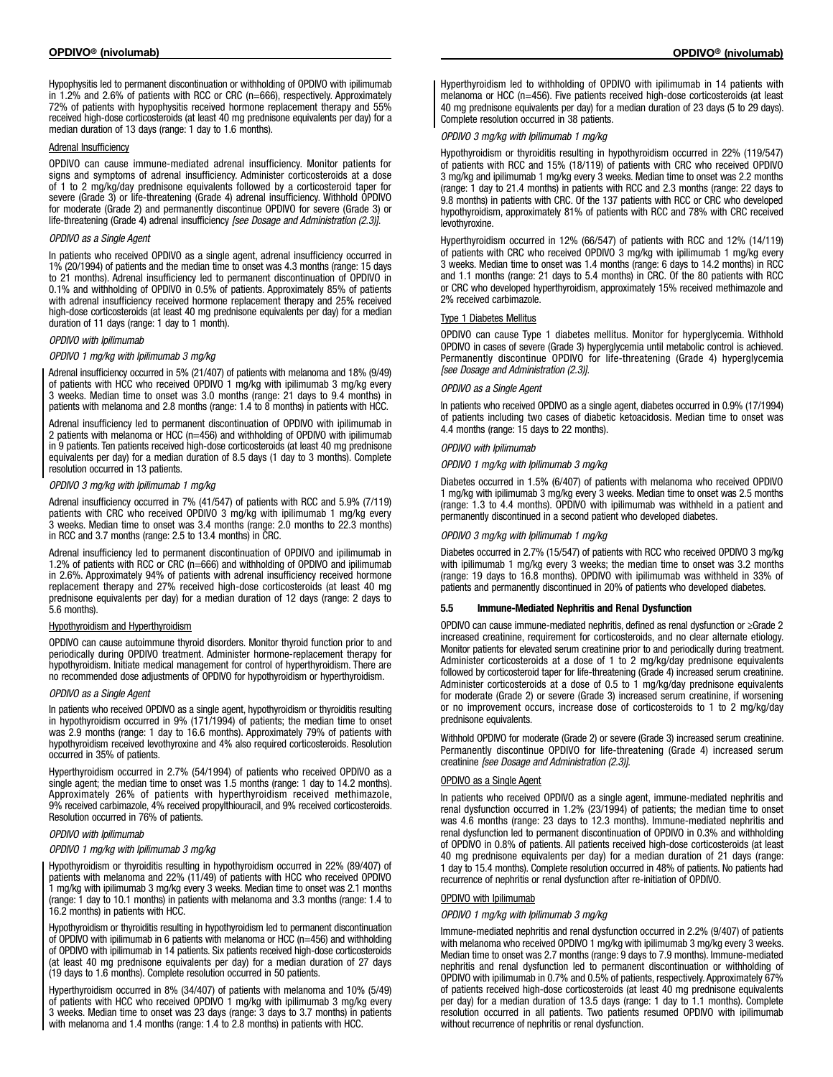Hypophysitis led to permanent discontinuation or withholding of OPDIVO with ipilimumab in 1.2% and 2.6% of patients with RCC or CRC (n=666), respectively. Approximately 72% of patients with hypophysitis received hormone replacement therapy and 55% received high-dose corticosteroids (at least 40 mg prednisone equivalents per day) for a median duration of 13 days (range: 1 day to 1.6 months).

#### Adrenal Insufficiency

OPDIVO can cause immune-mediated adrenal insufficiency. Monitor patients for signs and symptoms of adrenal insufficiency. Administer corticosteroids at a dose of 1 to 2 mg/kg/day prednisone equivalents followed by a corticosteroid taper for severe (Grade 3) or life-threatening (Grade 4) adrenal insufficiency. Withhold OPDIVO for moderate (Grade 2) and permanently discontinue OPDIVO for severe (Grade 3) or life-threatening (Grade 4) adrenal insufficiency *[see Dosage and Administration (2.3)]*.

#### *OPDIVO as a Single Agent*

In patients who received OPDIVO as a single agent, adrenal insufficiency occurred in 1% (20/1994) of patients and the median time to onset was 4.3 months (range: 15 days to 21 months). Adrenal insufficiency led to permanent discontinuation of OPDIVO in 0.1% and withholding of OPDIVO in 0.5% of patients. Approximately 85% of patients with adrenal insufficiency received hormone replacement therapy and 25% received high-dose corticosteroids (at least 40 mg prednisone equivalents per day) for a median duration of 11 days (range: 1 day to 1 month).

#### *OPDIVO with Ipilimumab*

#### *OPDIVO 1 mg/kg with Ipilimumab 3 mg/kg*

Adrenal insufficiency occurred in 5% (21/407) of patients with melanoma and 18% (9/49) of patients with HCC who received OPDIVO 1 mg/kg with ipilimumab 3 mg/kg every 3 weeks. Median time to onset was 3.0 months (range: 21 days to 9.4 months) in patients with melanoma and 2.8 months (range: 1.4 to 8 months) in patients with HCC.

Adrenal insufficiency led to permanent discontinuation of OPDIVO with ipilimumab in 2 patients with melanoma or HCC (n=456) and withholding of OPDIVO with ipilimumab in 9 patients. Ten patients received high-dose corticosteroids (at least 40 mg prednisone equivalents per day) for a median duration of 8.5 days (1 day to 3 months). Complete resolution occurred in 13 patients.

#### *OPDIVO 3 mg/kg with Ipilimumab 1 mg/kg*

Adrenal insufficiency occurred in 7% (41/547) of patients with RCC and 5.9% (7/119) patients with CRC who received OPDIVO 3 mg/kg with ipilimumab 1 mg/kg every 3 weeks. Median time to onset was 3.4 months (range: 2.0 months to 22.3 months) in RCC and 3.7 months (range: 2.5 to 13.4 months) in CRC.

Adrenal insufficiency led to permanent discontinuation of OPDIVO and ipilimumab in 1.2% of patients with RCC or CRC (n=666) and withholding of OPDIVO and ipilimumab in 2.6%. Approximately 94% of patients with adrenal insufficiency received hormone replacement therapy and 27% received high-dose corticosteroids (at least 40 mg prednisone equivalents per day) for a median duration of 12 days (range: 2 days to 5.6 months).

#### Hypothyroidism and Hyperthyroidism

OPDIVO can cause autoimmune thyroid disorders. Monitor thyroid function prior to and periodically during OPDIVO treatment. Administer hormone-replacement therapy for hypothyroidism. Initiate medical management for control of hyperthyroidism. There are no recommended dose adjustments of OPDIVO for hypothyroidism or hyperthyroidism.

#### *OPDIVO as a Single Agent*

In patients who received OPDIVO as a single agent, hypothyroidism or thyroiditis resulting in hypothyroidism occurred in 9% (171/1994) of patients; the median time to onset was 2.9 months (range: 1 day to 16.6 months). Approximately 79% of patients with hypothyroidism received levothyroxine and 4% also required corticosteroids. Resolution occurred in 35% of patients.

Hyperthyroidism occurred in 2.7% (54/1994) of patients who received OPDIVO as a single agent; the median time to onset was 1.5 months (range: 1 day to 14.2 months). Approximately 26% of patients with hyperthyroidism received methimazole, 9% received carbimazole, 4% received propylthiouracil, and 9% received corticosteroids. Resolution occurred in 76% of patients.

### *OPDIVO with Ipilimumab*

#### *OPDIVO 1 mg/kg with Ipilimumab 3 mg/kg*

Hypothyroidism or thyroiditis resulting in hypothyroidism occurred in 22% (89/407) of patients with melanoma and 22% (11/49) of patients with HCC who received OPDIVO 1 mg/kg with ipilimumab 3 mg/kg every 3 weeks. Median time to onset was 2.1 months (range: 1 day to 10.1 months) in patients with melanoma and 3.3 months (range: 1.4 to 16.2 months) in patients with HCC.

Hypothyroidism or thyroiditis resulting in hypothyroidism led to permanent discontinuation of OPDIVO with ipilimumab in 6 patients with melanoma or HCC (n=456) and withholding of OPDIVO with ipilimumab in 14 patients. Six patients received high-dose corticosteroids (at least 40 mg prednisone equivalents per day) for a median duration of 27 days (19 days to 1.6 months). Complete resolution occurred in 50 patients.

Hyperthyroidism occurred in 8% (34/407) of patients with melanoma and 10% (5/49) of patients with HCC who received OPDIVO 1 mg/kg with ipilimumab 3 mg/kg every 3 weeks. Median time to onset was 23 days (range: 3 days to 3.7 months) in patients with melanoma and 1.4 months (range: 1.4 to 2.8 months) in patients with HCC.

Hyperthyroidism led to withholding of OPDIVO with ipilimumab in 14 patients with melanoma or HCC (n=456). Five patients received high-dose corticosteroids (at least 40 mg prednisone equivalents per day) for a median duration of 23 days (5 to 29 days). Complete resolution occurred in 38 patients.

#### *OPDIVO 3 mg/kg with Ipilimumab 1 mg/kg*

Hypothyroidism or thyroiditis resulting in hypothyroidism occurred in 22% (119/547) of patients with RCC and 15% (18/119) of patients with CRC who received OPDIVO 3 mg/kg and ipilimumab 1 mg/kg every 3 weeks. Median time to onset was 2.2 months (range: 1 day to 21.4 months) in patients with RCC and 2.3 months (range: 22 days to 9.8 months) in patients with CRC. Of the 137 patients with RCC or CRC who developed hypothyroidism, approximately 81% of patients with RCC and 78% with CRC received levothyroxine.

Hyperthyroidism occurred in 12% (66/547) of patients with RCC and 12% (14/119) of patients with CRC who received OPDIVO 3 mg/kg with ipilimumab 1 mg/kg every 3 weeks. Median time to onset was 1.4 months (range: 6 days to 14.2 months) in RCC and 1.1 months (range: 21 days to 5.4 months) in CRC. Of the 80 patients with RCC or CRC who developed hyperthyroidism, approximately 15% received methimazole and 2% received carbimazole.

#### Type 1 Diabetes Mellitus

OPDIVO can cause Type 1 diabetes mellitus. Monitor for hyperglycemia. Withhold OPDIVO in cases of severe (Grade 3) hyperglycemia until metabolic control is achieved. Permanently discontinue OPDIVO for life-threatening (Grade 4) hyperglycemia *[see Dosage and Administration (2.3)]*.

#### *OPDIVO as a Single Agent*

In patients who received OPDIVO as a single agent, diabetes occurred in 0.9% (17/1994) of patients including two cases of diabetic ketoacidosis. Median time to onset was 4.4 months (range: 15 days to 22 months).

### *OPDIVO with Ipilimumab*

*OPDIVO 1 mg/kg with Ipilimumab 3 mg/kg*

Diabetes occurred in 1.5% (6/407) of patients with melanoma who received OPDIVO 1 mg/kg with ipilimumab 3 mg/kg every 3 weeks. Median time to onset was 2.5 months (range: 1.3 to 4.4 months). OPDIVO with ipilimumab was withheld in a patient and permanently discontinued in a second patient who developed diabetes.

#### *OPDIVO 3 mg/kg with Ipilimumab 1 mg/kg*

Diabetes occurred in 2.7% (15/547) of patients with RCC who received OPDIVO 3 mg/kg with ipilimumab 1 mg/kg every 3 weeks; the median time to onset was 3.2 months (range: 19 days to 16.8 months). OPDIVO with ipilimumab was withheld in 33% of patients and permanently discontinued in 20% of patients who developed diabetes.

#### 5.5 Immune-Mediated Nephritis and Renal Dysfunction

OPDIVO can cause immune-mediated nephritis, defined as renal dysfunction or ≥Grade 2 increased creatinine, requirement for corticosteroids, and no clear alternate etiology. Monitor patients for elevated serum creatinine prior to and periodically during treatment. Administer corticosteroids at a dose of 1 to 2 mg/kg/day prednisone equivalents followed by corticosteroid taper for life-threatening (Grade 4) increased serum creatinine. Administer corticosteroids at a dose of 0.5 to 1 mg/kg/day prednisone equivalents for moderate (Grade 2) or severe (Grade 3) increased serum creatinine, if worsening or no improvement occurs, increase dose of corticosteroids to 1 to 2 mg/kg/day prednisone equivalents.

Withhold OPDIVO for moderate (Grade 2) or severe (Grade 3) increased serum creatinine. Permanently discontinue OPDIVO for life-threatening (Grade 4) increased serum creatinine *[see Dosage and Administration (2.3)]*.

#### OPDIVO as a Single Agent

In patients who received OPDIVO as a single agent, immune-mediated nephritis and renal dysfunction occurred in 1.2% (23/1994) of patients; the median time to onset was 4.6 months (range: 23 days to 12.3 months). Immune-mediated nephritis and renal dysfunction led to permanent discontinuation of OPDIVO in 0.3% and withholding of OPDIVO in 0.8% of patients. All patients received high-dose corticosteroids (at least 40 mg prednisone equivalents per day) for a median duration of 21 days (range: 1 day to 15.4 months). Complete resolution occurred in 48% of patients. No patients had recurrence of nephritis or renal dysfunction after re-initiation of OPDIVO.

#### OPDIVO with Ipilimumab

*OPDIVO 1 mg/kg with Ipilimumab 3 mg/kg*

Immune-mediated nephritis and renal dysfunction occurred in 2.2% (9/407) of patients with melanoma who received OPDIVO 1 mg/kg with ipilimumab 3 mg/kg every 3 weeks. Median time to onset was 2.7 months (range: 9 days to 7.9 months). Immune-mediated nephritis and renal dysfunction led to permanent discontinuation or withholding of OPDIVO with ipilimumab in 0.7% and 0.5% of patients, respectively. Approximately 67% of patients received high-dose corticosteroids (at least 40 mg prednisone equivalents per day) for a median duration of 13.5 days (range: 1 day to 1.1 months). Complete resolution occurred in all patients. Two patients resumed OPDIVO with ipilimumab without recurrence of nephritis or renal dysfunction.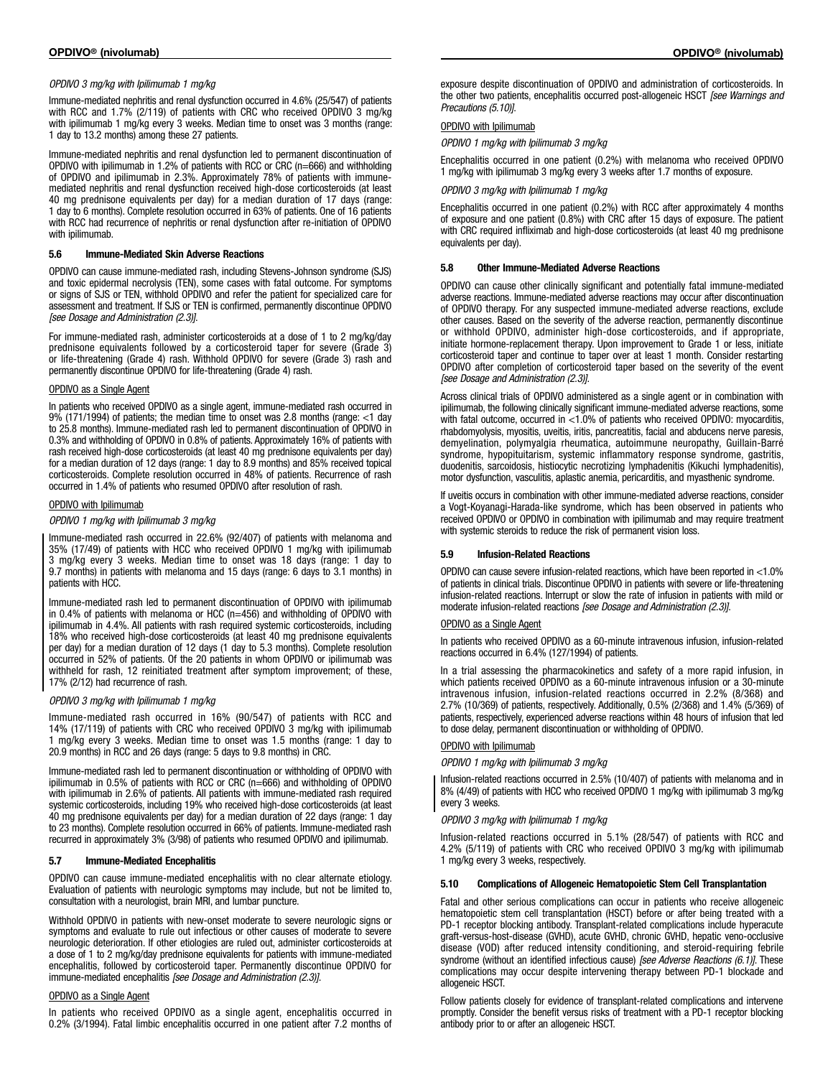#### *OPDIVO 3 mg/kg with Ipilimumab 1 mg/kg*

Immune-mediated nephritis and renal dysfunction occurred in 4.6% (25/547) of patients with RCC and 1.7% (2/119) of patients with CRC who received OPDIVO 3 mg/kg with ipilimumab 1 mg/kg every 3 weeks. Median time to onset was 3 months (range: 1 day to 13.2 months) among these 27 patients.

Immune-mediated nephritis and renal dysfunction led to permanent discontinuation of OPDIVO with ipilimumab in 1.2% of patients with RCC or CRC (n=666) and withholding of OPDIVO and ipilimumab in 2.3%. Approximately 78% of patients with immunemediated nephritis and renal dysfunction received high-dose corticosteroids (at least 40 mg prednisone equivalents per day) for a median duration of 17 days (range: 1 day to 6 months). Complete resolution occurred in 63% of patients. One of 16 patients with RCC had recurrence of nephritis or renal dysfunction after re-initiation of OPDIVO with ipilimumab.

#### 5.6 Immune-Mediated Skin Adverse Reactions

OPDIVO can cause immune-mediated rash, including Stevens-Johnson syndrome (SJS) and toxic epidermal necrolysis (TEN), some cases with fatal outcome. For symptoms or signs of SJS or TEN, withhold OPDIVO and refer the patient for specialized care for assessment and treatment. If SJS or TEN is confirmed, permanently discontinue OPDIVO *[see Dosage and Administration (2.3)]*.

For immune-mediated rash, administer corticosteroids at a dose of 1 to 2 mg/kg/day prednisone equivalents followed by a corticosteroid taper for severe (Grade 3) or life-threatening (Grade 4) rash. Withhold OPDIVO for severe (Grade 3) rash and permanently discontinue OPDIVO for life-threatening (Grade 4) rash.

#### OPDIVO as a Single Agent

In patients who received OPDIVO as a single agent, immune-mediated rash occurred in 9% (171/1994) of patients; the median time to onset was 2.8 months (range: <1 day to 25.8 months). Immune-mediated rash led to permanent discontinuation of OPDIVO in 0.3% and withholding of OPDIVO in 0.8% of patients. Approximately 16% of patients with rash received high-dose corticosteroids (at least 40 mg prednisone equivalents per day) for a median duration of 12 days (range: 1 day to 8.9 months) and 85% received topical corticosteroids. Complete resolution occurred in 48% of patients. Recurrence of rash occurred in 1.4% of patients who resumed OPDIVO after resolution of rash.

#### OPDIVO with Ipilimumab

*OPDIVO 1 mg/kg with Ipilimumab 3 mg/kg*

Immune-mediated rash occurred in 22.6% (92/407) of patients with melanoma and 35% (17/49) of patients with HCC who received OPDIVO 1 mg/kg with ipilimumab 3 mg/kg every 3 weeks. Median time to onset was 18 days (range: 1 day to 9.7 months) in patients with melanoma and 15 days (range: 6 days to 3.1 months) in patients with HCC.

Immune-mediated rash led to permanent discontinuation of OPDIVO with ipilimumab in 0.4% of patients with melanoma or HCC (n=456) and withholding of OPDIVO with ipilimumab in 4.4%. All patients with rash required systemic corticosteroids, including 18% who received high-dose corticosteroids (at least 40 mg prednisone equivalents per day) for a median duration of 12 days (1 day to 5.3 months). Complete resolution occurred in 52% of patients. Of the 20 patients in whom OPDIVO or ipilimumab was withheld for rash, 12 reinitiated treatment after symptom improvement; of these, 17% (2/12) had recurrence of rash.

#### *OPDIVO 3 mg/kg with Ipilimumab 1 mg/kg*

Immune-mediated rash occurred in 16% (90/547) of patients with RCC and 14% (17/119) of patients with CRC who received OPDIVO 3 mg/kg with ipilimumab 1 mg/kg every 3 weeks. Median time to onset was 1.5 months (range: 1 day to 20.9 months) in RCC and 26 days (range: 5 days to 9.8 months) in CRC.

Immune-mediated rash led to permanent discontinuation or withholding of OPDIVO with ipilimumab in 0.5% of patients with RCC or CRC (n=666) and withholding of OPDIVO with ipilimumab in 2.6% of patients. All patients with immune-mediated rash required systemic corticosteroids, including 19% who received high-dose corticosteroids (at least 40 mg prednisone equivalents per day) for a median duration of 22 days (range: 1 day to 23 months). Complete resolution occurred in 66% of patients. Immune-mediated rash recurred in approximately 3% (3/98) of patients who resumed OPDIVO and ipilimumab.

#### 5.7 Immune-Mediated Encephalitis

OPDIVO can cause immune-mediated encephalitis with no clear alternate etiology. Evaluation of patients with neurologic symptoms may include, but not be limited to, consultation with a neurologist, brain MRI, and lumbar puncture.

Withhold OPDIVO in patients with new-onset moderate to severe neurologic signs or symptoms and evaluate to rule out infectious or other causes of moderate to severe neurologic deterioration. If other etiologies are ruled out, administer corticosteroids at a dose of 1 to 2 mg/kg/day prednisone equivalents for patients with immune-mediated encephalitis, followed by corticosteroid taper. Permanently discontinue OPDIVO for immune-mediated encephalitis *[see Dosage and Administration (2.3)]*.

#### OPDIVO as a Single Agent

In patients who received OPDIVO as a single agent, encephalitis occurred in 0.2% (3/1994). Fatal limbic encephalitis occurred in one patient after 7.2 months of exposure despite discontinuation of OPDIVO and administration of corticosteroids. In the other two patients, encephalitis occurred post-allogeneic HSCT *[see Warnings and Precautions (5.10)]*.

#### OPDIVO with Ipilimumab

*OPDIVO 1 mg/kg with Ipilimumab 3 mg/kg*

Encephalitis occurred in one patient (0.2%) with melanoma who received OPDIVO 1 mg/kg with ipilimumab 3 mg/kg every 3 weeks after 1.7 months of exposure.

#### *OPDIVO 3 mg/kg with Ipilimumab 1 mg/kg*

Encephalitis occurred in one patient (0.2%) with RCC after approximately 4 months of exposure and one patient (0.8%) with CRC after 15 days of exposure. The patient with CRC required infliximab and high-dose corticosteroids (at least 40 mg prednisone equivalents per day).

#### 5.8 Other Immune-Mediated Adverse Reactions

OPDIVO can cause other clinically significant and potentially fatal immune-mediated adverse reactions. Immune-mediated adverse reactions may occur after discontinuation of OPDIVO therapy. For any suspected immune-mediated adverse reactions, exclude other causes. Based on the severity of the adverse reaction, permanently discontinue or withhold OPDIVO, administer high-dose corticosteroids, and if appropriate, initiate hormone-replacement therapy. Upon improvement to Grade 1 or less, initiate corticosteroid taper and continue to taper over at least 1 month. Consider restarting OPDIVO after completion of corticosteroid taper based on the severity of the event *[see Dosage and Administration (2.3)]*.

Across clinical trials of OPDIVO administered as a single agent or in combination with ipilimumab, the following clinically significant immune-mediated adverse reactions, some with fatal outcome, occurred in <1.0% of patients who received OPDIVO: myocarditis, rhabdomyolysis, myositis, uveitis, iritis, pancreatitis, facial and abducens nerve paresis, demyelination, polymyalgia rheumatica, autoimmune neuropathy, Guillain-Barré syndrome, hypopituitarism, systemic inflammatory response syndrome, gastritis, duodenitis, sarcoidosis, histiocytic necrotizing lymphadenitis (Kikuchi lymphadenitis), motor dysfunction, vasculitis, aplastic anemia, pericarditis, and myasthenic syndrome.

If uveitis occurs in combination with other immune-mediated adverse reactions, consider a Vogt-Koyanagi-Harada-like syndrome, which has been observed in patients who received OPDIVO or OPDIVO in combination with ipilimumab and may require treatment with systemic steroids to reduce the risk of permanent vision loss.

#### 5.9 Infusion-Related Reactions

OPDIVO can cause severe infusion-related reactions, which have been reported in <1.0% of patients in clinical trials. Discontinue OPDIVO in patients with severe or life-threatening infusion-related reactions. Interrupt or slow the rate of infusion in patients with mild or moderate infusion-related reactions *[see Dosage and Administration (2.3)]*.

#### OPDIVO as a Single Agent

In patients who received OPDIVO as a 60-minute intravenous infusion, infusion-related reactions occurred in 6.4% (127/1994) of patients.

In a trial assessing the pharmacokinetics and safety of a more rapid infusion, in which patients received OPDIVO as a 60-minute intravenous infusion or a 30-minute intravenous infusion, infusion-related reactions occurred in 2.2% (8/368) and 2.7% (10/369) of patients, respectively. Additionally, 0.5% (2/368) and 1.4% (5/369) of patients, respectively, experienced adverse reactions within 48 hours of infusion that led to dose delay, permanent discontinuation or withholding of OPDIVO.

#### OPDIVO with Ipilimumab

*OPDIVO 1 mg/kg with Ipilimumab 3 mg/kg*

Infusion-related reactions occurred in 2.5% (10/407) of patients with melanoma and in 8% (4/49) of patients with HCC who received OPDIVO 1 mg/kg with ipilimumab 3 mg/kg every 3 weeks.

#### *OPDIVO 3 mg/kg with Ipilimumab 1 mg/kg*

Infusion-related reactions occurred in 5.1% (28/547) of patients with RCC and 4.2% (5/119) of patients with CRC who received OPDIVO 3 mg/kg with ipilimumab 1 mg/kg every 3 weeks, respectively.

#### 5.10 Complications of Allogeneic Hematopoietic Stem Cell Transplantation

Fatal and other serious complications can occur in patients who receive allogeneic hematopoietic stem cell transplantation (HSCT) before or after being treated with a PD-1 receptor blocking antibody. Transplant-related complications include hyperacute graft-versus-host-disease (GVHD), acute GVHD, chronic GVHD, hepatic veno-occlusive disease (VOD) after reduced intensity conditioning, and steroid-requiring febrile syndrome (without an identified infectious cause) *[see Adverse Reactions (6.1)]*. These complications may occur despite intervening therapy between PD-1 blockade and allogeneic HSCT.

Follow patients closely for evidence of transplant-related complications and intervene promptly. Consider the benefit versus risks of treatment with a PD-1 receptor blocking antibody prior to or after an allogeneic HSCT.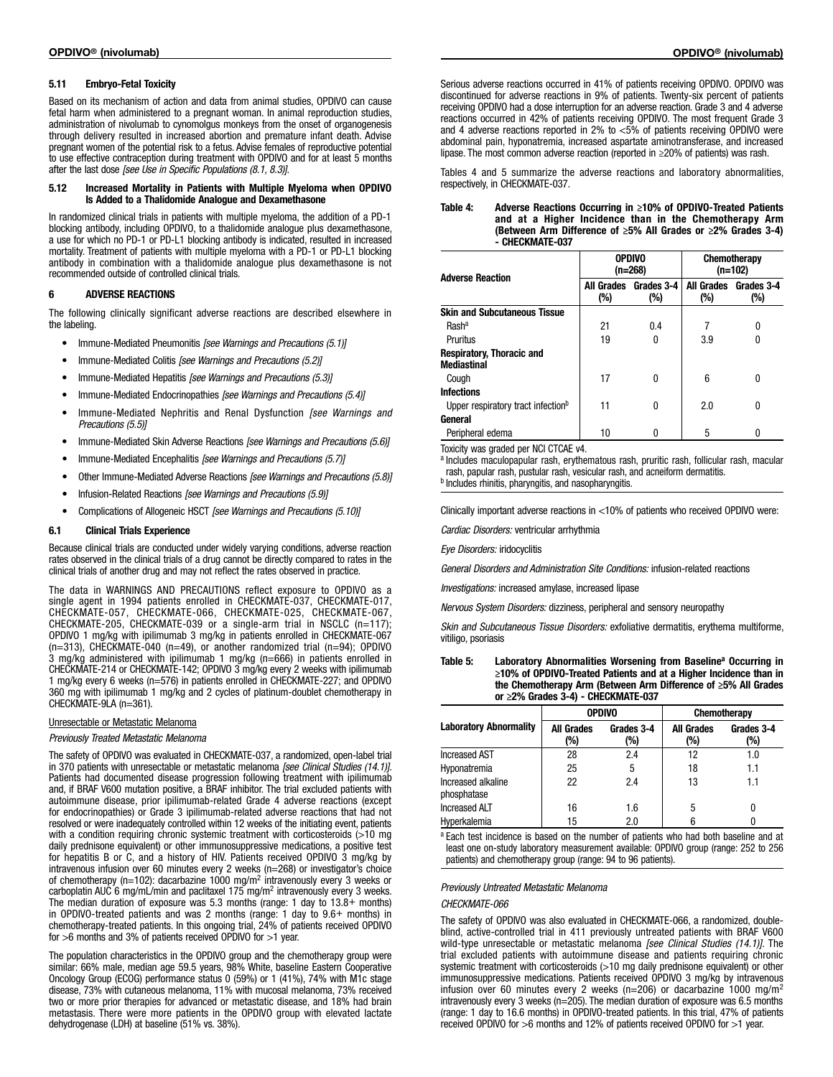Based on its mechanism of action and data from animal studies, OPDIVO can cause fetal harm when administered to a pregnant woman. In animal reproduction studies, administration of nivolumab to cynomolgus monkeys from the onset of organogenesis through delivery resulted in increased abortion and premature infant death. Advise pregnant women of the potential risk to a fetus. Advise females of reproductive potential to use effective contraception during treatment with OPDIVO and for at least 5 months after the last dose *[see Use in Specific Populations (8.1, 8.3)]*.

#### 5.12 Increased Mortality in Patients with Multiple Myeloma when OPDIVO Is Added to a Thalidomide Analogue and Dexamethasone

In randomized clinical trials in patients with multiple myeloma, the addition of a PD-1 blocking antibody, including OPDIVO, to a thalidomide analogue plus dexamethasone, a use for which no PD-1 or PD-L1 blocking antibody is indicated, resulted in increased mortality. Treatment of patients with multiple myeloma with a PD-1 or PD-L1 blocking antibody in combination with a thalidomide analogue plus dexamethasone is not recommended outside of controlled clinical trials.

#### 6 ADVERSE REACTIONS

The following clinically significant adverse reactions are described elsewhere in the labeling.

- Immune-Mediated Pneumonitis *[see Warnings and Precautions (5.1)]*
- Immune-Mediated Colitis *[see Warnings and Precautions (5.2)]*
- Immune-Mediated Hepatitis *[see Warnings and Precautions (5.3)]*
- Immune-Mediated Endocrinopathies *[see Warnings and Precautions (5.4)]*
- Immune-Mediated Nephritis and Renal Dysfunction *[see Warnings and Precautions (5.5)]*
- Immune-Mediated Skin Adverse Reactions *[see Warnings and Precautions (5.6)]*
- Immune-Mediated Encephalitis *[see Warnings and Precautions (5.7)]*
- Other Immune-Mediated Adverse Reactions *[see Warnings and Precautions (5.8)]*
- Infusion-Related Reactions *[see Warnings and Precautions (5.9)]*
- Complications of Allogeneic HSCT *[see Warnings and Precautions (5.10)]*

#### 6.1 Clinical Trials Experience

Because clinical trials are conducted under widely varying conditions, adverse reaction rates observed in the clinical trials of a drug cannot be directly compared to rates in the clinical trials of another drug and may not reflect the rates observed in practice.

The data in WARNINGS AND PRECAUTIONS reflect exposure to OPDIVO as a single agent in 1994 patients enrolled in CHECKMATE-037, CHECKMATE-017, CHECKMATE-057, CHECKMATE-066, CHECKMATE-025, CHECKMATE-067, CHECKMATE-205, CHECKMATE-039 or a single-arm trial in NSCLC (n=117); OPDIVO 1 mg/kg with ipilimumab 3 mg/kg in patients enrolled in CHECKMATE-067  $(n=313)$ , CHECKMATE-040 (n=49), or another randomized trial (n=94); OPDIVO 3 mg/kg administered with ipilimumab 1 mg/kg (n=666) in patients enrolled in CHECKMATE-214 or CHECKMATE-142; OPDIVO 3 mg/kg every 2 weeks with ipilimumab 1 mg/kg every 6 weeks (n=576) in patients enrolled in CHECKMATE-227; and OPDIVO 360 mg with ipilimumab 1 mg/kg and 2 cycles of platinum-doublet chemotherapy in CHECKMATE-9LA (n=361).

#### Unresectable or Metastatic Melanoma

#### *Previously Treated Metastatic Melanoma*

The safety of OPDIVO was evaluated in CHECKMATE-037, a randomized, open-label trial in 370 patients with unresectable or metastatic melanoma *[see Clinical Studies (14.1)]*. Patients had documented disease progression following treatment with ipilimumab and, if BRAF V600 mutation positive, a BRAF inhibitor. The trial excluded patients with autoimmune disease, prior ipilimumab-related Grade 4 adverse reactions (except for endocrinopathies) or Grade 3 ipilimumab-related adverse reactions that had not resolved or were inadequately controlled within 12 weeks of the initiating event, patients with a condition requiring chronic systemic treatment with corticosteroids (>10 mg daily prednisone equivalent) or other immunosuppressive medications, a positive test for hepatitis B or C, and a history of HIV. Patients received OPDIVO 3 mg/kg by intravenous infusion over 60 minutes every 2 weeks (n=268) or investigator's choice<br>of chemotherapy (n=102): dacarbazine 1000 mg/m<sup>2</sup> intravenously every 3 weeks or carboplatin AUC 6 mg/mL/min and paclitaxel 175 mg/m<sup>2</sup> intravenously every 3 weeks. The median duration of exposure was 5.3 months (range: 1 day to 13.8+ months) in OPDIVO-treated patients and was 2 months (range: 1 day to 9.6+ months) in chemotherapy-treated patients. In this ongoing trial, 24% of patients received OPDIVO for >6 months and 3% of patients received OPDIVO for >1 year.

The population characteristics in the OPDIVO group and the chemotherapy group were similar: 66% male, median age 59.5 years, 98% White, baseline Eastern Cooperative Oncology Group (ECOG) performance status 0 (59%) or 1 (41%), 74% with M1c stage disease, 73% with cutaneous melanoma, 11% with mucosal melanoma, 73% received two or more prior therapies for advanced or metastatic disease, and 18% had brain metastasis. There were more patients in the OPDIVO group with elevated lactate dehydrogenase (LDH) at baseline (51% vs. 38%).

Serious adverse reactions occurred in 41% of patients receiving OPDIVO. OPDIVO was discontinued for adverse reactions in 9% of patients. Twenty-six percent of patients receiving OPDIVO had a dose interruption for an adverse reaction. Grade 3 and 4 adverse reactions occurred in 42% of patients receiving OPDIVO. The most frequent Grade 3 and 4 adverse reactions reported in 2% to <5% of patients receiving OPDIVO were abdominal pain, hyponatremia, increased aspartate aminotransferase, and increased lipase. The most common adverse reaction (reported in ≥20% of patients) was rash.

Tables 4 and 5 summarize the adverse reactions and laboratory abnormalities, respectively, in CHECKMATE-037.

#### Table 4: Adverse Reactions Occurring in ≥10% of OPDIVO-Treated Patients and at a Higher Incidence than in the Chemotherapy Arm (Between Arm Difference of ≥5% All Grades or ≥2% Grades 3-4) - CHECKMATE-037

| <b>Adverse Reaction</b>                                |                          | <b>OPDIVO</b><br>$(n=268)$ | Chemotherapy<br>(n=102) |                   |  |
|--------------------------------------------------------|--------------------------|----------------------------|-------------------------|-------------------|--|
|                                                        | <b>All Grades</b><br>(%) | Grades 3-4<br>(%)          | All Grades<br>(%)       | Grades 3-4<br>(%) |  |
| <b>Skin and Subcutaneous Tissue</b>                    |                          |                            |                         |                   |  |
| Rasha                                                  | 21                       | 0.4                        |                         | 0                 |  |
| Pruritus                                               | 19                       | 0                          | 3.9                     | 0                 |  |
| <b>Respiratory, Thoracic and</b><br><b>Mediastinal</b> |                          |                            |                         |                   |  |
| Cough                                                  | 17                       | $\mathbf{0}$               | 6                       | 0                 |  |
| <b>Infections</b>                                      |                          |                            |                         |                   |  |
| Upper respiratory tract infection <sup>b</sup>         | 11                       | 0                          | 2.0                     | 0                 |  |
| General                                                |                          |                            |                         |                   |  |
| Peripheral edema                                       | 10                       |                            | 5                       |                   |  |

Toxicity was graded per NCI CTCAE v4.

a Includes maculopapular rash, erythematous rash, pruritic rash, follicular rash, macular rash, papular rash, pustular rash, vesicular rash, and acneiform dermatitis.

**b** Includes rhinitis, pharyngitis, and nasopharyngitis.

Clinically important adverse reactions in <10% of patients who received OPDIVO were:

*Cardiac Disorders:* ventricular arrhythmia

*Eye Disorders:* iridocyclitis

*General Disorders and Administration Site Conditions:* infusion-related reactions

*Investigations:* increased amylase, increased lipase

*Nervous System Disorders:* dizziness, peripheral and sensory neuropathy

*Skin and Subcutaneous Tissue Disorders:* exfoliative dermatitis, erythema multiforme, vitiligo, psoriasis

| Table 5: | Laboratory Abnormalities Worsening from Baseline <sup>3</sup> Occurring in |
|----------|----------------------------------------------------------------------------|
|          | $\geq$ 10% of OPDIVO-Treated Patients and at a Higher Incidence than in    |
|          | the Chemotherapy Arm (Between Arm Difference of $\geq$ 5% All Grades       |
|          | or $\geq$ 2% Grades 3-4) - CHECKMATE-037                                   |

|                                   |                          | <b>OPDIVO</b>     | Chemotherapy             |                   |  |
|-----------------------------------|--------------------------|-------------------|--------------------------|-------------------|--|
| <b>Laboratory Abnormality</b>     | <b>All Grades</b><br>(%) | Grades 3-4<br>(%) | <b>All Grades</b><br>(%) | Grades 3-4<br>(%) |  |
| <b>Increased AST</b>              | 28                       | 2.4               | 12                       | 1.0               |  |
| Hyponatremia                      | 25                       | 5                 | 18                       | 1.1               |  |
| Increased alkaline<br>phosphatase | 22                       | 2.4               | 13                       | 1.1               |  |
| <b>Increased ALT</b>              | 16                       | 1.6               | 5                        | 0                 |  |
| Hyperkalemia                      | 15                       | 2.0               |                          |                   |  |

a Each test incidence is based on the number of patients who had both baseline and at least one on-study laboratory measurement available: OPDIVO group (range: 252 to 256 patients) and chemotherapy group (range: 94 to 96 patients).

#### *Previously Untreated Metastatic Melanoma*

#### *CHECKMATE-066*

The safety of OPDIVO was also evaluated in CHECKMATE-066, a randomized, doubleblind, active-controlled trial in 411 previously untreated patients with BRAF V600 wild-type unresectable or metastatic melanoma *[see Clinical Studies (14.1)]*. The trial excluded patients with autoimmune disease and patients requiring chronic systemic treatment with corticosteroids (>10 mg daily prednisone equivalent) or other immunosuppressive medications. Patients received OPDIVO 3 mg/kg by intravenous infusion over 60 minutes every 2 weeks ( $n=206$ ) or dacarbazine 1000 mg/m<sup>2</sup> intravenously every 3 weeks (n=205). The median duration of exposure was 6.5 months (range: 1 day to 16.6 months) in OPDIVO-treated patients. In this trial, 47% of patients received OPDIVO for >6 months and 12% of patients received OPDIVO for >1 year.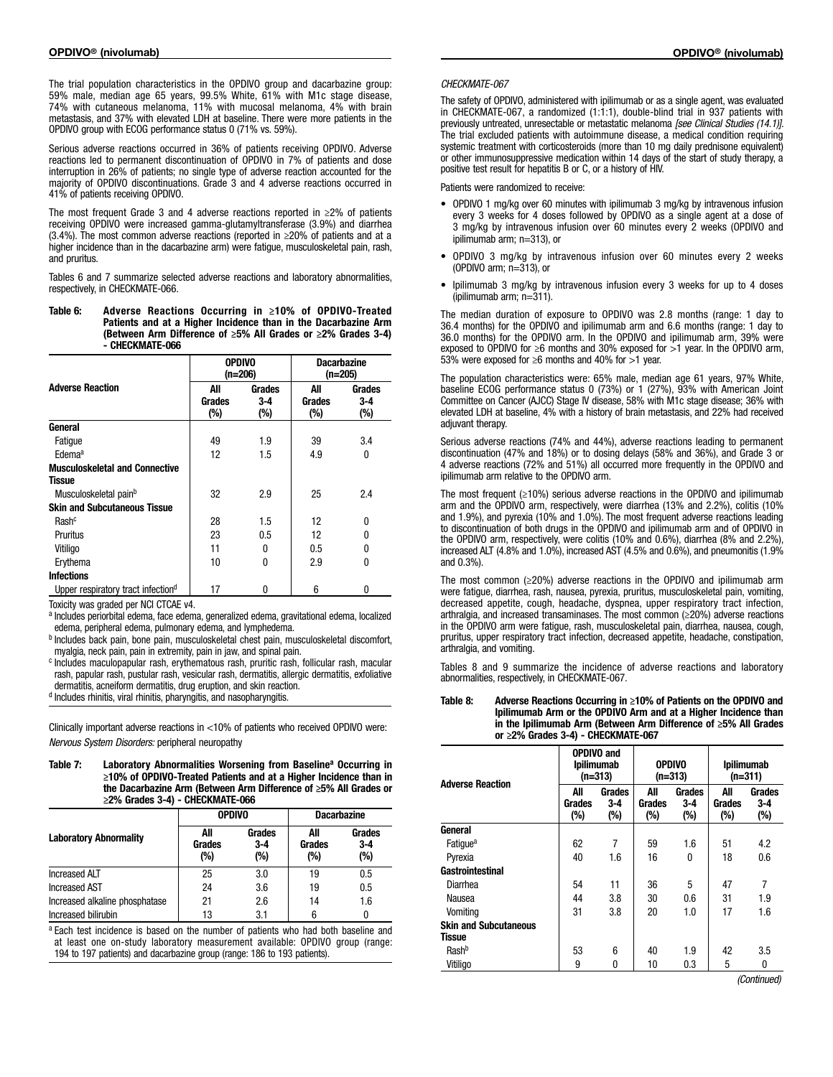The trial population characteristics in the OPDIVO group and dacarbazine group: 59% male, median age 65 years, 99.5% White, 61% with M1c stage disease, 74% with cutaneous melanoma, 11% with mucosal melanoma, 4% with brain metastasis, and 37% with elevated LDH at baseline. There were more patients in the OPDIVO group with ECOG performance status 0 (71% vs. 59%).

Serious adverse reactions occurred in 36% of patients receiving OPDIVO. Adverse reactions led to permanent discontinuation of OPDIVO in 7% of patients and dose interruption in 26% of patients; no single type of adverse reaction accounted for the majority of OPDIVO discontinuations. Grade 3 and 4 adverse reactions occurred in 41% of patients receiving OPDIVO.

The most frequent Grade 3 and 4 adverse reactions reported in ≥2% of patients receiving OPDIVO were increased gamma-glutamyltransferase (3.9%) and diarrhea (3.4%). The most common adverse reactions (reported in  $\geq$ 20% of patients and at a higher incidence than in the dacarbazine arm) were fatigue, musculoskeletal pain, rash, and pruritus.

Tables 6 and 7 summarize selected adverse reactions and laboratory abnormalities, respectively, in CHECKMATE-066.

Table 6: Adverse Reactions Occurring in ≥10% of OPDIVO-Treated Patients and at a Higher Incidence than in the Dacarbazine Arm (Between Arm Difference of ≥5% All Grades or ≥2% Grades 3-4) - CHECKMATE-066

|                                                 |                         | <b>OPDIVO</b><br>(n=206) | <b>Dacarbazine</b><br>(n=205) |                        |
|-------------------------------------------------|-------------------------|--------------------------|-------------------------------|------------------------|
| <b>Adverse Reaction</b>                         | All<br>Grades<br>$(\%)$ | Grades<br>3-4<br>(%)     | All<br>Grades<br>(%)          | Grades<br>$3-4$<br>(%) |
| General                                         |                         |                          |                               |                        |
| Fatique                                         | 49                      | 1.9                      | 39                            | 3.4                    |
| Edema <sup>a</sup>                              | 12                      | 1.5                      | 4.9                           | 0                      |
| <b>Musculoskeletal and Connective</b><br>Tissue |                         |                          |                               |                        |
| Musculoskeletal pain <sup>b</sup>               | 32                      | 2.9                      | 25                            | 2.4                    |
| <b>Skin and Subcutaneous Tissue</b>             |                         |                          |                               |                        |
| Rashc                                           | 28                      | 1.5                      | 12                            | 0                      |
| Pruritus                                        | 23                      | 0.5                      | 12                            | 0                      |
| Vitiligo                                        | 11                      | 0                        | 0.5                           | N                      |
| Erythema                                        | 10                      | 0                        | 2.9                           | 0                      |
| <b>Infections</b>                               |                         |                          |                               |                        |
| Upper respiratory tract infection <sup>d</sup>  | 17                      | 0                        | 6                             | 0                      |

Toxicity was graded per NCI CTCAE v4.

<sup>a</sup> Includes periorbital edema, face edema, generalized edema, gravitational edema, localized edema, peripheral edema, pulmonary edema, and lymphedema.

**b** Includes back pain, bone pain, musculoskeletal chest pain, musculoskeletal discomfort, myalgia, neck pain, pain in extremity, pain in jaw, and spinal pain.

<sup>c</sup> Includes maculopapular rash, erythematous rash, pruritic rash, follicular rash, macular rash, papular rash, pustular rash, vesicular rash, dermatitis, allergic dermatitis, exfoliative dermatitis, acneiform dermatitis, drug eruption, and skin reaction.

<sup>d</sup> Includes rhinitis, viral rhinitis, pharyngitis, and nasopharyngitis.

Clinically important adverse reactions in <10% of patients who received OPDIVO were: *Nervous System Disorders:* peripheral neuropathy

Table 7: Laboratory Abnormalities Worsening from Baseline<sup>a</sup> Occurring in ≥10% of OPDIVO-Treated Patients and at a Higher Incidence than in the Dacarbazine Arm (Between Arm Difference of ≥5% All Grades or ≥2% Grades 3-4) - CHECKMATE-066

|                                | <b>OPDIVO</b>        |                          | <b>Dacarbazine</b>   |                        |
|--------------------------------|----------------------|--------------------------|----------------------|------------------------|
| <b>Laboratory Abnormality</b>  | All<br>Grades<br>(%) | Grades<br>$3 - 4$<br>(%) | All<br>Grades<br>(%) | Grades<br>$3-4$<br>(%) |
| <b>Increased ALT</b>           | 25                   | 3.0                      | 19                   | 0.5                    |
| <b>Increased AST</b>           | 24                   | 3.6                      | 19                   | 0.5                    |
| Increased alkaline phosphatase | 21                   | 2.6                      | 14                   | 1.6                    |
| Increased bilirubin            | 13                   | 3.1                      |                      |                        |

<sup>a</sup> Each test incidence is based on the number of patients who had both baseline and at least one on-study laboratory measurement available: OPDIVO group (range: 194 to 197 patients) and dacarbazine group (range: 186 to 193 patients).

#### *CHECKMATE-067*

The safety of OPDIVO, administered with ipilimumab or as a single agent, was evaluated in CHECKMATE-067, a randomized (1:1:1), double-blind trial in 937 patients with previously untreated, unresectable or metastatic melanoma *[see Clinical Studies (14.1)]*. The trial excluded patients with autoimmune disease, a medical condition requiring systemic treatment with corticosteroids (more than 10 mg daily prednisone equivalent) or other immunosuppressive medication within 14 days of the start of study therapy, a positive test result for hepatitis B or C, or a history of HIV.

Patients were randomized to receive:

- OPDIVO 1 mg/kg over 60 minutes with ipilimumab 3 mg/kg by intravenous infusion every 3 weeks for 4 doses followed by OPDIVO as a single agent at a dose of 3 mg/kg by intravenous infusion over 60 minutes every 2 weeks (OPDIVO and ipilimumab arm; n=313), or
- OPDIVO 3 mg/kg by intravenous infusion over 60 minutes every 2 weeks (OPDIVO arm; n=313), or
- Ipilimumab 3 mg/kg by intravenous infusion every 3 weeks for up to 4 doses (ipilimumab arm; n=311).

The median duration of exposure to OPDIVO was 2.8 months (range: 1 day to 36.4 months) for the OPDIVO and ipilimumab arm and 6.6 months (range: 1 day to 36.0 months) for the OPDIVO arm. In the OPDIVO and ipilimumab arm, 39% were exposed to OPDIVO for  $\geq 6$  months and 30% exposed for  $>1$  year. In the OPDIVO arm, 53% were exposed for ≥6 months and 40% for >1 year.

The population characteristics were: 65% male, median age 61 years, 97% White, baseline ECOG performance status 0 (73%) or 1 (27%), 93% with American Joint Committee on Cancer (AJCC) Stage IV disease, 58% with M1c stage disease; 36% with elevated LDH at baseline, 4% with a history of brain metastasis, and 22% had received adjuvant therapy.

Serious adverse reactions (74% and 44%), adverse reactions leading to permanent discontinuation (47% and 18%) or to dosing delays (58% and 36%), and Grade 3 or 4 adverse reactions (72% and 51%) all occurred more frequently in the OPDIVO and ipilimumab arm relative to the OPDIVO arm.

The most frequent (≥10%) serious adverse reactions in the OPDIVO and ipilimumab arm and the OPDIVO arm, respectively, were diarrhea (13% and 2.2%), colitis (10% and 1.9%), and pyrexia (10% and 1.0%). The most frequent adverse reactions leading to discontinuation of both drugs in the OPDIVO and ipilimumab arm and of OPDIVO in the OPDIVO arm, respectively, were colitis (10% and 0.6%), diarrhea (8% and 2.2%), increased ALT (4.8% and 1.0%), increased AST (4.5% and 0.6%), and pneumonitis (1.9% and 0.3%).

The most common (≥20%) adverse reactions in the OPDIVO and ipilimumab arm were fatigue, diarrhea, rash, nausea, pyrexia, pruritus, musculoskeletal pain, vomiting, decreased appetite, cough, headache, dyspnea, upper respiratory tract infection, arthralgia, and increased transaminases. The most common (≥20%) adverse reactions in the OPDIVO arm were fatigue, rash, musculoskeletal pain, diarrhea, nausea, cough, pruritus, upper respiratory tract infection, decreased appetite, headache, constipation, arthralgia, and vomiting.

Tables 8 and 9 summarize the incidence of adverse reactions and laboratory abnormalities, respectively, in CHECKMATE-067.

| Table 8: | Adverse Reactions Occurring in ≥10% of Patients on the OPDIVO and     |
|----------|-----------------------------------------------------------------------|
|          | loilimumab Arm or the OPDIVO Arm and at a Higher Incidence than       |
|          | in the Ipilimumab Arm (Between Arm Difference of $\geq$ 5% All Grades |
|          | or $\geq$ 2% Grades 3-4) - CHECKMATE-067                              |

| <b>Adverse Reaction</b>                       | <b>OPDIVO and</b><br><b>Ipilimumab</b><br>$(n=313)$ |                      | <b>OPDIVO</b><br>(n=313) |                         | <b>Ipilimumab</b><br>$(n=311)$ |                           |
|-----------------------------------------------|-----------------------------------------------------|----------------------|--------------------------|-------------------------|--------------------------------|---------------------------|
|                                               | All<br>Grades<br>(%)                                | Grades<br>3-4<br>(%) | All<br>Grades<br>(%)     | Grades<br>3-4<br>$(\%)$ | All<br>Grades<br>$(\%)$        | Grades<br>$3-4$<br>$(\%)$ |
| General                                       |                                                     |                      |                          |                         |                                |                           |
| Fatique <sup>a</sup>                          | 62                                                  | 7                    | 59                       | 1.6                     | 51                             | 4.2                       |
| Pyrexia                                       | 40                                                  | 1.6                  | 16                       | 0                       | 18                             | 0.6                       |
| Gastrointestinal                              |                                                     |                      |                          |                         |                                |                           |
| Diarrhea                                      | 54                                                  | 11                   | 36                       | 5                       | 47                             | 7                         |
| Nausea                                        | 44                                                  | 3.8                  | 30                       | 0.6                     | 31                             | 1.9                       |
| Vomitina                                      | 31                                                  | 3.8                  | 20                       | 1.0                     | 17                             | 1.6                       |
| <b>Skin and Subcutaneous</b><br><b>Tissue</b> |                                                     |                      |                          |                         |                                |                           |
| Rash <sup>b</sup>                             | 53                                                  | 6                    | 40                       | 1.9                     | 42                             | 3.5                       |
| Vitiligo                                      | 9                                                   | 0                    | 10                       | 0.3                     | 5                              | 0                         |

*(Continued)*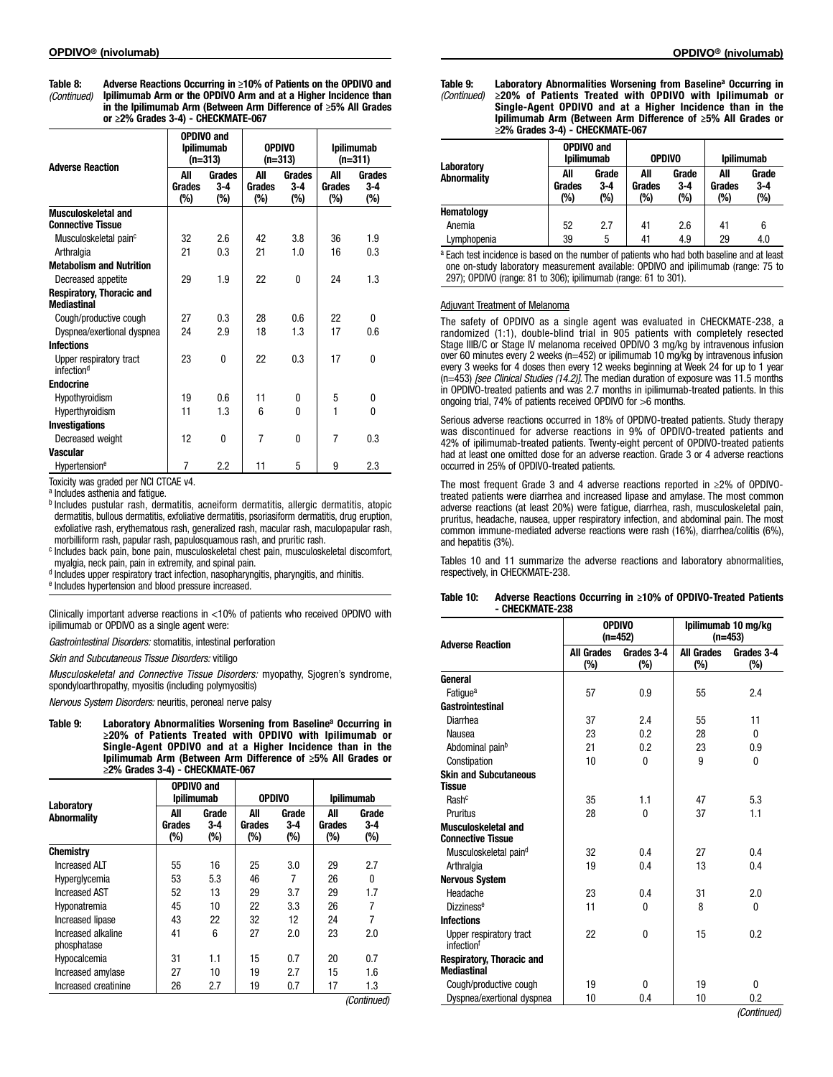| Table 8:    | Adverse Reactions Occurring in ≥10% of Patients on the OPDIVO and      |
|-------------|------------------------------------------------------------------------|
| (Continued) | loilimumab Arm or the OPDIVO Arm and at a Higher Incidence than        |
|             | in the Ipilimumab Arm (Between Arm Difference of $\geq 5\%$ All Grades |
|             | or $\geq$ 2% Grades 3-4) - CHECKMATE-067                               |

|                                                   | <b>OPDIVO and</b><br><b>Ipilimumab</b><br>$(n=313)$ |                           | <b>OPDIVO</b><br>(n=313) |                           | <b>Ipilimumab</b><br>$(n=311)$ |                               |
|---------------------------------------------------|-----------------------------------------------------|---------------------------|--------------------------|---------------------------|--------------------------------|-------------------------------|
| <b>Adverse Reaction</b>                           | All<br>Grades<br>$(\%)$                             | Grades<br>$3-4$<br>$(\%)$ | All<br>Grades<br>$(\%)$  | Grades<br>$3-4$<br>$(\%)$ | All<br>Grades<br>(%)           | <b>Grades</b><br>$3-4$<br>(%) |
| Musculoskeletal and                               |                                                     |                           |                          |                           |                                |                               |
| <b>Connective Tissue</b>                          |                                                     |                           |                          |                           |                                |                               |
| Musculoskeletal pain <sup>c</sup>                 | 32                                                  | 2.6                       | 42                       | 3.8                       | 36                             | 1.9                           |
| Arthralgia                                        | 21                                                  | 0.3                       | 21                       | 1.0                       | 16                             | 0.3                           |
| <b>Metabolism and Nutrition</b>                   |                                                     |                           |                          |                           |                                |                               |
| Decreased appetite                                | 29                                                  | 1.9                       | 22                       | 0                         | 24                             | 1.3                           |
| Respiratory, Thoracic and<br><b>Mediastinal</b>   |                                                     |                           |                          |                           |                                |                               |
| Cough/productive cough                            | 27                                                  | 0.3                       | 28                       | 0.6                       | 22                             | 0                             |
| Dyspnea/exertional dyspnea                        | 24                                                  | 2.9                       | 18                       | 1.3                       | 17                             | 0.6                           |
| <b>Infections</b>                                 |                                                     |                           |                          |                           |                                |                               |
| Upper respiratory tract<br>infection <sup>d</sup> | 23                                                  | 0                         | 22                       | 0.3                       | 17                             | 0                             |
| <b>Endocrine</b>                                  |                                                     |                           |                          |                           |                                |                               |
| Hypothyroidism                                    | 19                                                  | 0.6                       | 11                       | 0                         | 5                              | 0                             |
| Hyperthyroidism                                   | 11                                                  | 1.3                       | 6                        | 0                         | 1                              | 0                             |
| Investigations                                    |                                                     |                           |                          |                           |                                |                               |
| Decreased weight                                  | 12                                                  | 0                         | $\overline{7}$           | 0                         | 7                              | 0.3                           |
| <b>Vascular</b>                                   |                                                     |                           |                          |                           |                                |                               |
| Hypertensione                                     | 7                                                   | 2.2                       | 11                       | 5                         | 9                              | 2.3                           |

Toxicity was graded per NCI CTCAE v4.

<sup>a</sup> Includes asthenia and fatigue.

<sup>b</sup> Includes pustular rash, dermatitis, acneiform dermatitis, allergic dermatitis, atopic dermatitis, bullous dermatitis, exfoliative dermatitis, psoriasiform dermatitis, drug eruption, exfoliative rash, erythematous rash, generalized rash, macular rash, maculopapular rash, morbilliform rash, papular rash, papulosquamous rash, and pruritic rash.

<sup>c</sup> Includes back pain, bone pain, musculoskeletal chest pain, musculoskeletal discomfort, myalgia, neck pain, pain in extremity, and spinal pain.

<sup>d</sup> Includes upper respiratory tract infection, nasopharyngitis, pharyngitis, and rhinitis.

<sup>e</sup> Includes hypertension and blood pressure increased.

Clinically important adverse reactions in <10% of patients who received OPDIVO with ipilimumab or OPDIVO as a single agent were:

*Gastrointestinal Disorders:* stomatitis, intestinal perforation

*Skin and Subcutaneous Tissue Disorders:* vitiligo

*Musculoskeletal and Connective Tissue Disorders:* myopathy, Sjogren's syndrome, spondyloarthropathy, myositis (including polymyositis)

*Nervous System Disorders:* neuritis, peroneal nerve palsy

Table 9: Laboratory Abnormalities Worsening from Baseline<sup>a</sup> Occurring in ≥20% of Patients Treated with OPDIVO with Ipilimumab or Single-Agent OPDIVO and at a Higher Incidence than in the Ipilimumab Arm (Between Arm Difference of ≥5% All Grades or ≥2% Grades 3-4) - CHECKMATE-067

|                                   |                      | <b>OPDIVO and</b><br><b>Ipilimumab</b> |                      | <b>OPDIVO</b>         | <b>Ipilimumab</b>    |                         |
|-----------------------------------|----------------------|----------------------------------------|----------------------|-----------------------|----------------------|-------------------------|
| Laboratory<br><b>Abnormality</b>  | All<br>Grades<br>(%) | Grade<br>$3-4$<br>(%)                  | All<br>Grades<br>(%) | Grade<br>$3-4$<br>(%) | All<br>Grades<br>(%) | Grade<br>$3 - 4$<br>(%) |
| Chemistry                         |                      |                                        |                      |                       |                      |                         |
| <b>Increased ALT</b>              | 55                   | 16                                     | 25                   | 3.0                   | 29                   | 2.7                     |
| Hyperglycemia                     | 53                   | 5.3                                    | 46                   | 7                     | 26                   | $\mathbf{0}$            |
| <b>Increased AST</b>              | 52                   | 13                                     | 29                   | 3.7                   | 29                   | 1.7                     |
| Hyponatremia                      | 45                   | 10                                     | 22                   | 3.3                   | 26                   | 7                       |
| Increased lipase                  | 43                   | 22                                     | 32                   | 12                    | 24                   | 7                       |
| Increased alkaline<br>phosphatase | 41                   | 6                                      | 27                   | 2.0                   | 23                   | 2.0                     |
| Hypocalcemia                      | 31                   | 1.1                                    | 15                   | 0.7                   | 20                   | 0.7                     |
| Increased amylase                 | 27                   | 10                                     | 19                   | 2.7                   | 15                   | 1.6                     |
| Increased creatinine              | 26                   | 2.7                                    | 19                   | 0.7                   | 17                   | 1.3                     |

Table 9: Laboratory Abnormalities Worsening from Baseline<sup>a</sup> Occurring in ≥20% of Patients Treated with OPDIVO with Ipilimumab or Single-Agent OPDIVO and at a Higher Incidence than in the Ipilimumab Arm (Between Arm Difference of ≥5% All Grades or ≥2% Grades 3-4) - CHECKMATE-067 *(Continued)*

|                           | <b>OPDIVO and</b><br><b>Ipilimumab</b> |                        | <b>OPDIVO</b>        |                       | <b>Ipilimumab</b>    |                          |
|---------------------------|----------------------------------------|------------------------|----------------------|-----------------------|----------------------|--------------------------|
| Laboratory<br>Abnormality | All<br>Grades<br>(%)                   | Grade<br>3-4<br>$(\%)$ | All<br>Grades<br>(%) | Grade<br>$3-4$<br>(%) | All<br>Grades<br>(%) | Grade<br>$3-4$<br>$(\%)$ |
| Hematology                |                                        |                        |                      |                       |                      |                          |
| Anemia                    | 52                                     | 2.7                    | 41                   | 2.6                   | 41                   | 6                        |
| Lymphopenia               | 39                                     | 5                      | 41                   | 4.9                   | 29                   | 4.0                      |

a Each test incidence is based on the number of patients who had both baseline and at least one on-study laboratory measurement available: OPDIVO and ipilimumab (range: 75 to 297); OPDIVO (range: 81 to 306); ipilimumab (range: 61 to 301).

#### Adjuvant Treatment of Melanoma

The safety of OPDIVO as a single agent was evaluated in CHECKMATE-238, a randomized (1:1), double-blind trial in 905 patients with completely resected Stage IIIB/C or Stage IV melanoma received OPDIVO 3 mg/kg by intravenous infusion over 60 minutes every 2 weeks (n=452) or ipilimumab 10 mg/kg by intravenous infusion every 3 weeks for 4 doses then every 12 weeks beginning at Week 24 for up to 1 year (n=453) *[see Clinical Studies (14.2)]*. The median duration of exposure was 11.5 months in OPDIVO-treated patients and was 2.7 months in ipilimumab-treated patients. In this ongoing trial, 74% of patients received OPDIVO for >6 months.

Serious adverse reactions occurred in 18% of OPDIVO-treated patients. Study therapy was discontinued for adverse reactions in 9% of OPDIVO-treated patients and 42% of ipilimumab-treated patients. Twenty-eight percent of OPDIVO-treated patients had at least one omitted dose for an adverse reaction. Grade 3 or 4 adverse reactions occurred in 25% of OPDIVO-treated patients.

The most frequent Grade 3 and 4 adverse reactions reported in ≥2% of OPDIVOtreated patients were diarrhea and increased lipase and amylase. The most common adverse reactions (at least 20%) were fatigue, diarrhea, rash, musculoskeletal pain, pruritus, headache, nausea, upper respiratory infection, and abdominal pain. The most common immune-mediated adverse reactions were rash (16%), diarrhea/colitis (6%), and hepatitis (3%).

Tables 10 and 11 summarize the adverse reactions and laboratory abnormalities, respectively, in CHECKMATE-238.

| Table 10: | Adverse Reactions Occurring in ≥10% of OPDIVO-Treated Patients |
|-----------|----------------------------------------------------------------|
|           | - CHECKMATE-238                                                |

| <b>Adverse Reaction</b>                         |                          | <b>OPDIVO</b><br>$(n=452)$ | Ipilimumab 10 mg/kg<br>$(n=453)$ |                      |  |
|-------------------------------------------------|--------------------------|----------------------------|----------------------------------|----------------------|--|
|                                                 | <b>All Grades</b><br>(%) | Grades 3-4<br>(%)          | <b>All Grades</b><br>(%)         | Grades 3-4<br>$(\%)$ |  |
| General                                         |                          |                            |                                  |                      |  |
| Fatique <sup>a</sup>                            | 57                       | 0.9                        | 55                               | 2.4                  |  |
| Gastrointestinal                                |                          |                            |                                  |                      |  |
| Diarrhea                                        | 37                       | 2.4                        | 55                               | 11                   |  |
| Nausea                                          | 23                       | 0.2                        | 28                               | 0                    |  |
| Abdominal painb                                 | 21                       | 0.2                        | 23                               | 0.9                  |  |
| Constipation                                    | 10                       | $\mathbf{0}$               | 9                                | 0                    |  |
| <b>Skin and Subcutaneous</b><br><b>Tissue</b>   |                          |                            |                                  |                      |  |
| Rash <sup>c</sup>                               | 35                       | 1.1                        | 47                               | 5.3                  |  |
| Pruritus                                        | 28                       | $\Omega$                   | 37                               | 1.1                  |  |
| Musculoskeletal and<br><b>Connective Tissue</b> |                          |                            |                                  |                      |  |
| Musculoskeletal pain <sup>d</sup>               | 32                       | 0.4                        | 27                               | 0.4                  |  |
| Arthralgia                                      | 19                       | 0.4                        | 13                               | 0.4                  |  |
| <b>Nervous System</b>                           |                          |                            |                                  |                      |  |
| Headache                                        | 23                       | 0.4                        | 31                               | 2.0                  |  |
| <b>Dizziness<sup>e</sup></b>                    | 11                       | 0                          | 8                                | 0                    |  |
| <b>Infections</b>                               |                          |                            |                                  |                      |  |
| Upper respiratory tract<br>infectionf           | 22                       | $\mathbf{0}$               | 15                               | 0.2                  |  |
| Respiratory, Thoracic and<br><b>Mediastinal</b> |                          |                            |                                  |                      |  |
| Cough/productive cough                          | 19                       | 0                          | 19                               | 0                    |  |
| Dyspnea/exertional dyspnea                      | 10                       | 0.4                        | 10                               | 0.2                  |  |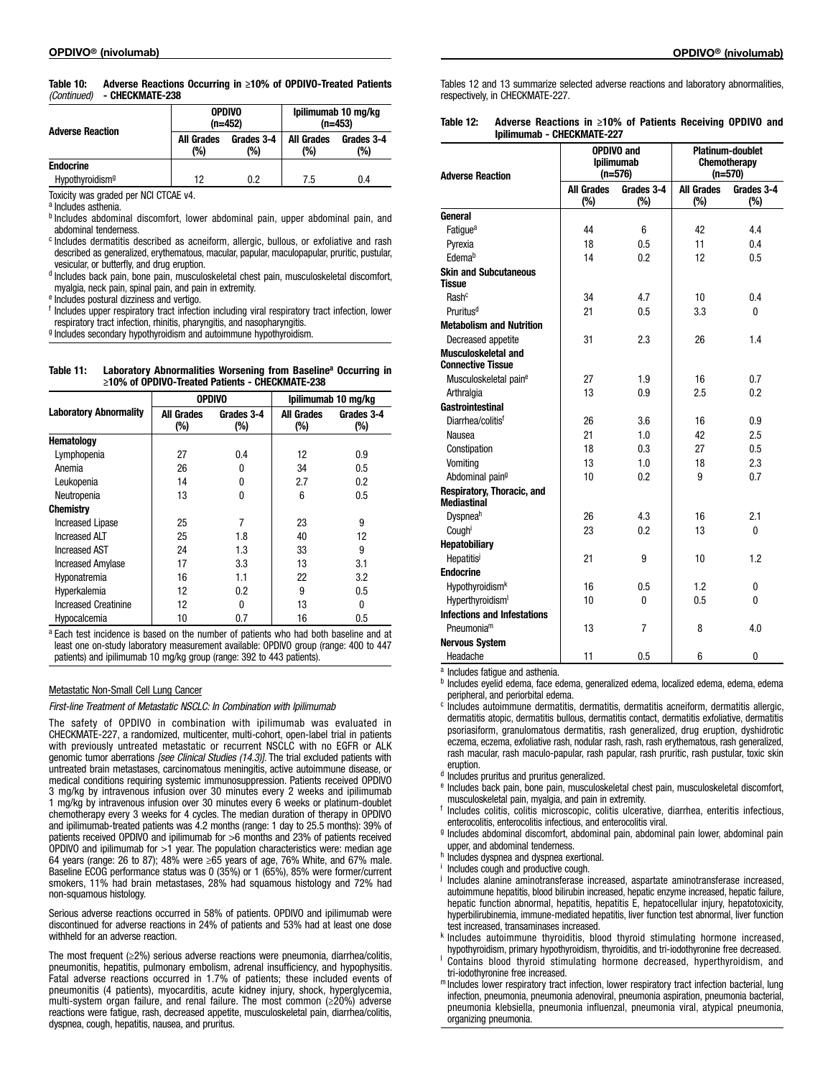| <u>IUVIIUIIUUUI</u><br>- UNEUNIVIALE 200 |                          |                          |                                  |                   |  |  |  |  |  |
|------------------------------------------|--------------------------|--------------------------|----------------------------------|-------------------|--|--|--|--|--|
| <b>Adverse Reaction</b>                  |                          | <b>OPDIVO</b><br>(n=452) | Ipilimumab 10 mg/kg<br>$(n=453)$ |                   |  |  |  |  |  |
|                                          | <b>All Grades</b><br>(%) | Grades 3-4<br>(%)        | <b>All Grades</b><br>(%)         | Grades 3-4<br>(%) |  |  |  |  |  |
| <b>Endocrine</b>                         |                          |                          |                                  |                   |  |  |  |  |  |
| Hypothyroidism <sup>g</sup>              | 12                       | 0.2                      | 7.5                              | 0.4               |  |  |  |  |  |

#### Table 10: Adverse Reactions Occurring in ≥10% of OPDIVO-Treated Patients - CHECKMATE-238 *(Continued)*

Toxicity was graded per NCI CTCAE v4.

a Includes asthenia.

**b** Includes abdominal discomfort, lower abdominal pain, upper abdominal pain, and abdominal tenderness.

<sup>c</sup> Includes dermatitis described as acneiform, allergic, bullous, or exfoliative and rash described as generalized, erythematous, macular, papular, maculopapular, pruritic, pustular, vesicular, or butterfly, and drug eruption.

<sup>d</sup> Includes back pain, bone pain, musculoskeletal chest pain, musculoskeletal discomfort, myalgia, neck pain, spinal pain, and pain in extremity.

<sup>e</sup> Includes postural dizziness and vertigo.

<sup>f</sup> Includes upper respiratory tract infection including viral respiratory tract infection, lower respiratory tract infection, rhinitis, pharyngitis, and nasopharyngitis.

<sup>g</sup> Includes secondary hypothyroidism and autoimmune hypothyroidism.

Table 11: Laboratory Abnormalities Worsening from Baseline<sup>a</sup> Occurring in ≥10% of OPDIVO-Treated Patients - CHECKMATE-238

|                               |                          | <b>OPDIVO</b>     | Ipilimumab 10 mg/kg      |                   |  |
|-------------------------------|--------------------------|-------------------|--------------------------|-------------------|--|
| <b>Laboratory Abnormality</b> | <b>All Grades</b><br>(%) | Grades 3-4<br>(%) | <b>All Grades</b><br>(%) | Grades 3-4<br>(%) |  |
| Hematology                    |                          |                   |                          |                   |  |
| Lymphopenia                   | 27                       | 0.4               | 12                       | 0.9               |  |
| Anemia                        | 26                       | 0                 | 34                       | 0.5               |  |
| Leukopenia                    | 14                       | 0                 | 2.7                      | 0.2               |  |
| Neutropenia                   | 13                       | 0                 | 6                        | 0.5               |  |
| Chemistry                     |                          |                   |                          |                   |  |
| <b>Increased Lipase</b>       | 25                       | 7                 | 23                       | 9                 |  |
| <b>Increased ALT</b>          | 25                       | 1.8               | 40                       | 12                |  |
| <b>Increased AST</b>          | 24                       | 1.3               | 33                       | 9                 |  |
| <b>Increased Amylase</b>      | 17                       | 3.3               | 13                       | 3.1               |  |
| Hyponatremia                  | 16                       | 1.1               | 22                       | 3.2               |  |
| Hyperkalemia                  | 12                       | 0.2               | 9                        | 0.5               |  |
| <b>Increased Creatinine</b>   | 12                       | 0                 | 13                       | 0                 |  |
| Hypocalcemia                  | 10                       | 0.7               | 16                       | 0.5               |  |

<sup>a</sup> Each test incidence is based on the number of patients who had both baseline and at least one on-study laboratory measurement available: OPDIVO group (range: 400 to 447 patients) and ipilimumab 10 mg/kg group (range: 392 to 443 patients).

#### Metastatic Non-Small Cell Lung Cancer

*First-line Treatment of Metastatic NSCLC: In Combination with Ipilimumab* 

The safety of OPDIVO in combination with ipilimumab was evaluated in CHECKMATE-227, a randomized, multicenter, multi-cohort, open-label trial in patients with previously untreated metastatic or recurrent NSCLC with no EGFR or ALK genomic tumor aberrations *[see Clinical Studies (14.3)]*. The trial excluded patients with untreated brain metastases, carcinomatous meningitis, active autoimmune disease, or medical conditions requiring systemic immunosuppression. Patients received OPDIVO 3 mg/kg by intravenous infusion over 30 minutes every 2 weeks and ipilimumab 1 mg/kg by intravenous infusion over 30 minutes every 6 weeks or platinum-doublet chemotherapy every 3 weeks for 4 cycles. The median duration of therapy in OPDIVO and ipilimumab-treated patients was 4.2 months (range: 1 day to 25.5 months): 39% of patients received OPDIVO and ipilimumab for >6 months and 23% of patients received OPDIVO and ipilimumab for >1 year. The population characteristics were: median age 64 years (range: 26 to 87); 48% were ≥65 years of age, 76% White, and 67% male. Baseline ECOG performance status was 0 (35%) or 1 (65%), 85% were former/current smokers, 11% had brain metastases, 28% had squamous histology and 72% had non-squamous histology.

Serious adverse reactions occurred in 58% of patients. OPDIVO and ipilimumab were discontinued for adverse reactions in 24% of patients and 53% had at least one dose withheld for an adverse reaction.

The most frequent (≥2%) serious adverse reactions were pneumonia, diarrhea/colitis, pneumonitis, hepatitis, pulmonary embolism, adrenal insufficiency, and hypophysitis. Fatal adverse reactions occurred in 1.7% of patients; these included events of pneumonitis (4 patients), myocarditis, acute kidney injury, shock, hyperglycemia, multi-system organ failure, and renal failure. The most common (≥20%) adverse reactions were fatigue, rash, decreased appetite, musculoskeletal pain, diarrhea/colitis, dyspnea, cough, hepatitis, nausea, and pruritus.

Tables 12 and 13 summarize selected adverse reactions and laboratory abnormalities, respectively, in CHECKMATE-227.

| Table 12: | Adverse Reactions in $\geq 10\%$ of Patients Receiving OPDIVO and |  |  |  |  |
|-----------|-------------------------------------------------------------------|--|--|--|--|
|           | Ipilimumab - CHECKMATE-227                                        |  |  |  |  |

| <b>Adverse Reaction</b>                          |                             | <b>OPDIVO and</b><br><b>Ipilimumab</b><br>$(n=576)$ | <b>Platinum-doublet</b><br>Chemotherapy<br>(n=570) |                   |  |
|--------------------------------------------------|-----------------------------|-----------------------------------------------------|----------------------------------------------------|-------------------|--|
|                                                  | <b>All Grades</b><br>$(\%)$ | Grades 3-4<br>(%)                                   | <b>All Grades</b><br>$(\%)$                        | Grades 3-4<br>(%) |  |
| General                                          |                             |                                                     |                                                    |                   |  |
| Fatique <sup>a</sup>                             | 44                          | 6                                                   | 42                                                 | 44                |  |
| Pyrexia                                          | 18                          | 0.5                                                 | 11                                                 | 0.4               |  |
| Edema <sup>b</sup>                               | 14                          | 0.2                                                 | 12                                                 | 0.5               |  |
| <b>Skin and Subcutaneous</b><br><b>Tissue</b>    |                             |                                                     |                                                    |                   |  |
| Rash <sup>c</sup>                                | 34                          | 4.7                                                 | 10                                                 | 0.4               |  |
| Pruritus <sup>d</sup>                            | 21                          | 0.5                                                 | 3.3                                                | 0                 |  |
| <b>Metabolism and Nutrition</b>                  |                             |                                                     |                                                    |                   |  |
| Decreased appetite                               | 31                          | 2.3                                                 | 26                                                 | 1.4               |  |
| Musculoskeletal and<br><b>Connective Tissue</b>  |                             |                                                     |                                                    |                   |  |
| Musculoskeletal paine                            | 27                          | 1.9                                                 | 16                                                 | 0.7               |  |
| Arthralgia                                       | 13                          | 0.9                                                 | 2.5                                                | 0.2               |  |
| Gastrointestinal                                 |                             |                                                     |                                                    |                   |  |
| Diarrhea/colitis <sup>f</sup>                    | 26                          | 3.6                                                 | 16                                                 | 0.9               |  |
| Nausea                                           | 21                          | 1.0                                                 | 42                                                 | 2.5               |  |
| Constipation                                     | 18                          | 0.3                                                 | 27                                                 | 0.5               |  |
| Vomitina                                         | 13                          | 1.0                                                 | 18                                                 | 2.3               |  |
| Abdominal pain <sup>g</sup>                      | 10                          | 0.2                                                 | 9                                                  | 0.7               |  |
| Respiratory, Thoracic, and<br><b>Mediastinal</b> |                             |                                                     |                                                    |                   |  |
| Dyspneah                                         | 26                          | 4.3                                                 | 16                                                 | 2.1               |  |
| Coughi                                           | 23                          | 0.2                                                 | 13                                                 | 0                 |  |
| <b>Hepatobiliary</b>                             |                             |                                                     |                                                    |                   |  |
| Hepatitis                                        | 21                          | 9                                                   | 10                                                 | 1.2               |  |
| <b>Endocrine</b>                                 |                             |                                                     |                                                    |                   |  |
| Hypothyroidism <sup>k</sup>                      | 16                          | 0.5                                                 | 1.2                                                | 0                 |  |
| Hyperthyroidism <sup>1</sup>                     | 10                          | 0                                                   | 0.5                                                | 0                 |  |
| <b>Infections and Infestations</b>               |                             |                                                     |                                                    |                   |  |
| Pneumonia <sup>m</sup>                           | 13                          | 7                                                   | 8                                                  | 4.0               |  |
| <b>Nervous System</b>                            |                             |                                                     |                                                    |                   |  |
| Headache                                         | 11                          | 0.5                                                 | 6                                                  | 0                 |  |

a Includes fatigue and asthenia.

<sup>b</sup> Includes eyelid edema, face edema, generalized edema, localized edema, edema, edema peripheral, and periorbital edema.

<sup>c</sup> Includes autoimmune dermatitis, dermatitis, dermatitis acneiform, dermatitis allergic, dermatitis atopic, dermatitis bullous, dermatitis contact, dermatitis exfoliative, dermatitis psoriasiform, granulomatous dermatitis, rash generalized, drug eruption, dyshidrotic eczema, eczema, exfoliative rash, nodular rash, rash, rash erythematous, rash generalized, rash macular, rash maculo-papular, rash papular, rash pruritic, rash pustular, toxic skin eruption.

<sup>d</sup> Includes pruritus and pruritus generalized.

<sup>e</sup> Includes back pain, bone pain, musculoskeletal chest pain, musculoskeletal discomfort, musculoskeletal pain, myalgia, and pain in extremity.

Includes colitis, colitis microscopic, colitis ulcerative, diarrhea, enteritis infectious, enterocolitis, enterocolitis infectious, and enterocolitis viral.

Includes abdominal discomfort, abdominal pain, abdominal pain lower, abdominal pain upper, and abdominal tenderness.

h Includes dyspnea and dyspnea exertional.

<sup>i</sup> Includes cough and productive cough.

<sup>j</sup> Includes alanine aminotransferase increased, aspartate aminotransferase increased, autoimmune hepatitis, blood bilirubin increased, hepatic enzyme increased, hepatic failure, hepatic function abnormal, hepatitis, hepatitis E, hepatocellular injury, hepatotoxicity, hyperbilirubinemia, immune-mediated hepatitis, liver function test abnormal, liver function test increased, transaminases increased.

<sup>k</sup> Includes autoimmune thyroiditis, blood thyroid stimulating hormone increased,

hypothyroidism, primary hypothyroidism, thyroiditis, and tri-iodothyronine free decreased. Contains blood thyroid stimulating hormone decreased, hyperthyroidism, and

tri-iodothyronine free increased. m Includes lower respiratory tract infection, lower respiratory tract infection bacterial, lung infection, pneumonia, pneumonia adenoviral, pneumonia aspiration, pneumonia bacterial, pneumonia klebsiella, pneumonia influenzal, pneumonia viral, atypical pneumonia, organizing pneumonia.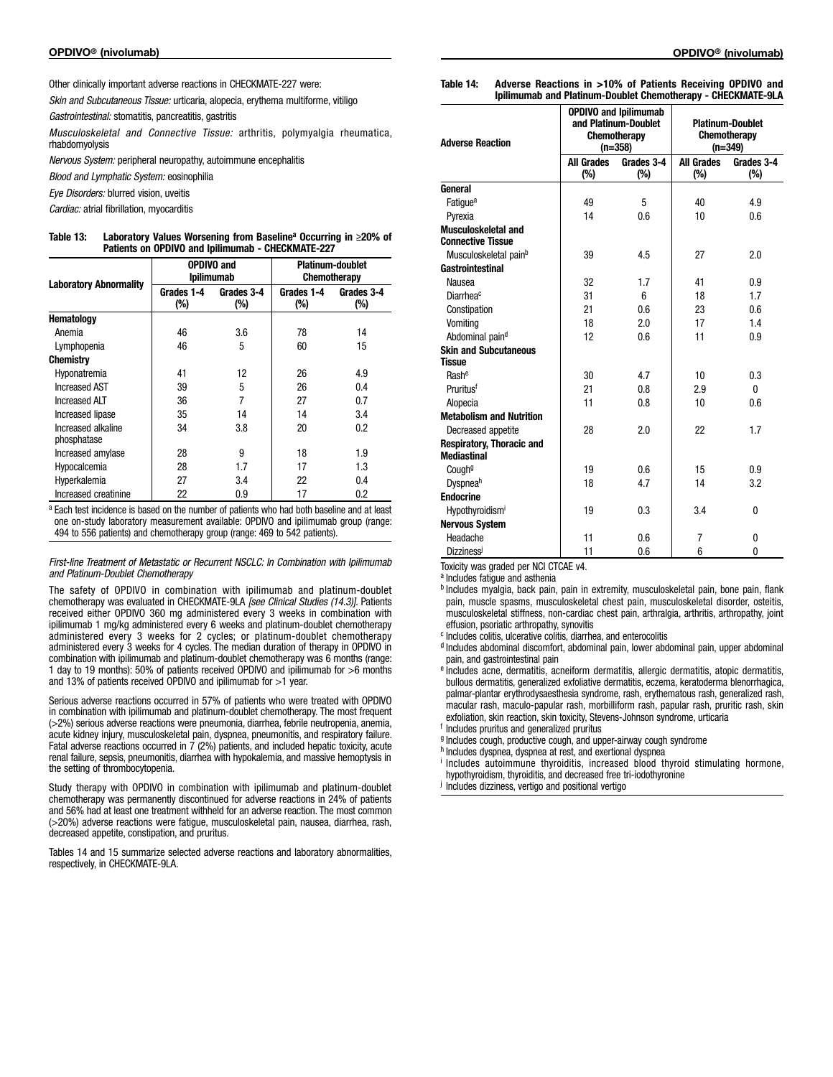#### OPDIVO® (nivolumab) OPDIVO® (nivolumab)

Other clinically important adverse reactions in CHECKMATE-227 were:

*Skin and Subcutaneous Tissue:* urticaria, alopecia, erythema multiforme, vitiligo

*Gastrointestinal:* stomatitis, pancreatitis, gastritis

*Musculoskeletal and Connective Tissue:* arthritis, polymyalgia rheumatica, rhabdomyolysis

*Nervous System:* peripheral neuropathy, autoimmune encephalitis

*Blood and Lymphatic System:* eosinophilia

*Eye Disorders:* blurred vision, uveitis

*Cardiac:* atrial fibrillation, myocarditis

| Table 13: | Laboratory Values Worsening from Baseline <sup>a</sup> Occurring in ≥20% of |
|-----------|-----------------------------------------------------------------------------|
|           | Patients on OPDIVO and Ipilimumab - CHECKMATE-227                           |

|                                   |                                           | <b>OPDIVO and</b><br><b>Ipilimumab</b> | <b>Platinum-doublet</b><br>Chemotherapy |                      |  |
|-----------------------------------|-------------------------------------------|----------------------------------------|-----------------------------------------|----------------------|--|
| <b>Laboratory Abnormality</b>     | Grades 1-4<br>Grades 3-4<br>$(\%)$<br>(%) |                                        | Grades 1-4<br>(%)                       | Grades 3-4<br>$(\%)$ |  |
| Hematology                        |                                           |                                        |                                         |                      |  |
| Anemia                            | 46                                        | 3.6                                    | 78                                      | 14                   |  |
| Lymphopenia                       | 46                                        | 5                                      | 60                                      | 15                   |  |
| <b>Chemistry</b>                  |                                           |                                        |                                         |                      |  |
| Hyponatremia                      | 41                                        | 12                                     | 26                                      | 4.9                  |  |
| <b>Increased AST</b>              | 39                                        | 5                                      | 26                                      | 0.4                  |  |
| <b>Increased ALT</b>              | 36                                        | 7                                      | 27                                      | 0.7                  |  |
| Increased lipase                  | 35                                        | 14                                     | 14                                      | 3.4                  |  |
| Increased alkaline<br>phosphatase | 34                                        | 3.8                                    | 20                                      | 0.2                  |  |
| Increased amylase                 | 28                                        | 9                                      | 18                                      | 1.9                  |  |
| 28<br>Hypocalcemia                |                                           | 1.7                                    | 17                                      | 1.3                  |  |
| Hyperkalemia                      | 27                                        | 3.4                                    | 22                                      | 0.4                  |  |
| Increased creatinine              | 22                                        | 0.9                                    | 17                                      | 0.2                  |  |

a Each test incidence is based on the number of patients who had both baseline and at least one on-study laboratory measurement available: OPDIVO and ipilimumab group (range: 494 to 556 patients) and chemotherapy group (range: 469 to 542 patients).

*First-line Treatment of Metastatic or Recurrent NSCLC: In Combination with Ipilimumab and Platinum-Doublet Chemotherapy*

The safety of OPDIVO in combination with ipilimumab and platinum-doublet chemotherapy was evaluated in CHECKMATE-9LA *[see Clinical Studies (14.3)]*. Patients received either OPDIVO 360 mg administered every 3 weeks in combination with ipilimumab 1 mg/kg administered every 6 weeks and platinum-doublet chemotherapy administered every 3 weeks for 2 cycles; or platinum-doublet chemotherapy administered every 3 weeks for 4 cycles. The median duration of therapy in OPDIVO in combination with ipilimumab and platinum-doublet chemotherapy was 6 months (range: 1 day to 19 months): 50% of patients received OPDIVO and ipilimumab for >6 months and 13% of patients received OPDIVO and ipilimumab for >1 year.

Serious adverse reactions occurred in 57% of patients who were treated with OPDIVO in combination with ipilimumab and platinum-doublet chemotherapy. The most frequent (>2%) serious adverse reactions were pneumonia, diarrhea, febrile neutropenia, anemia, acute kidney injury, musculoskeletal pain, dyspnea, pneumonitis, and respiratory failure. Fatal adverse reactions occurred in 7 (2%) patients, and included hepatic toxicity, acute renal failure, sepsis, pneumonitis, diarrhea with hypokalemia, and massive hemoptysis in the setting of thrombocytopenia.

Study therapy with OPDIVO in combination with ipilimumab and platinum-doublet chemotherapy was permanently discontinued for adverse reactions in 24% of patients and 56% had at least one treatment withheld for an adverse reaction. The most common (>20%) adverse reactions were fatigue, musculoskeletal pain, nausea, diarrhea, rash, decreased appetite, constipation, and pruritus.

Tables 14 and 15 summarize selected adverse reactions and laboratory abnormalities, respectively, in CHECKMATE-9LA.

| Table 14: | Adverse Reactions in >10% of Patients Receiving OPDIVO and   |
|-----------|--------------------------------------------------------------|
|           | Ipilimumab and Platinum-Doublet Chemotherapy - CHECKMATE-9LA |

| <b>Adverse Reaction</b>                         |                             | <b>OPDIVO and Ipilimumab</b><br>and Platinum-Doublet<br>Chemotherapy<br>$(n=358)$ | <b>Platinum-Doublet</b><br>Chemotherapy<br>(n=349) |                      |  |
|-------------------------------------------------|-----------------------------|-----------------------------------------------------------------------------------|----------------------------------------------------|----------------------|--|
|                                                 | <b>All Grades</b><br>$(\%)$ | Grades 3-4<br>(%)                                                                 | <b>All Grades</b><br>$(\%)$                        | Grades 3-4<br>$(\%)$ |  |
| General                                         |                             |                                                                                   |                                                    |                      |  |
| Fatique <sup>a</sup>                            | 49                          | 5                                                                                 | 40                                                 | 4.9                  |  |
| Pyrexia                                         | 14                          | 0.6                                                                               | 10                                                 | 0.6                  |  |
| Musculoskeletal and<br><b>Connective Tissue</b> |                             |                                                                                   |                                                    |                      |  |
| Musculoskeletal pain <sup>b</sup>               | 39                          | 4.5                                                                               | 27                                                 | 2.0                  |  |
| Gastrointestinal                                |                             |                                                                                   |                                                    |                      |  |
| Nausea                                          | 32                          | 1.7                                                                               | 41                                                 | 0.9                  |  |
| Diarrhea <sup>c</sup>                           | 31                          | 6                                                                                 | 18                                                 | 1.7                  |  |
| Constipation                                    | 21                          | 0.6                                                                               | 23                                                 | 0.6                  |  |
| Vomiting                                        | 18                          | 2.0                                                                               | 17                                                 | 1.4                  |  |
| Abdominal pain <sup>d</sup>                     | 12                          | 0.6                                                                               | 11                                                 | 0.9                  |  |
| <b>Skin and Subcutaneous</b>                    |                             |                                                                                   |                                                    |                      |  |
| <b>Tissue</b>                                   |                             |                                                                                   |                                                    |                      |  |
| Rashe                                           | 30                          | 4.7                                                                               | 10                                                 | 0.3                  |  |
| Pruritus <sup>f</sup>                           | 21                          | 0.8                                                                               | 2.9                                                | $\mathbf{0}$         |  |
| Alopecia                                        | 11                          | 0.8                                                                               | 10                                                 | 0.6                  |  |
| <b>Metabolism and Nutrition</b>                 |                             |                                                                                   |                                                    |                      |  |
| Decreased appetite                              | 28                          | 2.0                                                                               | 22                                                 | 1.7                  |  |
| <b>Respiratory, Thoracic and</b><br>Mediastinal |                             |                                                                                   |                                                    |                      |  |
| Cough <sup>g</sup>                              | 19                          | 0.6                                                                               | 15                                                 | 0.9                  |  |
| <b>Dyspneah</b>                                 | 18                          | 4.7                                                                               | 14                                                 | 3.2                  |  |
| <b>Endocrine</b>                                |                             |                                                                                   |                                                    |                      |  |
| Hypothyroidism <sup>i</sup>                     | 19                          | 0.3                                                                               | 3.4                                                | 0                    |  |
| <b>Nervous System</b>                           |                             |                                                                                   |                                                    |                      |  |
| Headache                                        | 11                          | 0.6                                                                               | 7                                                  | 0                    |  |
| Dizzinessi                                      | 11                          | 0.6                                                                               | 6                                                  | 0                    |  |

Toxicity was graded per NCI CTCAE v4.

<sup>a</sup> Includes fatigue and asthenia

**b** Includes myalgia, back pain, pain in extremity, musculoskeletal pain, bone pain, flank pain, muscle spasms, musculoskeletal chest pain, musculoskeletal disorder, osteitis, musculoskeletal stiffness, non-cardiac chest pain, arthralgia, arthritis, arthropathy, joint effusion, psoriatic arthropathy, synovitis

<sup>c</sup> Includes colitis, ulcerative colitis, diarrhea, and enterocolitis

<sup>d</sup> Includes abdominal discomfort, abdominal pain, lower abdominal pain, upper abdominal pain, and gastrointestinal pain

<sup>e</sup> Includes acne, dermatitis, acneiform dermatitis, allergic dermatitis, atopic dermatitis, bullous dermatitis, generalized exfoliative dermatitis, eczema, keratoderma blenorrhagica, palmar-plantar erythrodysaesthesia syndrome, rash, erythematous rash, generalized rash, macular rash, maculo-papular rash, morbilliform rash, papular rash, pruritic rash, skin exfoliation, skin reaction, skin toxicity, Stevens-Johnson syndrome, urticaria

<sup>f</sup> Includes pruritus and generalized pruritus

<sup>g</sup> Includes cough, productive cough, and upper-airway cough syndrome

h Includes dyspnea, dyspnea at rest, and exertional dyspnea

<sup>i</sup> Includes autoimmune thyroiditis, increased blood thyroid stimulating hormone, hypothyroidism, thyroiditis, and decreased free tri-iodothyronine

<sup>j</sup> Includes dizziness, vertigo and positional vertigo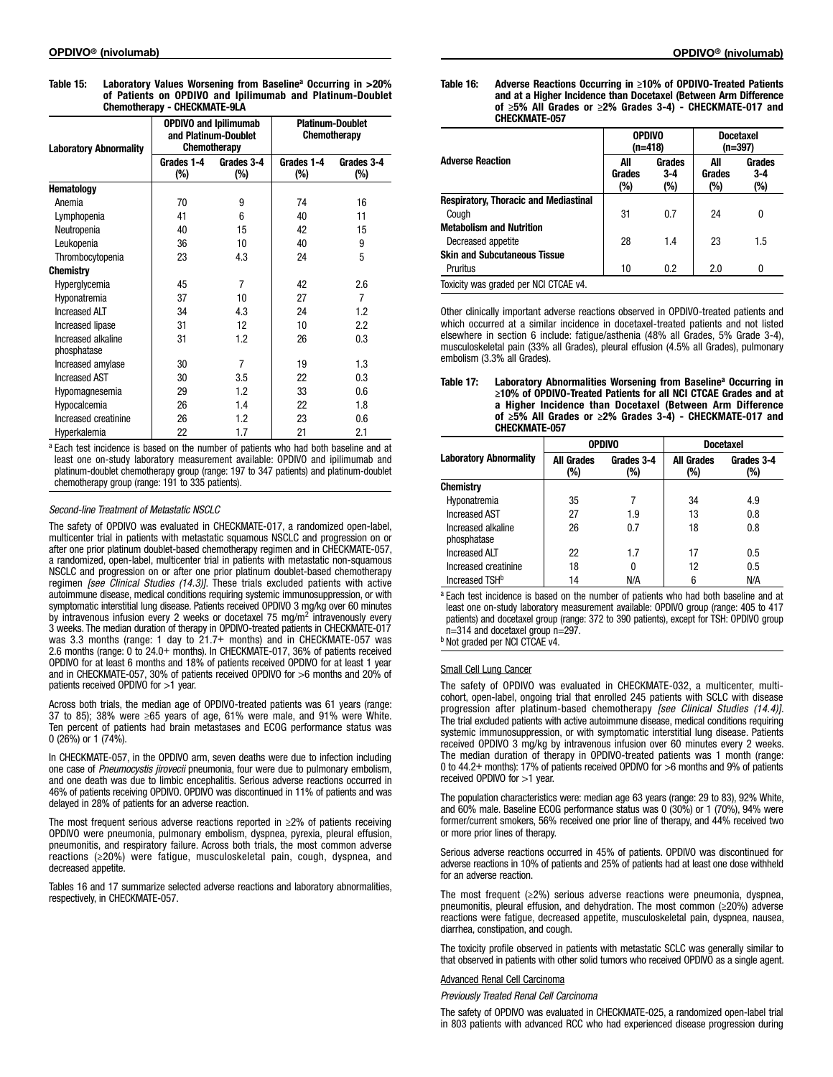| Table 15: | Laboratory Values Worsening from Baseline <sup>a</sup> Occurring in >20% |
|-----------|--------------------------------------------------------------------------|
|           | of Patients on OPDIVO and Ipilimumab and Platinum-Doublet                |
|           | <b>Chemotherapy - CHECKMATE-9LA</b>                                      |

| <b>Laboratory Abnormality</b>     |                                           | <b>OPDIVO and Ipilimumab</b><br>and Platinum-Doublet<br>Chemotherapy | <b>Platinum-Doublet</b><br>Chemotherapy |                   |  |
|-----------------------------------|-------------------------------------------|----------------------------------------------------------------------|-----------------------------------------|-------------------|--|
|                                   | Grades 1-4<br>Grades 3-4<br>$(\%)$<br>(%) |                                                                      | Grades 1-4<br>(%)                       | Grades 3-4<br>(%) |  |
| Hematology                        |                                           |                                                                      |                                         |                   |  |
| Anemia                            | 70                                        | 9                                                                    | 74                                      | 16                |  |
| Lymphopenia                       | 41                                        | 6                                                                    | 40                                      | 11                |  |
| Neutropenia                       | 40                                        | 15                                                                   | 42                                      | 15                |  |
| Leukopenia                        | 36                                        | 10                                                                   | 40                                      | 9                 |  |
| Thrombocytopenia                  | 23                                        | 4.3                                                                  | 24                                      | 5                 |  |
| Chemistry                         |                                           |                                                                      |                                         |                   |  |
| Hyperglycemia                     | 45                                        | 7                                                                    | 42                                      | 2.6               |  |
| Hyponatremia                      | 37                                        | 10                                                                   | 27                                      | 7                 |  |
| <b>Increased ALT</b>              | 34                                        | 4.3                                                                  | 24                                      | 1.2               |  |
| Increased lipase                  | 31                                        | 12                                                                   | 10                                      | 2.2               |  |
| Increased alkaline<br>phosphatase | 31                                        | 1.2                                                                  | 26                                      | 0.3               |  |
| Increased amylase                 | 30                                        | 7                                                                    | 19                                      | 1.3               |  |
| <b>Increased AST</b>              | 30                                        | 3.5                                                                  | 22                                      | 0.3               |  |
| Hypomagnesemia                    | 29                                        | 1.2                                                                  | 33                                      | 0.6               |  |
| Hypocalcemia                      | 26                                        | 1.4                                                                  | 22                                      | 1.8               |  |
| Increased creatinine              | 26                                        | 1.2                                                                  | 23                                      | 0.6               |  |
| Hyperkalemia                      | 22                                        | 1.7                                                                  | 21                                      | 2.1               |  |

a Each test incidence is based on the number of patients who had both baseline and at least one on-study laboratory measurement available: OPDIVO and ipilimumab and platinum-doublet chemotherapy group (range: 197 to 347 patients) and platinum-doublet chemotherapy group (range: 191 to 335 patients).

#### *Second-line Treatment of Metastatic NSCLC*

The safety of OPDIVO was evaluated in CHECKMATE-017, a randomized open-label, multicenter trial in patients with metastatic squamous NSCLC and progression on or after one prior platinum doublet-based chemotherapy regimen and in CHECKMATE-057, a randomized, open-label, multicenter trial in patients with metastatic non-squamous NSCLC and progression on or after one prior platinum doublet-based chemotherapy regimen *[see Clinical Studies (14.3)]*. These trials excluded patients with active autoimmune disease, medical conditions requiring systemic immunosuppression, or with symptomatic interstitial lung disease. Patients received OPDIVO 3 mg/kg over 60 minutes by intravenous infusion every 2 weeks or docetaxel 75 mg/m<sup>2</sup> intravenously every 3 weeks. The median duration of therapy in OPDIVO-treated patients in CHECKMATE-017 was 3.3 months (range: 1 day to 21.7+ months) and in CHECKMATE-057 was 2.6 months (range: 0 to 24.0+ months). In CHECKMATE-017, 36% of patients received OPDIVO for at least 6 months and 18% of patients received OPDIVO for at least 1 year and in CHECKMATE-057, 30% of patients received OPDIVO for >6 months and 20% of patients received OPDIVO for >1 year.

Across both trials, the median age of OPDIVO-treated patients was 61 years (range: 37 to 85); 38% were ≥65 years of age, 61% were male, and 91% were White. Ten percent of patients had brain metastases and ECOG performance status was 0 (26%) or 1 (74%).

In CHECKMATE-057, in the OPDIVO arm, seven deaths were due to infection including one case of *Pneumocystis jirovecii* pneumonia, four were due to pulmonary embolism, and one death was due to limbic encephalitis. Serious adverse reactions occurred in 46% of patients receiving OPDIVO. OPDIVO was discontinued in 11% of patients and was delayed in 28% of patients for an adverse reaction.

The most frequent serious adverse reactions reported in ≥2% of patients receiving OPDIVO were pneumonia, pulmonary embolism, dyspnea, pyrexia, pleural effusion, pneumonitis, and respiratory failure. Across both trials, the most common adverse reactions (≥20%) were fatigue, musculoskeletal pain, cough, dyspnea, and decreased appetite.

Tables 16 and 17 summarize selected adverse reactions and laboratory abnormalities, respectively, in CHECKMATE-057.

#### Table 16: Adverse Reactions Occurring in ≥10% of OPDIVO-Treated Patients and at a Higher Incidence than Docetaxel (Between Arm Difference of ≥5% All Grades or ≥2% Grades 3-4) - CHECKMATE-017 and CHECKMATE-057

|                                              |                         | <b>OPDIVO</b><br>$(n=418)$ | <b>Docetaxel</b><br>(n=397) |                        |
|----------------------------------------------|-------------------------|----------------------------|-----------------------------|------------------------|
| <b>Adverse Reaction</b>                      | All<br>Grades<br>$(\%)$ | Grades<br>$3-4$<br>(%)     | All<br>Grades<br>(%)        | Grades<br>$3-4$<br>(%) |
| <b>Respiratory, Thoracic and Mediastinal</b> |                         |                            |                             |                        |
| Couah                                        | 31                      | 0.7                        | 24                          | 0                      |
| <b>Metabolism and Nutrition</b>              |                         |                            |                             |                        |
| Decreased appetite                           | 28                      | 1.4                        | 23                          | 1.5                    |
| <b>Skin and Subcutaneous Tissue</b>          |                         |                            |                             |                        |
| Pruritus                                     | 10                      | 0.2                        | 2.0                         | 0                      |
| Toxicity was graded per NCI CTCAE v4.        |                         |                            |                             |                        |

Other clinically important adverse reactions observed in OPDIVO-treated patients and which occurred at a similar incidence in docetaxel-treated patients and not listed elsewhere in section 6 include: fatigue/asthenia (48% all Grades, 5% Grade 3-4), musculoskeletal pain (33% all Grades), pleural effusion (4.5% all Grades), pulmonary embolism (3.3% all Grades).

| Table 17: | Laboratory Abnormalities Worsening from Baseline <sup>3</sup> Occurring in<br>$\geq$ 10% of OPDIVO-Treated Patients for all NCI CTCAE Grades and at<br>a Higher Incidence than Docetaxel (Between Arm Difference<br>of $\geq$ 5% All Grades or $\geq$ 2% Grades 3-4) - CHECKMATE-017 and<br><b>CHECKMATE-057</b> |
|-----------|------------------------------------------------------------------------------------------------------------------------------------------------------------------------------------------------------------------------------------------------------------------------------------------------------------------|
|           |                                                                                                                                                                                                                                                                                                                  |

|                                   |                                               | <b>OPDIVO</b> | <b>Docetaxel</b>         |                   |  |
|-----------------------------------|-----------------------------------------------|---------------|--------------------------|-------------------|--|
| <b>Laboratory Abnormality</b>     | <b>All Grades</b><br>Grades 3-4<br>(%)<br>(%) |               | <b>All Grades</b><br>(%) | Grades 3-4<br>(%) |  |
| <b>Chemistry</b>                  |                                               |               |                          |                   |  |
| Hyponatremia                      | 35                                            |               | 34                       | 4.9               |  |
| Increased AST                     | 27                                            | 1.9           | 13                       | 0.8               |  |
| Increased alkaline<br>phosphatase | 26                                            | 0.7           | 18                       | 0.8               |  |
| <b>Increased ALT</b>              | 22                                            | 1.7           | 17                       | 0.5               |  |
| Increased creatinine              | 18                                            | 0             | 12                       | 0.5               |  |
| Increased TSH <sup>b</sup>        | 14                                            | N/A           |                          | N/A               |  |

a Each test incidence is based on the number of patients who had both baseline and at least one on-study laboratory measurement available: OPDIVO group (range: 405 to 417 patients) and docetaxel group (range: 372 to 390 patients), except for TSH: OPDIVO group n=314 and docetaxel group n=297.

<sup>b</sup> Not graded per NCI CTCAE v4.

#### **Small Cell Lung Cancer**

The safety of OPDIVO was evaluated in CHECKMATE-032, a multicenter, multicohort, open-label, ongoing trial that enrolled 245 patients with SCLC with disease progression after platinum-based chemotherapy *[see Clinical Studies (14.4)]*. The trial excluded patients with active autoimmune disease, medical conditions requiring systemic immunosuppression, or with symptomatic interstitial lung disease. Patients received OPDIVO 3 mg/kg by intravenous infusion over 60 minutes every 2 weeks. The median duration of therapy in OPDIVO-treated patients was 1 month (range: 0 to 44.2+ months): 17% of patients received OPDIVO for >6 months and 9% of patients received OPDIVO for >1 year.

The population characteristics were: median age 63 years (range: 29 to 83), 92% White, and 60% male. Baseline ECOG performance status was 0 (30%) or 1 (70%), 94% were former/current smokers, 56% received one prior line of therapy, and 44% received two or more prior lines of therapy.

Serious adverse reactions occurred in 45% of patients. OPDIVO was discontinued for adverse reactions in 10% of patients and 25% of patients had at least one dose withheld for an adverse reaction.

The most frequent (≥2%) serious adverse reactions were pneumonia, dyspnea, pneumonitis, pleural effusion, and dehydration. The most common (≥20%) adverse reactions were fatigue, decreased appetite, musculoskeletal pain, dyspnea, nausea, diarrhea, constipation, and cough.

The toxicity profile observed in patients with metastatic SCLC was generally similar to that observed in patients with other solid tumors who received OPDIVO as a single agent.

#### Advanced Renal Cell Carcinoma

*Previously Treated Renal Cell Carcinoma*

The safety of OPDIVO was evaluated in CHECKMATE-025, a randomized open-label trial in 803 patients with advanced RCC who had experienced disease progression during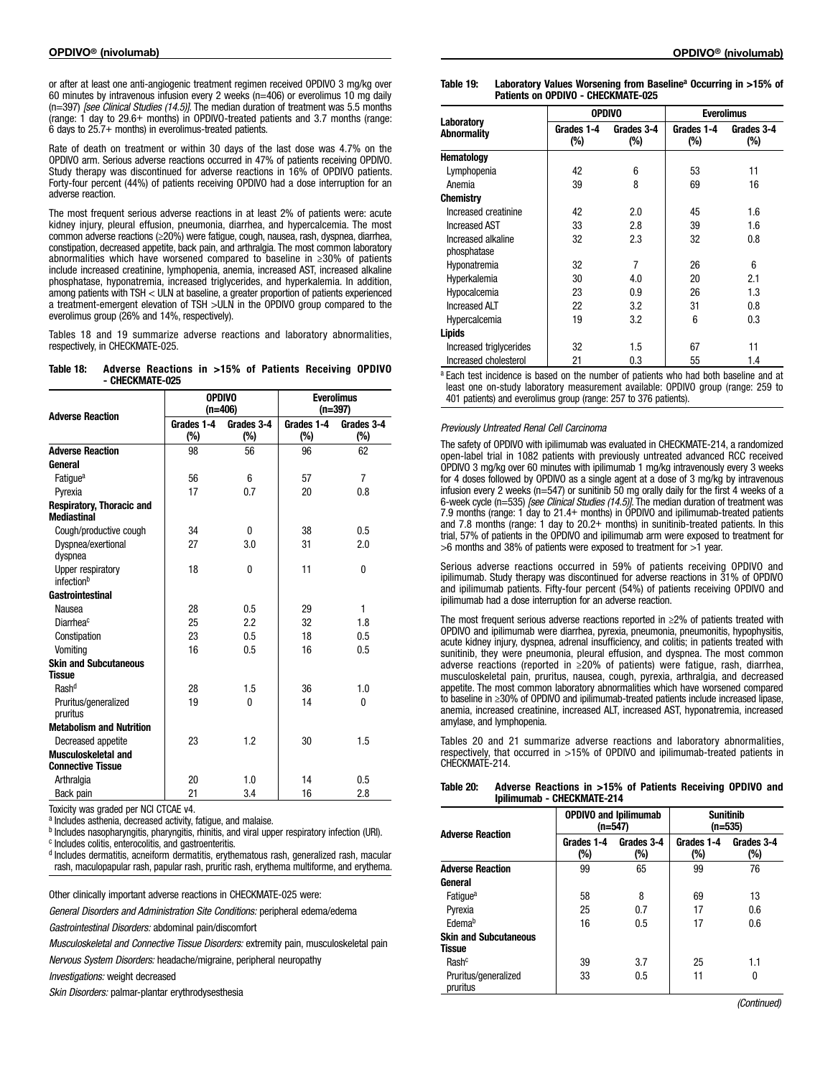or after at least one anti-angiogenic treatment regimen received OPDIVO 3 mg/kg over 60 minutes by intravenous infusion every 2 weeks (n=406) or everolimus 10 mg daily (n=397) *[see Clinical Studies (14.5)]*. The median duration of treatment was 5.5 months (range: 1 day to 29.6+ months) in OPDIVO-treated patients and 3.7 months (range: 6 days to 25.7+ months) in everolimus-treated patients.

Rate of death on treatment or within 30 days of the last dose was 4.7% on the OPDIVO arm. Serious adverse reactions occurred in 47% of patients receiving OPDIVO. Study therapy was discontinued for adverse reactions in 16% of OPDIVO patients. Forty-four percent (44%) of patients receiving OPDIVO had a dose interruption for an adverse reaction.

The most frequent serious adverse reactions in at least 2% of patients were: acute kidney injury, pleural effusion, pneumonia, diarrhea, and hypercalcemia. The most common adverse reactions (≥20%) were fatigue, cough, nausea, rash, dyspnea, diarrhea, constipation, decreased appetite, back pain, and arthralgia. The most common laboratory abnormalities which have worsened compared to baseline in ≥30% of patients include increased creatinine, lymphopenia, anemia, increased AST, increased alkaline phosphatase, hyponatremia, increased triglycerides, and hyperkalemia. In addition, among patients with TSH < ULN at baseline, a greater proportion of patients experienced a treatment-emergent elevation of TSH >ULN in the OPDIVO group compared to the everolimus group (26% and 14%, respectively).

Tables 18 and 19 summarize adverse reactions and laboratory abnormalities, respectively, in CHECKMATE-025.

| Table 18: |                 | Adverse Reactions in >15% of Patients Receiving OPDIVO |  |  |  |
|-----------|-----------------|--------------------------------------------------------|--|--|--|
|           | - CHECKMATE-025 |                                                        |  |  |  |

| <b>Adverse Reaction</b>                         |                   | <b>OPDIVO</b><br>(n=406) | <b>Everolimus</b><br>(n=397) |                   |  |
|-------------------------------------------------|-------------------|--------------------------|------------------------------|-------------------|--|
|                                                 | Grades 1-4<br>(%) | Grades 3-4<br>$(\%)$     | Grades 1-4<br>(%)            | Grades 3-4<br>(%) |  |
| <b>Adverse Reaction</b>                         | 98                | 56                       | 96                           | 62                |  |
| General                                         |                   |                          |                              |                   |  |
| Fatique <sup>a</sup>                            | 56                | 6                        | 57                           | 7                 |  |
| Pyrexia                                         | 17                | 0.7                      | 20                           | 0.8               |  |
| Respiratory, Thoracic and<br><b>Mediastinal</b> |                   |                          |                              |                   |  |
| Cough/productive cough                          | 34                | 0                        | 38                           | 0.5               |  |
| Dyspnea/exertional<br>dyspnea                   | 27                | 3.0                      | 31                           | 2.0               |  |
| Upper respiratory<br>infection <sup>b</sup>     | 18                | 0                        | 11                           | 0                 |  |
| Gastrointestinal                                |                   |                          |                              |                   |  |
| Nausea                                          | 28                | 0.5                      | 29                           | 1                 |  |
| Diarrhea <sup>c</sup>                           | 25                | 2.2                      | 32                           | 1.8               |  |
| Constipation                                    | 23                | 0.5                      | 18                           | 0.5               |  |
| Vomiting                                        | 16                | 0.5                      | 16                           | 0.5               |  |
| <b>Skin and Subcutaneous</b><br><b>Tissue</b>   |                   |                          |                              |                   |  |
| Rash <sup>d</sup>                               | 28                | 1.5                      | 36                           | 1.0               |  |
| Pruritus/generalized<br>pruritus                | 19                | 0                        | 14                           | 0                 |  |
| <b>Metabolism and Nutrition</b>                 |                   |                          |                              |                   |  |
| Decreased appetite                              | 23                | 1.2                      | 30                           | 1.5               |  |
| Musculoskeletal and<br><b>Connective Tissue</b> |                   |                          |                              |                   |  |
| Arthralgia                                      | 20                | 1.0                      | 14                           | 0.5               |  |
| Back pain                                       | 21                | 3.4                      | 16                           | 2.8               |  |

Toxicity was graded per NCI CTCAE v4.

a Includes asthenia, decreased activity, fatigue, and malaise.

b Includes nasopharyngitis, pharyngitis, rhinitis, and viral upper respiratory infection (URI).

<sup>c</sup> Includes colitis, enterocolitis, and gastroenteritis. <sup>d</sup> Includes dermatitis, acneiform dermatitis, erythematous rash, generalized rash, macular rash, maculopapular rash, papular rash, pruritic rash, erythema multiforme, and erythema.

Other clinically important adverse reactions in CHECKMATE-025 were:

*General Disorders and Administration Site Conditions:* peripheral edema/edema

*Gastrointestinal Disorders:* abdominal pain/discomfort

*Musculoskeletal and Connective Tissue Disorders:* extremity pain, musculoskeletal pain

*Nervous System Disorders:* headache/migraine, peripheral neuropathy

*Investigations:* weight decreased

*Skin Disorders:* palmar-plantar erythrodysesthesia

| Table 19: | Laboratory Values Worsening from Baseline <sup>a</sup> Occurring in >15% of |
|-----------|-----------------------------------------------------------------------------|
|           | Patients on OPDIVO - CHECKMATE-025                                          |

|                                   |                   | <b>OPDIVO</b>     | <b>Everolimus</b> |                      |
|-----------------------------------|-------------------|-------------------|-------------------|----------------------|
| Laboratory<br><b>Abnormality</b>  | Grades 1-4<br>(%) | Grades 3-4<br>(%) | Grades 1-4<br>(%) | Grades 3-4<br>$(\%)$ |
| Hematology                        |                   |                   |                   |                      |
| Lymphopenia                       | 42                | 6                 | 53                | 11                   |
| Anemia                            | 39                | 8                 | 69                | 16                   |
| <b>Chemistry</b>                  |                   |                   |                   |                      |
| Increased creatinine              | 42                | 2.0               | 45                | 1.6                  |
| <b>Increased AST</b>              | 33                | 2.8               | 39                | 1.6                  |
| Increased alkaline<br>phosphatase | 32                | 2.3               | 32                | 0.8                  |
| Hyponatremia                      | 32                | 7                 | 26                | 6                    |
| Hyperkalemia                      | 30                | 4.0               | 20                | 2.1                  |
| Hypocalcemia                      | 23                | 0.9               | 26                | 1.3                  |
| <b>Increased ALT</b>              | 22                | 3.2               | 31                | 0.8                  |
| Hypercalcemia                     | 19                | 3.2               | 6                 | 0.3                  |
| Lipids                            |                   |                   |                   |                      |
| Increased triglycerides           | 32                | 1.5               | 67                | 11                   |
| Increased cholesterol             | 21                | 0.3               | 55                | 1.4                  |

<sup>a</sup> Each test incidence is based on the number of patients who had both baseline and at least one on-study laboratory measurement available: OPDIVO group (range: 259 to 401 patients) and everolimus group (range: 257 to 376 patients).

#### *Previously Untreated Renal Cell Carcinoma*

The safety of OPDIVO with ipilimumab was evaluated in CHECKMATE-214, a randomized open-label trial in 1082 patients with previously untreated advanced RCC received OPDIVO 3 mg/kg over 60 minutes with ipilimumab 1 mg/kg intravenously every 3 weeks for 4 doses followed by OPDIVO as a single agent at a dose of 3 mg/kg by intravenous infusion every 2 weeks (n=547) or sunitinib 50 mg orally daily for the first 4 weeks of a 6-week cycle (n=535) *[see Clinical Studies (14.5)]*. The median duration of treatment was 7.9 months (range: 1 day to 21.4+ months) in OPDIVO and ipilimumab-treated patients and 7.8 months (range: 1 day to 20.2+ months) in sunitinib-treated patients. In this trial, 57% of patients in the OPDIVO and ipilimumab arm were exposed to treatment for  $>6$  months and 38% of patients were exposed to treatment for  $>1$  year.

Serious adverse reactions occurred in 59% of patients receiving OPDIVO and ipilimumab. Study therapy was discontinued for adverse reactions in 31% of OPDIVO and ipilimumab patients. Fifty-four percent (54%) of patients receiving OPDIVO and ipilimumab had a dose interruption for an adverse reaction.

The most frequent serious adverse reactions reported in ≥2% of patients treated with OPDIVO and ipilimumab were diarrhea, pyrexia, pneumonia, pneumonitis, hypophysitis, acute kidney injury, dyspnea, adrenal insufficiency, and colitis; in patients treated with sunitinib, they were pneumonia, pleural effusion, and dyspnea. The most common adverse reactions (reported in ≥20% of patients) were fatigue, rash, diarrhea, musculoskeletal pain, pruritus, nausea, cough, pyrexia, arthralgia, and decreased appetite. The most common laboratory abnormalities which have worsened compared to baseline in ≥30% of OPDIVO and ipilimumab-treated patients include increased lipase, anemia, increased creatinine, increased ALT, increased AST, hyponatremia, increased amylase, and lymphopenia.

Tables 20 and 21 summarize adverse reactions and laboratory abnormalities, respectively, that occurred in >15% of OPDIVO and ipilimumab-treated patients in CHECKMATE-214.

| Table 20: | Adverse Reactions in >15% of Patients Receiving OPDIVO and |  |  |  |  |
|-----------|------------------------------------------------------------|--|--|--|--|
|           | Ipilimumab - CHECKMATE-214                                 |  |  |  |  |

| <b>Adverse Reaction</b>                |                   | <b>OPDIVO and Ipilimumab</b><br>$(n=547)$ | <b>Sunitinib</b><br>(n=535) |                   |
|----------------------------------------|-------------------|-------------------------------------------|-----------------------------|-------------------|
|                                        | Grades 1-4<br>(%) | Grades 3-4<br>(%)                         | Grades 1-4<br>(%)           | Grades 3-4<br>(%) |
| <b>Adverse Reaction</b>                | 99                | 65                                        | 99                          | 76                |
| General                                |                   |                                           |                             |                   |
| Fatigue <sup>a</sup>                   | 58                | 8                                         | 69                          | 13                |
| Pyrexia                                | 25                | 0.7                                       | 17                          | 0.6               |
| Fdemab                                 | 16                | 0.5                                       | 17                          | 0.6               |
| <b>Skin and Subcutaneous</b><br>Tissue |                   |                                           |                             |                   |
| Rash <sup>c</sup>                      | 39                | 3.7                                       | 25                          | 1.1               |
| Pruritus/generalized<br>pruritus       | 33                | 0.5                                       | 11                          | 0                 |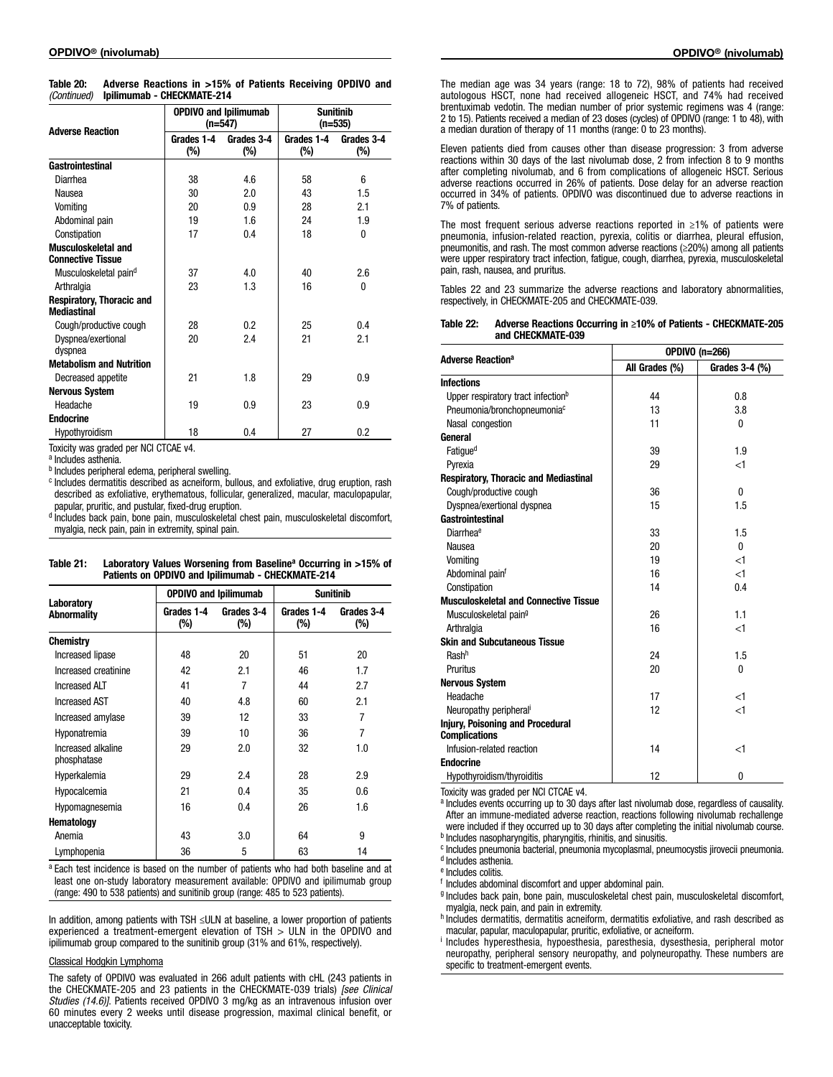| <b>Adverse Reaction</b>                         |                   | <b>OPDIVO and Ipilimumab</b><br>(n=547) | <b>Sunitinib</b><br>(n=535) |                   |
|-------------------------------------------------|-------------------|-----------------------------------------|-----------------------------|-------------------|
|                                                 | Grades 1-4<br>(%) | Grades 3-4<br>(%)                       | Grades 1-4<br>(%)           | Grades 3-4<br>(%) |
| Gastrointestinal                                |                   |                                         |                             |                   |
| Diarrhea                                        | 38                | 4.6                                     | 58                          | 6                 |
| Nausea                                          | 30                | 2.0                                     | 43                          | 1.5               |
| Vomiting                                        | 20                | 0.9                                     | 28                          | 2.1               |
| Abdominal pain                                  | 19                | 1.6                                     | 24                          | 1.9               |
| Constipation                                    | 17                | 0.4                                     | 18                          | 0                 |
| Musculoskeletal and<br><b>Connective Tissue</b> |                   |                                         |                             |                   |
| Musculoskeletal pain <sup>d</sup>               | 37                | 4.0                                     | 40                          | 2.6               |
| Arthralgia                                      | 23                | 1.3                                     | 16                          | 0                 |
| Respiratory, Thoracic and<br><b>Mediastinal</b> |                   |                                         |                             |                   |
| Cough/productive cough                          | 28                | 0.2                                     | 25                          | 0.4               |
| Dyspnea/exertional<br>dyspnea                   | 20                | 2.4                                     | 21                          | 2.1               |
| <b>Metabolism and Nutrition</b>                 |                   |                                         |                             |                   |
| Decreased appetite                              | 21                | 1.8                                     | 29                          | 0.9               |
| <b>Nervous System</b>                           |                   |                                         |                             |                   |
| Headache                                        | 19                | 0.9                                     | 23                          | 0.9               |
| <b>Endocrine</b>                                |                   |                                         |                             |                   |
| Hypothyroidism                                  | 18                | 0.4                                     | 27                          | 0.2               |

Table 20: Adverse Reactions in >15% of Patients Receiving OPDIVO and Ipilimumab - CHECKMATE-214 *(Continued)*

Toxicity was graded per NCI CTCAE v4.

<sup>a</sup> Includes asthenia.

**b** Includes peripheral edema, peripheral swelling.

<sup>c</sup> Includes dermatitis described as acneiform, bullous, and exfoliative, drug eruption, rash described as exfoliative, erythematous, follicular, generalized, macular, maculopapular, papular, pruritic, and pustular, fixed-drug eruption.

<sup>d</sup> Includes back pain, bone pain, musculoskeletal chest pain, musculoskeletal discomfort, myalgia, neck pain, pain in extremity, spinal pain.

| Table 21: | Laboratory Values Worsening from Baseline <sup>a</sup> Occurring in >15% of |
|-----------|-----------------------------------------------------------------------------|
|           | Patients on OPDIVO and Ipilimumab - CHECKMATE-214                           |

|                                   |                   | <b>OPDIVO and Ipilimumab</b> | <b>Sunitinib</b>     |                   |
|-----------------------------------|-------------------|------------------------------|----------------------|-------------------|
| Laboratory<br>Abnormality         | Grades 1-4<br>(%) | Grades 3-4<br>(%)            | Grades 1-4<br>$(\%)$ | Grades 3-4<br>(%) |
| Chemistry                         |                   |                              |                      |                   |
| Increased lipase                  | 48                | 20                           | 51                   | 20                |
| Increased creatinine              | 42                | 2.1                          | 46                   | 1.7               |
| <b>Increased ALT</b>              | 41                | 7                            | 44                   | 2.7               |
| <b>Increased AST</b>              | 40                | 4.8                          | 60                   | 2.1               |
| Increased amylase                 | 39                | 12                           | 33                   | 7                 |
| Hyponatremia                      | 39                | 10                           | 36                   | 7                 |
| Increased alkaline<br>phosphatase | 29                | 2.0                          | 32                   | 1.0               |
| Hyperkalemia                      | 29                | 2.4                          | 28                   | 2.9               |
| Hypocalcemia                      | 21                | 0.4                          | 35                   | 0.6               |
| Hypomagnesemia                    | 16                | 0.4                          | 26                   | 1.6               |
| Hematology                        |                   |                              |                      |                   |
| Anemia                            | 43                | 3.0                          | 64                   | 9                 |
| Lymphopenia                       | 36                | 5                            | 63                   | 14                |

a Each test incidence is based on the number of patients who had both baseline and at least one on-study laboratory measurement available: OPDIVO and ipilimumab group (range: 490 to 538 patients) and sunitinib group (range: 485 to 523 patients).

In addition, among patients with TSH ≤ULN at baseline, a lower proportion of patients experienced a treatment-emergent elevation of TSH > ULN in the OPDIVO and ipilimumab group compared to the sunitinib group (31% and 61%, respectively).

#### Classical Hodgkin Lymphoma

The safety of OPDIVO was evaluated in 266 adult patients with cHL (243 patients in the CHECKMATE-205 and 23 patients in the CHECKMATE-039 trials) *[see Clinical Studies (14.6)]*. Patients received OPDIVO 3 mg/kg as an intravenous infusion over 60 minutes every 2 weeks until disease progression, maximal clinical benefit, or unacceptable toxicity.

The median age was 34 years (range: 18 to 72), 98% of patients had received autologous HSCT, none had received allogeneic HSCT, and 74% had received brentuximab vedotin. The median number of prior systemic regimens was 4 (range: 2 to 15). Patients received a median of 23 doses (cycles) of OPDIVO (range: 1 to 48), with a median duration of therapy of 11 months (range: 0 to 23 months).

Eleven patients died from causes other than disease progression: 3 from adverse reactions within 30 days of the last nivolumab dose, 2 from infection 8 to 9 months after completing nivolumab, and 6 from complications of allogeneic HSCT. Serious adverse reactions occurred in 26% of patients. Dose delay for an adverse reaction occurred in 34% of patients. OPDIVO was discontinued due to adverse reactions in 7% of patients.

The most frequent serious adverse reactions reported in ≥1% of patients were pneumonia, infusion-related reaction, pyrexia, colitis or diarrhea, pleural effusion, pneumonitis, and rash. The most common adverse reactions (≥20%) among all patients were upper respiratory tract infection, fatigue, cough, diarrhea, pyrexia, musculoskeletal pain, rash, nausea, and pruritus.

Tables 22 and 23 summarize the adverse reactions and laboratory abnormalities, respectively, in CHECKMATE-205 and CHECKMATE-039.

| Table 22: | Adverse Reactions Occurring in ≥10% of Patients - CHECKMATE-205 |
|-----------|-----------------------------------------------------------------|
|           | and CHECKMATE-039                                               |

| <b>Adverse Reaction<sup>a</sup></b>                             | <b>OPDIVO (n=266)</b> |                |  |  |
|-----------------------------------------------------------------|-----------------------|----------------|--|--|
|                                                                 | All Grades (%)        | Grades 3-4 (%) |  |  |
| <b>Infections</b>                                               |                       |                |  |  |
| Upper respiratory tract infection <sup>b</sup>                  | 44                    | 0.8            |  |  |
| Pneumonia/bronchopneumonia <sup>c</sup>                         | 13                    | 3.8            |  |  |
| Nasal congestion                                                | 11                    | 0              |  |  |
| General                                                         |                       |                |  |  |
| Fatique <sup>d</sup>                                            | 39                    | 1.9            |  |  |
| Pyrexia                                                         | 29                    | $<$ 1          |  |  |
| <b>Respiratory, Thoracic and Mediastinal</b>                    |                       |                |  |  |
| Cough/productive cough                                          | 36                    | 0              |  |  |
| Dyspnea/exertional dyspnea                                      | 15                    | 1.5            |  |  |
| Gastrointestinal                                                |                       |                |  |  |
| Diarrheae                                                       | 33                    | 1.5            |  |  |
| Nausea                                                          | 20                    | 0              |  |  |
| Vomitina                                                        | 19                    | $<$ 1          |  |  |
| Abdominal painf                                                 | 16                    | $<$ 1          |  |  |
| Constipation                                                    | 14                    | 0.4            |  |  |
| <b>Musculoskeletal and Connective Tissue</b>                    |                       |                |  |  |
| Musculoskeletal pain <sup>9</sup>                               | 26                    | 1.1            |  |  |
| Arthralgia                                                      | 16                    | $<$ 1          |  |  |
| <b>Skin and Subcutaneous Tissue</b>                             |                       |                |  |  |
| Rash <sup>h</sup>                                               | 24                    | 1.5            |  |  |
| Pruritus                                                        | 20                    | 0              |  |  |
| <b>Nervous System</b>                                           |                       |                |  |  |
| Headache                                                        | 17                    | $<$ 1          |  |  |
| Neuropathy peripheral <sup>i</sup>                              | 12                    | $<$ 1          |  |  |
| <b>Injury, Poisoning and Procedural</b><br><b>Complications</b> |                       |                |  |  |
| Infusion-related reaction                                       | 14                    | $<$ 1          |  |  |
| <b>Endocrine</b>                                                |                       |                |  |  |
| Hypothyroidism/thyroiditis                                      | 12                    | 0              |  |  |

Toxicity was graded per NCI CTCAE v4.

a Includes events occurring up to 30 days after last nivolumab dose, regardless of causality. After an immune-mediated adverse reaction, reactions following nivolumab rechallenge were included if they occurred up to 30 days after completing the initial nivolumab course. **b** Includes nasopharyngitis, pharyngitis, rhinitis, and sinusitis.

<sup>c</sup> Includes pneumonia bacterial, pneumonia mycoplasmal, pneumocystis jirovecii pneumonia. <sup>d</sup> Includes asthenia.

<sup>e</sup> Includes colitis.

<sup>f</sup> Includes abdominal discomfort and upper abdominal pain.

<sup>g</sup> Includes back pain, bone pain, musculoskeletal chest pain, musculoskeletal discomfort, myalgia, neck pain, and pain in extremity.

h Includes dermatitis, dermatitis acneiform, dermatitis exfoliative, and rash described as macular, papular, maculopapular, pruritic, exfoliative, or acneiform.

<sup>i</sup> Includes hyperesthesia, hypoesthesia, paresthesia, dysesthesia, peripheral motor neuropathy, peripheral sensory neuropathy, and polyneuropathy. These numbers are specific to treatment-emergent events.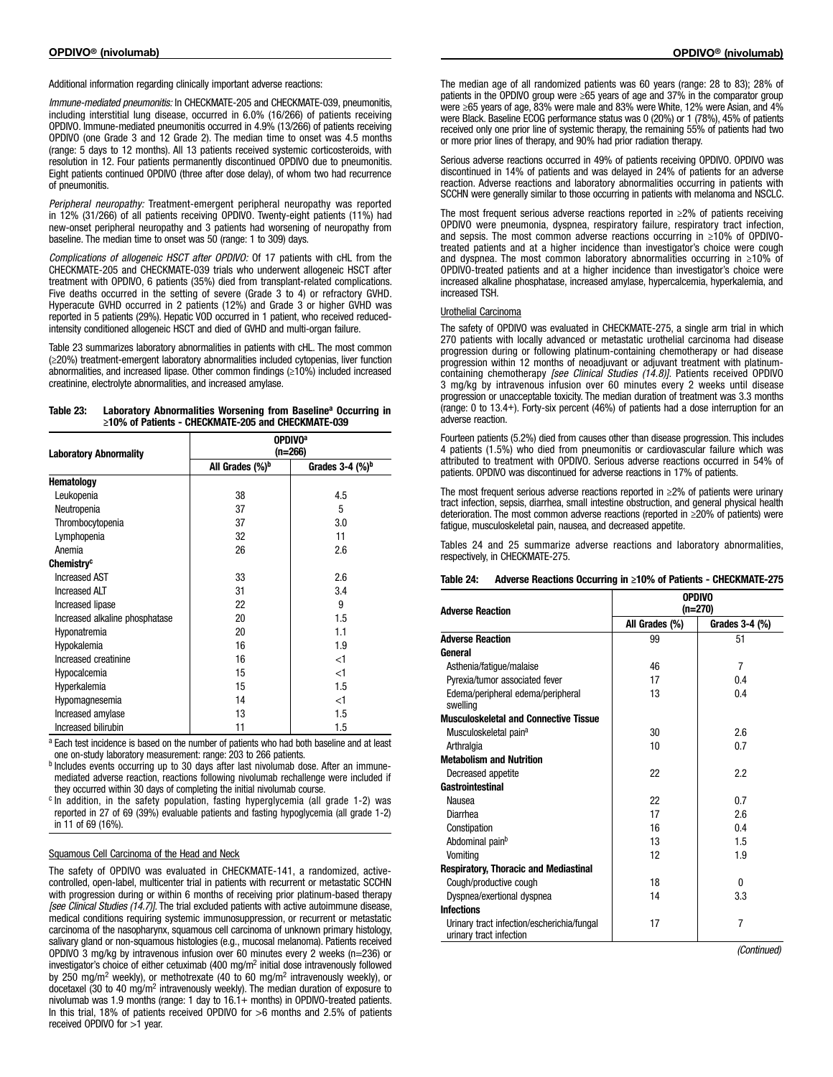Additional information regarding clinically important adverse reactions:

*Immune-mediated pneumonitis:* In CHECKMATE-205 and CHECKMATE-039, pneumonitis, including interstitial lung disease, occurred in 6.0% (16/266) of patients receiving OPDIVO. Immune-mediated pneumonitis occurred in 4.9% (13/266) of patients receiving OPDIVO (one Grade 3 and 12 Grade 2). The median time to onset was 4.5 months (range: 5 days to 12 months). All 13 patients received systemic corticosteroids, with resolution in 12. Four patients permanently discontinued OPDIVO due to pneumonitis. Eight patients continued OPDIVO (three after dose delay), of whom two had recurrence of pneumonitis.

*Peripheral neuropathy:* Treatment-emergent peripheral neuropathy was reported in 12% (31/266) of all patients receiving OPDIVO. Twenty-eight patients (11%) had new-onset peripheral neuropathy and 3 patients had worsening of neuropathy from baseline. The median time to onset was 50 (range: 1 to 309) days.

*Complications of allogeneic HSCT after OPDIVO:* Of 17 patients with cHL from the CHECKMATE-205 and CHECKMATE-039 trials who underwent allogeneic HSCT after treatment with OPDIVO, 6 patients (35%) died from transplant-related complications. Five deaths occurred in the setting of severe (Grade 3 to 4) or refractory GVHD. Hyperacute GVHD occurred in 2 patients (12%) and Grade 3 or higher GVHD was reported in 5 patients (29%). Hepatic VOD occurred in 1 patient, who received reducedintensity conditioned allogeneic HSCT and died of GVHD and multi-organ failure.

Table 23 summarizes laboratory abnormalities in patients with cHL. The most common (≥20%) treatment-emergent laboratory abnormalities included cytopenias, liver function abnormalities, and increased lipase. Other common findings (≥10%) included increased creatinine, electrolyte abnormalities, and increased amylase.

| Table 23: | Laboratory Abnormalities Worsening from Baseline <sup>a</sup> Occurring in |
|-----------|----------------------------------------------------------------------------|
|           | $\geq$ 10% of Patients - CHECKMATE-205 and CHECKMATE-039                   |

| <b>Laboratory Abnormality</b>  | <b>OPDIVO<sup>a</sup></b><br>(n=266) |                               |  |
|--------------------------------|--------------------------------------|-------------------------------|--|
|                                | All Grades (%) <sup>b</sup>          | Grades $3-4$ (%) <sup>b</sup> |  |
| <b>Hematology</b>              |                                      |                               |  |
| Leukopenia                     | 38                                   | 4.5                           |  |
| Neutropenia                    | 37                                   | 5                             |  |
| Thrombocytopenia               | 37                                   | 3.0                           |  |
| Lymphopenia                    | 32                                   | 11                            |  |
| Anemia                         | 26                                   | 2.6                           |  |
| Chemistry <sup>c</sup>         |                                      |                               |  |
| <b>Increased AST</b>           | 33                                   | 2.6                           |  |
| <b>Increased ALT</b>           | 31                                   | 3.4                           |  |
| Increased lipase               | 22                                   | 9                             |  |
| Increased alkaline phosphatase | 20                                   | 1.5                           |  |
| Hyponatremia                   | 20                                   | 1.1                           |  |
| Hypokalemia                    | 16                                   | 1.9                           |  |
| Increased creatinine           | 16                                   | <1                            |  |
| Hypocalcemia                   | 15                                   | $<$ 1                         |  |
| Hyperkalemia                   | 15                                   | 1.5                           |  |
| Hypomagnesemia                 | 14                                   | $<$ 1                         |  |
| Increased amylase              | 13                                   | 1.5                           |  |
| Increased bilirubin            | 11                                   | 1.5                           |  |

<sup>a</sup> Each test incidence is based on the number of patients who had both baseline and at least one on-study laboratory measurement: range: 203 to 266 patients.

**b** Includes events occurring up to 30 days after last nivolumab dose. After an immunemediated adverse reaction, reactions following nivolumab rechallenge were included if they occurred within 30 days of completing the initial nivolumab course.

<sup>c</sup> In addition, in the safety population, fasting hyperglycemia (all grade 1-2) was reported in 27 of 69 (39%) evaluable patients and fasting hypoglycemia (all grade 1-2) in 11 of 69 (16%).

#### Squamous Cell Carcinoma of the Head and Neck

The safety of OPDIVO was evaluated in CHECKMATE-141, a randomized, activecontrolled, open-label, multicenter trial in patients with recurrent or metastatic SCCHN with progression during or within 6 months of receiving prior platinum-based therapy *[see Clinical Studies (14.7)]*. The trial excluded patients with active autoimmune disease, medical conditions requiring systemic immunosuppression, or recurrent or metastatic carcinoma of the nasopharynx, squamous cell carcinoma of unknown primary histology, salivary gland or non-squamous histologies (e.g., mucosal melanoma). Patients received OPDIVO 3 mg/kg by intravenous infusion over 60 minutes every 2 weeks (n=236) or investigator's choice of either cetuximab (400 mg/m<sup>2</sup> initial dose intravenously followed by 250 mg/m<sup>2</sup> weekly), or methotrexate (40 to 60 mg/m<sup>2</sup> intravenously weekly), or docetaxel (30 to 40 mg/m<sup>2</sup> intravenously weekly). The median duration of exposure to nivolumab was 1.9 months (range: 1 day to 16.1+ months) in OPDIVO-treated patients. In this trial, 18% of patients received OPDIVO for  $>6$  months and 2.5% of patients received OPDIVO for >1 year.

The median age of all randomized patients was 60 years (range: 28 to 83); 28% of patients in the OPDIVO group were ≥65 years of age and 37% in the comparator group were ≥65 years of age, 83% were male and 83% were White, 12% were Asian, and 4% were Black. Baseline ECOG performance status was 0 (20%) or 1 (78%), 45% of patients received only one prior line of systemic therapy, the remaining 55% of patients had two or more prior lines of therapy, and 90% had prior radiation therapy.

Serious adverse reactions occurred in 49% of patients receiving OPDIVO. OPDIVO was discontinued in 14% of patients and was delayed in 24% of patients for an adverse reaction. Adverse reactions and laboratory abnormalities occurring in patients with SCCHN were generally similar to those occurring in patients with melanoma and NSCLC.

The most frequent serious adverse reactions reported in ≥2% of patients receiving OPDIVO were pneumonia, dyspnea, respiratory failure, respiratory tract infection, and sepsis. The most common adverse reactions occurring in ≥10% of OPDIVOtreated patients and at a higher incidence than investigator's choice were cough and dyspnea. The most common laboratory abnormalities occurring in ≥10% of OPDIVO-treated patients and at a higher incidence than investigator's choice were increased alkaline phosphatase, increased amylase, hypercalcemia, hyperkalemia, and increased TSH.

#### Urothelial Carcinoma

The safety of OPDIVO was evaluated in CHECKMATE-275, a single arm trial in which 270 patients with locally advanced or metastatic urothelial carcinoma had disease progression during or following platinum-containing chemotherapy or had disease progression within 12 months of neoadjuvant or adjuvant treatment with platinumcontaining chemotherapy *[see Clinical Studies (14.8)]*. Patients received OPDIVO 3 mg/kg by intravenous infusion over 60 minutes every 2 weeks until disease progression or unacceptable toxicity. The median duration of treatment was 3.3 months (range: 0 to 13.4+). Forty-six percent (46%) of patients had a dose interruption for an adverse reaction.

Fourteen patients (5.2%) died from causes other than disease progression. This includes 4 patients (1.5%) who died from pneumonitis or cardiovascular failure which was attributed to treatment with OPDIVO. Serious adverse reactions occurred in 54% of patients. OPDIVO was discontinued for adverse reactions in 17% of patients.

The most frequent serious adverse reactions reported in ≥2% of patients were urinary tract infection, sepsis, diarrhea, small intestine obstruction, and general physical health deterioration. The most common adverse reactions (reported in ≥20% of patients) were fatigue, musculoskeletal pain, nausea, and decreased appetite.

Tables 24 and 25 summarize adverse reactions and laboratory abnormalities, respectively, in CHECKMATE-275.

#### Table 24: Adverse Reactions Occurring in ≥10% of Patients - CHECKMATE-275

| <b>Adverse Reaction</b>                                               | <b>OPDIVO</b><br>(n=270) |                |  |
|-----------------------------------------------------------------------|--------------------------|----------------|--|
|                                                                       | All Grades (%)           | Grades 3-4 (%) |  |
| <b>Adverse Reaction</b>                                               | 99                       | 51             |  |
| General                                                               |                          |                |  |
| Asthenia/fatigue/malaise                                              | 46                       | 7              |  |
| Pyrexia/tumor associated fever                                        | 17                       | 0.4            |  |
| Edema/peripheral edema/peripheral<br>swelling                         | 13                       | 0.4            |  |
| <b>Musculoskeletal and Connective Tissue</b>                          |                          |                |  |
| Musculoskeletal pain <sup>a</sup>                                     | 30                       | 2.6            |  |
| Arthralgia                                                            | 10                       | 0.7            |  |
| <b>Metabolism and Nutrition</b>                                       |                          |                |  |
| Decreased appetite                                                    | 22                       | 22             |  |
| Gastrointestinal                                                      |                          |                |  |
| Nausea                                                                | 22                       | 0.7            |  |
| Diarrhea                                                              | 17                       | 2.6            |  |
| Constipation                                                          | 16                       | 0.4            |  |
| Abdominal pain <sup>b</sup>                                           | 13                       | 1.5            |  |
| Vomiting                                                              | 12                       | 1.9            |  |
| <b>Respiratory, Thoracic and Mediastinal</b>                          |                          |                |  |
| Cough/productive cough                                                | 18                       | 0              |  |
| Dyspnea/exertional dyspnea                                            | 14                       | 3.3            |  |
| <b>Infections</b>                                                     |                          |                |  |
| Urinary tract infection/escherichia/fungal<br>urinary tract infection | 17                       | 7              |  |

*(Continued)*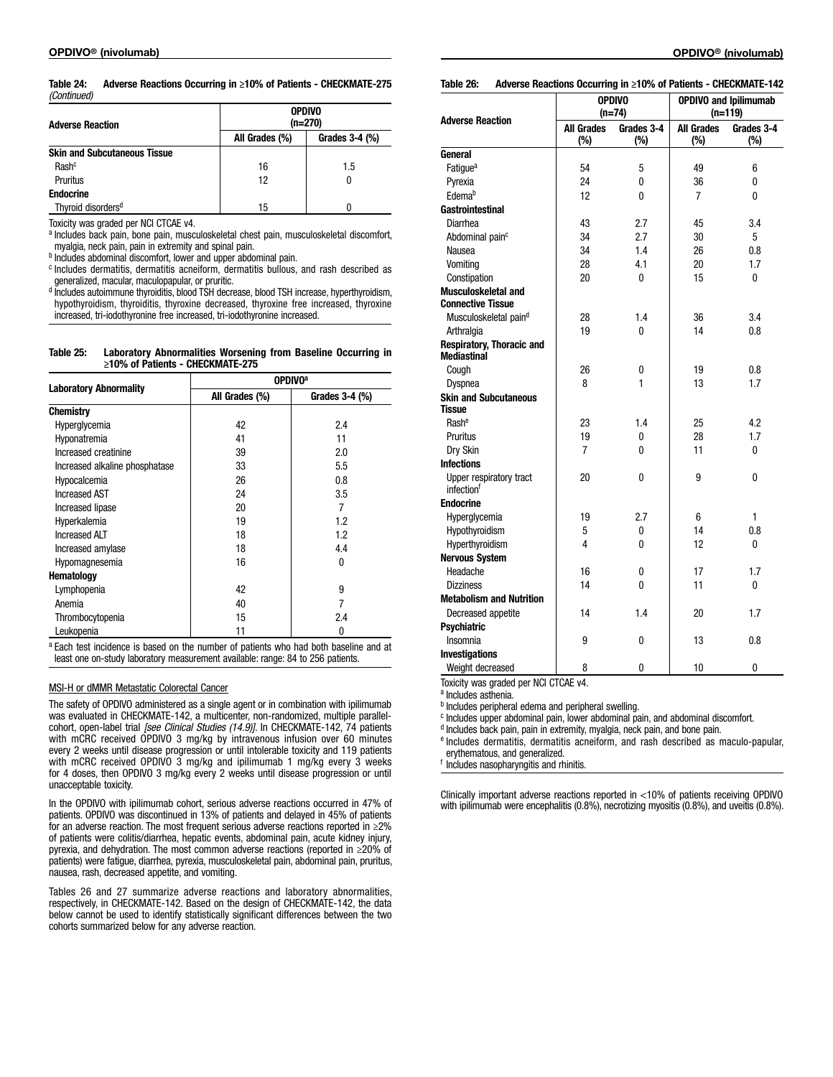Table 24: Adverse Reactions Occurring in ≥10% of Patients - CHECKMATE-275 *(Continued)*

| <b>Adverse Reaction</b>             | <b>OPDIVO</b><br>$(n=270)$ |                |  |  |
|-------------------------------------|----------------------------|----------------|--|--|
|                                     | All Grades (%)             | Grades 3-4 (%) |  |  |
| <b>Skin and Subcutaneous Tissue</b> |                            |                |  |  |
| Rash <sup>c</sup>                   | 16                         | 1.5            |  |  |
| Pruritus                            | 12                         | 0              |  |  |
| <b>Endocrine</b>                    |                            |                |  |  |
| Thyroid disorders <sup>d</sup>      | 15                         |                |  |  |

Toxicity was graded per NCI CTCAE v4.

a Includes back pain, bone pain, musculoskeletal chest pain, musculoskeletal discomfort, myalgia, neck pain, pain in extremity and spinal pain.

b Includes abdominal discomfort, lower and upper abdominal pain.

<sup>c</sup> Includes dermatitis, dermatitis acneiform, dermatitis bullous, and rash described as generalized, macular, maculopapular, or pruritic.

<sup>d</sup> Includes autoimmune thyroiditis, blood TSH decrease, blood TSH increase, hyperthyroidism, hypothyroidism, thyroiditis, thyroxine decreased, thyroxine free increased, thyroxine increased, tri-iodothyronine free increased, tri-iodothyronine increased.

| Table 25: | Laboratory Abnormalities Worsening from Baseline Occurring in |
|-----------|---------------------------------------------------------------|
|           | $\geq$ 10% of Patients - CHECKMATE-275                        |

|                                | <b>OPDIVO</b> <sup>a</sup> |                |  |  |
|--------------------------------|----------------------------|----------------|--|--|
| <b>Laboratory Abnormality</b>  | All Grades (%)             | Grades 3-4 (%) |  |  |
| <b>Chemistry</b>               |                            |                |  |  |
| Hyperglycemia                  | 42                         | 2.4            |  |  |
| Hyponatremia                   | 41                         | 11             |  |  |
| Increased creatinine           | 39                         | 2.0            |  |  |
| Increased alkaline phosphatase | 33                         | 5.5            |  |  |
| Hypocalcemia                   | 26                         | 0.8            |  |  |
| <b>Increased AST</b>           | 24                         | 3.5            |  |  |
| Increased lipase               | 20                         | 7              |  |  |
| Hyperkalemia                   | 19                         | 1.2            |  |  |
| <b>Increased ALT</b>           | 18                         | 1.2            |  |  |
| Increased amylase              | 18                         | 4.4            |  |  |
| Hypomagnesemia                 | 16                         | U              |  |  |
| Hematology                     |                            |                |  |  |
| Lymphopenia                    | 42                         | 9              |  |  |
| Anemia                         | 40                         | 7              |  |  |
| Thrombocytopenia               | 15                         | 2.4            |  |  |
| Leukopenia                     | 11                         | 0              |  |  |

<sup>a</sup> Each test incidence is based on the number of patients who had both baseline and at least one on-study laboratory measurement available: range: 84 to 256 patients.

#### MSI-H or dMMR Metastatic Colorectal Cancer

The safety of OPDIVO administered as a single agent or in combination with ipilimumab was evaluated in CHECKMATE-142, a multicenter, non-randomized, multiple parallelcohort, open-label trial *[see Clinical Studies (14.9)]*. In CHECKMATE-142, 74 patients with mCRC received OPDIVO 3 mg/kg by intravenous infusion over 60 minutes every 2 weeks until disease progression or until intolerable toxicity and 119 patients with mCRC received OPDIVO 3 mg/kg and ipilimumab 1 mg/kg every 3 weeks for 4 doses, then OPDIVO 3 mg/kg every 2 weeks until disease progression or until unacceptable toxicity.

In the OPDIVO with ipilimumab cohort, serious adverse reactions occurred in 47% of patients. OPDIVO was discontinued in 13% of patients and delayed in 45% of patients for an adverse reaction. The most frequent serious adverse reactions reported in ≥2% of patients were colitis/diarrhea, hepatic events, abdominal pain, acute kidney injury, pyrexia, and dehydration. The most common adverse reactions (reported in ≥20% of patients) were fatigue, diarrhea, pyrexia, musculoskeletal pain, abdominal pain, pruritus, nausea, rash, decreased appetite, and vomiting.

Tables 26 and 27 summarize adverse reactions and laboratory abnormalities, respectively, in CHECKMATE-142. Based on the design of CHECKMATE-142, the data below cannot be used to identify statistically significant differences between the two cohorts summarized below for any adverse reaction.

Table 26: Adverse Reactions Occurring in ≥10% of Patients - CHECKMATE-142

|                                                 |                          | <b>OPDIVO</b><br>$(n=74)$ | <b>OPDIVO and Ipilimumab</b><br>$(n=119)$ |                   |
|-------------------------------------------------|--------------------------|---------------------------|-------------------------------------------|-------------------|
| <b>Adverse Reaction</b>                         | <b>All Grades</b><br>(%) | Grades 3-4<br>$(\%)$      | <b>All Grades</b><br>$(\%)$               | Grades 3-4<br>(%) |
| General                                         |                          |                           |                                           |                   |
| Fatigue <sup>a</sup>                            | 54                       | 5                         | 49                                        | 6                 |
| Pyrexia                                         | 24                       | 0                         | 36                                        | 0                 |
| Edema <sup>b</sup>                              | 12                       | 0                         | $\overline{7}$                            | 0                 |
| <b>Gastrointestinal</b>                         |                          |                           |                                           |                   |
| Diarrhea                                        | 43                       | 2.7                       | 45                                        | 3.4               |
| Abdominal pain <sup>c</sup>                     | 34                       | 2.7                       | 30                                        | 5                 |
| Nausea                                          | 34                       | 1.4                       | 26                                        | 0.8               |
| Vomiting                                        | 28                       | 4.1                       | 20                                        | 1.7               |
| Constipation                                    | 20                       | 0                         | 15                                        | 0                 |
| Musculoskeletal and<br><b>Connective Tissue</b> |                          |                           |                                           |                   |
| Musculoskeletal pain <sup>d</sup>               | 28                       | 1.4                       | 36                                        | 3.4               |
| Arthralgia                                      | 19                       | 0                         | 14                                        | 0.8               |
| Respiratory, Thoracic and<br><b>Mediastinal</b> |                          |                           |                                           |                   |
| Cough                                           | 26                       | 0                         | 19                                        | 0.8               |
| Dyspnea                                         | 8                        | 1                         | 13                                        | 1.7               |
| <b>Skin and Subcutaneous</b>                    |                          |                           |                                           |                   |
| <b>Tissue</b>                                   |                          |                           |                                           |                   |
| Rashe                                           | 23                       | 1.4                       | 25                                        | 4.2               |
| Pruritus                                        | 19                       | 0                         | 28                                        | 1.7               |
| Dry Skin                                        | 7                        | 0                         | 11                                        | 0                 |
| <b>Infections</b>                               |                          |                           |                                           |                   |
| Upper respiratory tract<br>infectionf           | 20                       | 0                         | 9                                         | 0                 |
| <b>Endocrine</b>                                |                          |                           |                                           |                   |
| Hyperglycemia                                   | 19                       | 2.7                       | 6                                         | 1                 |
| Hypothyroidism                                  | 5                        | 0                         | 14                                        | 0.8               |
| Hyperthyroidism                                 | 4                        | 0                         | 12                                        | 0                 |
| <b>Nervous System</b>                           |                          |                           |                                           |                   |
| Headache                                        | 16                       | 0                         | 17                                        | 1.7               |
| <b>Dizziness</b>                                | 14                       | 0                         | 11                                        | 0                 |
| <b>Metabolism and Nutrition</b>                 |                          |                           |                                           |                   |
| Decreased appetite                              | 14                       | 1.4                       | 20                                        | 1.7               |
| <b>Psychiatric</b>                              |                          |                           |                                           |                   |
| Insomnia                                        | 9                        | 0                         | 13                                        | 0.8               |
| <b>Investigations</b>                           |                          |                           |                                           |                   |
| Weight decreased                                | 8                        | 0                         | 10                                        | 0                 |

Toxicity was graded per NCI CTCAE v4.

<sup>a</sup> Includes asthenia.

**b** Includes peripheral edema and peripheral swelling.

<sup>c</sup> Includes upper abdominal pain, lower abdominal pain, and abdominal discomfort.

<sup>d</sup> Includes back pain, pain in extremity, myalgia, neck pain, and bone pain.

e Includes dermatitis, dermatitis acneiform, and rash described as maculo-papular, erythematous, and generalized.

<sup>f</sup> Includes nasopharyngitis and rhinitis.

Clinically important adverse reactions reported in <10% of patients receiving OPDIVO with ipilimumab were encephalitis (0.8%), necrotizing myositis (0.8%), and uveitis (0.8%).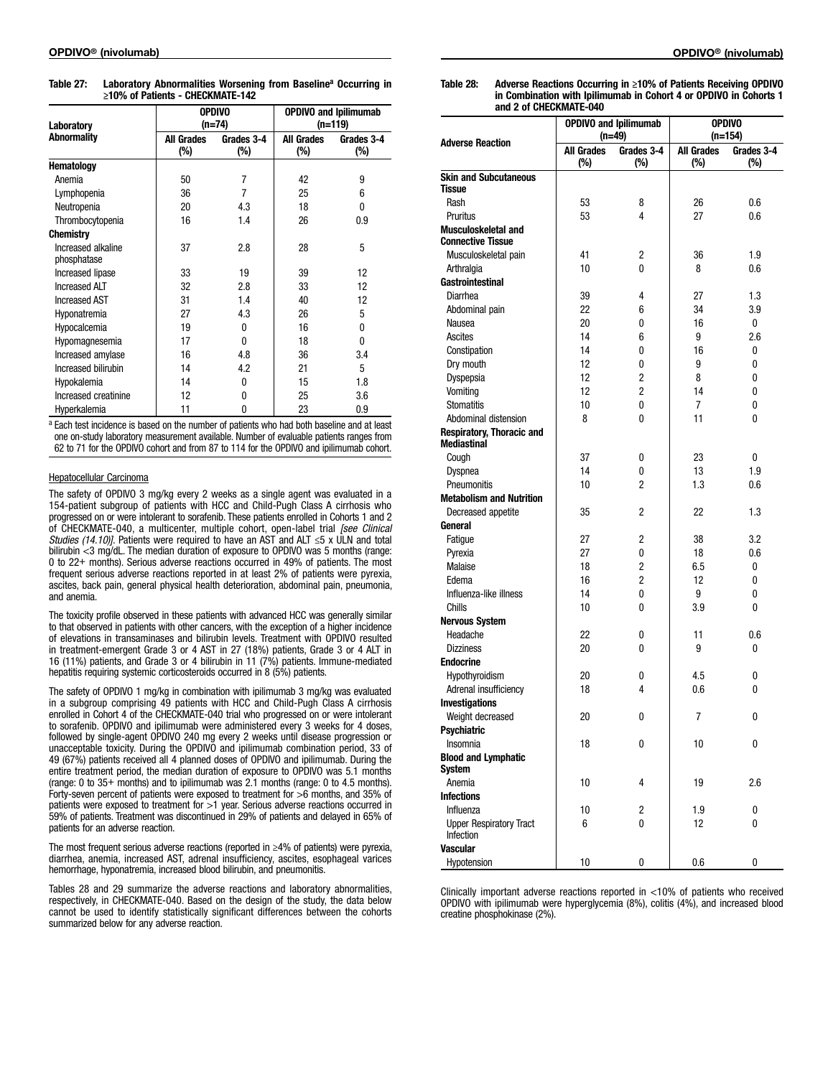| Laboratory                        |                          | <b>OPDIVO</b><br>(n=74) | <b>OPDIVO and Ipilimumab</b><br>(n=119) |                   |
|-----------------------------------|--------------------------|-------------------------|-----------------------------------------|-------------------|
| <b>Abnormality</b>                | <b>All Grades</b><br>(%) | Grades 3-4<br>(%)       | All Grades<br>(%)                       | Grades 3-4<br>(%) |
| Hematology                        |                          |                         |                                         |                   |
| Anemia                            | 50                       | 7                       | 42                                      | 9                 |
| Lymphopenia                       | 36                       | 7                       | 25                                      | 6                 |
| Neutropenia                       | 20                       | 4.3                     | 18                                      | 0                 |
| Thrombocytopenia                  | 16                       | 1.4                     | 26                                      | 0.9               |
| <b>Chemistry</b>                  |                          |                         |                                         |                   |
| Increased alkaline<br>phosphatase | 37                       | 2.8                     | 28                                      | 5                 |
| Increased lipase                  | 33                       | 19                      | 39                                      | 12                |
| <b>Increased ALT</b>              | 32                       | 2.8                     | 33                                      | 12                |
| <b>Increased AST</b>              | 31                       | 1.4                     | 40                                      | 12                |
| Hyponatremia                      | 27                       | 4.3                     | 26                                      | 5                 |
| Hypocalcemia                      | 19                       | 0                       | 16                                      | 0                 |
| Hypomagnesemia                    | 17                       | 0                       | 18                                      | 0                 |
| Increased amylase                 | 16                       | 4.8                     | 36                                      | 3.4               |
| Increased bilirubin               | 14                       | 4.2                     | 21                                      | 5                 |
| Hypokalemia                       | 14                       | 0                       | 15                                      | 1.8               |
| Increased creatinine              | 12                       | 0                       | 25                                      | 3.6               |
| Hvperkalemia                      | 11                       | 0                       | 23                                      | 0.9               |

Table 27: Laboratory Abnormalities Worsening from Baseline<sup>a</sup> Occurring in ≥10% of Patients - CHECKMATE-142

<sup>a</sup> Each test incidence is based on the number of patients who had both baseline and at least one on-study laboratory measurement available. Number of evaluable patients ranges from 62 to 71 for the OPDIVO cohort and from 87 to 114 for the OPDIVO and ipilimumab cohort.

#### Hepatocellular Carcinoma

The safety of OPDIVO 3 mg/kg every 2 weeks as a single agent was evaluated in a 154-patient subgroup of patients with HCC and Child-Pugh Class A cirrhosis who progressed on or were intolerant to sorafenib. These patients enrolled in Cohorts 1 and 2 of CHECKMATE-040, a multicenter, multiple cohort, open-label trial *[see Clinical Studies (14.10)]*. Patients were required to have an AST and ALT ≤5 x ULN and total bilirubin <3 mg/dL. The median duration of exposure to OPDIVO was 5 months (range: 0 to 22+ months). Serious adverse reactions occurred in 49% of patients. The most frequent serious adverse reactions reported in at least 2% of patients were pyrexia, ascites, back pain, general physical health deterioration, abdominal pain, pneumonia, and anemia.

The toxicity profile observed in these patients with advanced HCC was generally similar to that observed in patients with other cancers, with the exception of a higher incidence of elevations in transaminases and bilirubin levels. Treatment with OPDIVO resulted in treatment-emergent Grade 3 or 4 AST in 27 (18%) patients, Grade 3 or 4 ALT in 16 (11%) patients, and Grade 3 or 4 bilirubin in 11 (7%) patients. Immune-mediated hepatitis requiring systemic corticosteroids occurred in 8 (5%) patients.

The safety of OPDIVO 1 mg/kg in combination with ipilimumab 3 mg/kg was evaluated in a subgroup comprising 49 patients with HCC and Child-Pugh Class A cirrhosis enrolled in Cohort 4 of the CHECKMATE-040 trial who progressed on or were intolerant to sorafenib. OPDIVO and ipilimumab were administered every 3 weeks for 4 doses, followed by single-agent OPDIVO 240 mg every 2 weeks until disease progression or unacceptable toxicity. During the OPDIVO and ipilimumab combination period, 33 of 49 (67%) patients received all 4 planned doses of OPDIVO and ipilimumab. During the entire treatment period, the median duration of exposure to OPDIVO was 5.1 months (range: 0 to 35+ months) and to ipilimumab was 2.1 months (range: 0 to 4.5 months). Forty-seven percent of patients were exposed to treatment for >6 months, and 35% of patients were exposed to treatment for >1 year. Serious adverse reactions occurred in 59% of patients. Treatment was discontinued in 29% of patients and delayed in 65% of patients for an adverse reaction.

The most frequent serious adverse reactions (reported in ≥4% of patients) were pyrexia, diarrhea, anemia, increased AST, adrenal insufficiency, ascites, esophageal varices hemorrhage, hyponatremia, increased blood bilirubin, and pneumonitis.

Tables 28 and 29 summarize the adverse reactions and laboratory abnormalities, respectively, in CHECKMATE-040. Based on the design of the study, the data below cannot be used to identify statistically significant differences between the cohorts summarized below for any adverse reaction.

Table 28: Adverse Reactions Occurring in ≥10% of Patients Receiving OPDIVO in Combination with Ipilimumab in Cohort 4 or OPDIVO in Cohorts 1 and 2 of CHECKMATE-040

|                                                        |                          | <b>OPDIVO and Ipilimumab</b><br>(n=49) | <b>OPDIVO</b><br>(n=154) |                   |
|--------------------------------------------------------|--------------------------|----------------------------------------|--------------------------|-------------------|
| <b>Adverse Reaction</b>                                | <b>All Grades</b><br>(%) | Grades 3-4<br>(%)                      | <b>All Grades</b><br>(%) | Grades 3-4<br>(%) |
| <b>Skin and Subcutaneous</b>                           |                          |                                        |                          |                   |
| <b>Tissue</b>                                          |                          |                                        |                          |                   |
| Rash                                                   | 53                       | 8                                      | 26                       | 0.6               |
| Pruritus                                               | 53                       | 4                                      | 27                       | 0.6               |
| <b>Musculoskeletal and</b>                             |                          |                                        |                          |                   |
| <b>Connective Tissue</b>                               |                          |                                        |                          |                   |
| Musculoskeletal pain                                   | 41                       | 2                                      | 36                       | 1.9               |
| Arthralgia                                             | 10                       | 0                                      | 8                        | 0.6               |
| <b>Gastrointestinal</b>                                |                          |                                        |                          |                   |
| Diarrhea                                               | 39                       | 4                                      | 27                       | 1.3               |
| Abdominal pain                                         | 22                       | 6                                      | 34                       | 3.9               |
| Nausea                                                 | 20                       | 0                                      | 16                       | $\mathbf{0}$      |
| Ascites                                                | 14                       | 6                                      | 9                        | 2.6               |
| Constipation                                           | 14                       | 0                                      | 16                       | 0                 |
| Dry mouth                                              | 12                       | 0                                      | 9                        | 0                 |
| Dyspepsia                                              | 12                       | 2                                      | 8                        | 0                 |
| Vomiting                                               | 12                       | $\overline{2}$                         | 14                       | 0                 |
| <b>Stomatitis</b>                                      | 10                       | 0                                      | 7                        | 0                 |
| Abdominal distension                                   | 8                        | 0                                      | 11                       | 0                 |
| <b>Respiratory, Thoracic and</b><br><b>Mediastinal</b> |                          |                                        |                          |                   |
| Cough                                                  | 37                       | 0                                      | 23                       | 0                 |
| Dyspnea                                                | 14                       | 0                                      | 13                       | 1.9               |
| Pneumonitis                                            | 10                       | 2                                      | 1.3                      | 0.6               |
| <b>Metabolism and Nutrition</b>                        |                          |                                        |                          |                   |
| Decreased appetite                                     | 35                       | 2                                      | 22                       | 1.3               |
| General                                                |                          |                                        |                          |                   |
| Fatigue                                                | 27                       | 2                                      | 38                       | 3.2               |
| Pyrexia                                                | 27                       | 0                                      | 18                       | 0.6               |
| Malaise                                                | 18                       | 2                                      | 6.5                      | 0                 |
| Edema                                                  | 16                       | 2                                      | 12                       | 0                 |
| Influenza-like illness                                 | 14                       | 0                                      | 9                        | 0                 |
| Chills                                                 | 10                       | 0                                      | 3.9                      | 0                 |
| <b>Nervous System</b>                                  |                          |                                        |                          |                   |
| Headache                                               | 22                       | 0                                      | 11                       | 0.6               |
| <b>Dizziness</b>                                       | 20                       | 0                                      | 9                        | 0                 |
| <b>Endocrine</b>                                       |                          |                                        |                          |                   |
|                                                        |                          |                                        |                          |                   |
| Hypothyroidism                                         | 20                       | 0<br>4                                 | 4.5                      | 0                 |
| Adrenal insufficiency                                  | 18                       |                                        | 0.6                      | 0                 |
| <b>Investigations</b>                                  |                          |                                        |                          |                   |
| Weight decreased                                       | 20                       | 0                                      | 7                        | 0                 |
| <b>Psychiatric</b>                                     |                          |                                        |                          |                   |
| Insomnia                                               | 18                       | 0                                      | 10                       | 0                 |
| <b>Blood and Lymphatic</b><br>System                   |                          |                                        |                          |                   |
| Anemia                                                 | 10                       | 4                                      | 19                       | 2.6               |
| <b>Infections</b>                                      |                          |                                        |                          |                   |
| Influenza                                              | 10                       | 2                                      | 1.9                      | 0                 |
| <b>Upper Respiratory Tract</b><br>Infection            | 6                        | 0                                      | 12                       | 0                 |
| <b>Vascular</b>                                        |                          |                                        |                          |                   |
| Hypotension                                            | 10                       | 0                                      | 0.6                      | 0                 |

Clinically important adverse reactions reported in  $\lt$ 10% of patients who received OPDIVO with ipilimumab were hyperglycemia (8%), colitis (4%), and increased blood creatine phosphokinase (2%).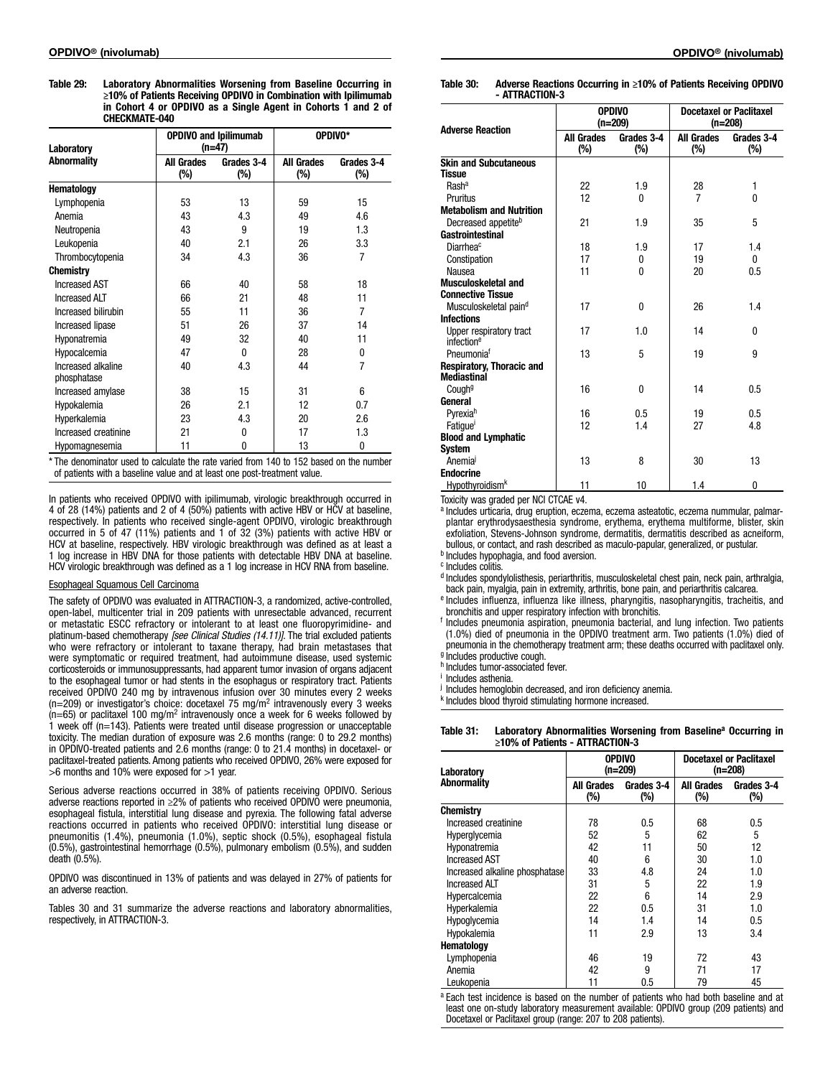Table 29: Laboratory Abnormalities Worsening from Baseline Occurring in ≥10% of Patients Receiving OPDIVO in Combination with Ipilimumab in Cohort 4 or OPDIVO as a Single Agent in Cohorts 1 and 2 of CHECKMATE-040

| Laboratory                        |                          | <b>OPDIVO and Ipilimumab</b><br>(n=47) |                          | OPDIVO*           |  |
|-----------------------------------|--------------------------|----------------------------------------|--------------------------|-------------------|--|
| <b>Abnormality</b>                | <b>All Grades</b><br>(%) | Grades 3-4<br>$(\%)$                   | <b>All Grades</b><br>(%) | Grades 3-4<br>(%) |  |
| Hematology                        |                          |                                        |                          |                   |  |
| Lymphopenia                       | 53                       | 13                                     | 59                       | 15                |  |
| Anemia                            | 43                       | 4.3                                    | 49                       | 4.6               |  |
| Neutropenia                       | 43                       | 9                                      | 19                       | 1.3               |  |
| Leukopenia                        | 40                       | 2.1                                    | 26                       | 3.3               |  |
| Thrombocytopenia                  | 34                       | 4.3                                    | 36                       | 7                 |  |
| <b>Chemistry</b>                  |                          |                                        |                          |                   |  |
| <b>Increased AST</b>              | 66                       | 40                                     | 58                       | 18                |  |
| <b>Increased ALT</b>              | 66                       | 21                                     | 48                       | 11                |  |
| Increased bilirubin               | 55                       | 11                                     | 36                       | 7                 |  |
| Increased lipase                  | 51                       | 26                                     | 37                       | 14                |  |
| Hyponatremia                      | 49                       | 32                                     | 40                       | 11                |  |
| Hypocalcemia                      | 47                       | 0                                      | 28                       | 0                 |  |
| Increased alkaline<br>phosphatase | 40                       | 4.3                                    | 44                       | 7                 |  |
| Increased amylase                 | 38                       | 15                                     | 31                       | 6                 |  |
| Hypokalemia                       | 26                       | 2.1                                    | 12                       | 0.7               |  |
| Hyperkalemia                      | 23                       | 4.3                                    | 20                       | 2.6               |  |
| Increased creatinine              | 21                       | 0                                      | 17                       | 1.3               |  |
| Hypomagnesemia                    | 11                       | 0                                      | 13                       | 0                 |  |

\* The denominator used to calculate the rate varied from 140 to 152 based on the number of patients with a baseline value and at least one post-treatment value.

In patients who received OPDIVO with ipilimumab, virologic breakthrough occurred in 4 of 28 (14%) patients and 2 of 4 (50%) patients with active HBV or HCV at baseline, respectively. In patients who received single-agent OPDIVO, virologic breakthrough occurred in 5 of 47 (11%) patients and 1 of 32 (3%) patients with active HBV or HCV at baseline, respectively. HBV virologic breakthrough was defined as at least a 1 log increase in HBV DNA for those patients with detectable HBV DNA at baseline. HCV virologic breakthrough was defined as a 1 log increase in HCV RNA from baseline.

#### Esophageal Squamous Cell Carcinoma

The safety of OPDIVO was evaluated in ATTRACTION-3, a randomized, active-controlled, open-label, multicenter trial in 209 patients with unresectable advanced, recurrent or metastatic ESCC refractory or intolerant to at least one fluoropyrimidine- and platinum-based chemotherapy *[see Clinical Studies (14.11)]*. The trial excluded patients who were refractory or intolerant to taxane therapy, had brain metastases that were symptomatic or required treatment, had autoimmune disease, used systemic corticosteroids or immunosuppressants, had apparent tumor invasion of organs adjacent to the esophageal tumor or had stents in the esophagus or respiratory tract. Patients received OPDIVO 240 mg by intravenous infusion over 30 minutes every 2 weeks  $(n=209)$  or investigator's choice: docetaxel 75 mg/m<sup>2</sup> intravenously every 3 weeks  $(n=65)$  or paclitaxel 100 mg/m<sup>2</sup> intravenously once a week for 6 weeks followed by 1 week off (n=143). Patients were treated until disease progression or unacceptable toxicity. The median duration of exposure was 2.6 months (range: 0 to 29.2 months) in OPDIVO-treated patients and 2.6 months (range: 0 to 21.4 months) in docetaxel- or paclitaxel-treated patients. Among patients who received OPDIVO, 26% were exposed for  $>6$  months and 10% were exposed for  $>1$  year.

Serious adverse reactions occurred in 38% of patients receiving OPDIVO. Serious adverse reactions reported in ≥2% of patients who received OPDIVO were pneumonia, esophageal fistula, interstitial lung disease and pyrexia. The following fatal adverse reactions occurred in patients who received OPDIVO: interstitial lung disease or pneumonitis (1.4%), pneumonia (1.0%), septic shock (0.5%), esophageal fistula (0.5%), gastrointestinal hemorrhage (0.5%), pulmonary embolism (0.5%), and sudden death (0.5%).

OPDIVO was discontinued in 13% of patients and was delayed in 27% of patients for an adverse reaction.

Tables 30 and 31 summarize the adverse reactions and laboratory abnormalities, respectively, in ATTRACTION-3.

Table 30: Adverse Reactions Occurring in ≥10% of Patients Receiving OPDIVO - ATTRACTION-3

| <b>Adverse Reaction</b>                           |                          | <b>OPDIVO</b><br>$(n=209)$ | <b>Docetaxel or Paclitaxel</b><br>$(n=208)$ |                   |
|---------------------------------------------------|--------------------------|----------------------------|---------------------------------------------|-------------------|
|                                                   | <b>All Grades</b><br>(%) | Grades 3-4<br>$(\%)$       | <b>All Grades</b><br>$(\%)$                 | Grades 3-4<br>(%) |
| <b>Skin and Subcutaneous</b>                      |                          |                            |                                             |                   |
| Tissue                                            |                          |                            |                                             |                   |
| Rash <sup>a</sup>                                 | 22                       | 1.9                        | 28                                          | 1                 |
| Pruritus                                          | 12                       | $\Omega$                   | $\overline{7}$                              | $\Omega$          |
| <b>Metabolism and Nutrition</b>                   |                          |                            |                                             |                   |
| Decreased appetite <sup>b</sup>                   | 21                       | 1.9                        | 35                                          | 5                 |
| Gastrointestinal                                  |                          |                            |                                             |                   |
| <b>Diarrhea</b> <sup>c</sup>                      | 18                       | 1.9                        | 17                                          | 1.4               |
| Constipation                                      | 17                       | 0                          | 19                                          | 0                 |
| Nausea                                            | 11                       | $\Omega$                   | 20                                          | 0.5               |
| Musculoskeletal and                               |                          |                            |                                             |                   |
| <b>Connective Tissue</b>                          |                          |                            |                                             |                   |
| Musculoskeletal pain <sup>d</sup>                 | 17                       | 0                          | 26                                          | 1.4               |
| <b>Infections</b>                                 |                          |                            |                                             |                   |
| Upper respiratory tract<br>infection <sup>e</sup> | 17                       | 1.0                        | 14                                          | $\Omega$          |
| Pneumoniaf                                        | 13                       | 5                          | 19                                          | 9                 |
| Respiratory, Thoracic and<br><b>Mediastinal</b>   |                          |                            |                                             |                   |
| Cough <sup>g</sup>                                | 16                       | 0                          | 14                                          | 0.5               |
| General                                           |                          |                            |                                             |                   |
| Pyrexiah                                          | 16                       | 0.5                        | 19                                          | 0.5               |
| Fatigue <sup>i</sup>                              | 12                       | 1.4                        | 27                                          | 4.8               |
| <b>Blood and Lymphatic</b><br><b>System</b>       |                          |                            |                                             |                   |
| Anemia                                            | 13                       | 8                          | 30                                          | 13                |
| <b>Endocrine</b>                                  |                          |                            |                                             |                   |
| Hypothyroidism <sup>k</sup>                       | 11                       | 10                         | 1.4                                         | 0                 |

Toxicity was graded per NCI CTCAE v4.

a Includes urticaria, drug eruption, eczema, eczema asteatotic, eczema nummular, palmarplantar erythrodysaesthesia syndrome, erythema, erythema multiforme, blister, skin exfoliation, Stevens-Johnson syndrome, dermatitis, dermatitis described as acneiform, bullous, or contact, and rash described as maculo-papular, generalized, or pustular.

**b** Includes hypophagia, and food aversion.

<sup>c</sup> Includes colitis.

<sup>d</sup> Includes spondylolisthesis, periarthritis, musculoskeletal chest pain, neck pain, arthralgia, back pain, myalgia, pain in extremity, arthritis, bone pain, and periarthritis calcarea.

<sup>e</sup> Includes influenza, influenza like illness, pharyngitis, nasopharyngitis, tracheitis, and bronchitis and upper respiratory infection with bronchitis.

<sup>f</sup> Includes pneumonia aspiration, pneumonia bacterial, and lung infection. Two patients (1.0%) died of pneumonia in the OPDIVO treatment arm. Two patients (1.0%) died of pneumonia in the chemotherapy treatment arm; these deaths occurred with paclitaxel only. <sup>g</sup> Includes productive cough.

h Includes tumor-associated fever.

<sup>i</sup> Includes asthenia.

<sup>j</sup> Includes hemoglobin decreased, and iron deficiency anemia. <sup>k</sup> Includes blood thyroid stimulating hormone increased.

Table 31: Laboratory Abnormalities Worsening from Baseline<sup>a</sup> Occurring in ≥10% of Patients - ATTRACTION-3

| Laboratory                     | <b>OPDIVO</b><br>(n=209) |                   | <b>Docetaxel or Paclitaxel</b><br>$(n=208)$ |                   |
|--------------------------------|--------------------------|-------------------|---------------------------------------------|-------------------|
| <b>Abnormality</b>             | <b>All Grades</b><br>(%) | Grades 3-4<br>(%) | All Grades<br>(%)                           | Grades 3-4<br>(%) |
| Chemistry                      |                          |                   |                                             |                   |
| Increased creatinine           | 78                       | 0.5               | 68                                          | 0.5               |
| Hyperglycemia                  | 52                       | 5                 | 62                                          | 5                 |
| Hyponatremia                   | 42                       | 11                | 50                                          | 12                |
| <b>Increased AST</b>           | 40                       | 6                 | 30                                          | 1.0               |
| Increased alkaline phosphatase | 33                       | 4.8               | 24                                          | 1.0               |
| <b>Increased ALT</b>           | 31                       | 5                 | 22                                          | 1.9               |
| Hypercalcemia                  | 22                       | 6                 | 14                                          | 2.9               |
| Hyperkalemia                   | 22                       | 0.5               | 31                                          | 1.0               |
| Hypoglycemia                   | 14                       | 1.4               | 14                                          | 0.5               |
| Hypokalemia                    | 11                       | 2.9               | 13                                          | 3.4               |
| Hematology                     |                          |                   |                                             |                   |
| Lymphopenia                    | 46                       | 19                | 72                                          | 43                |
| Anemia                         | 42                       | 9                 | 71                                          | 17                |
| Leukopenia                     | 11                       | 0.5               | 79                                          | 45                |

a Each test incidence is based on the number of patients who had both baseline and at least one on-study laboratory measurement available: OPDIVO group (209 patients) and Docetaxel or Paclitaxel group (range: 207 to 208 patients).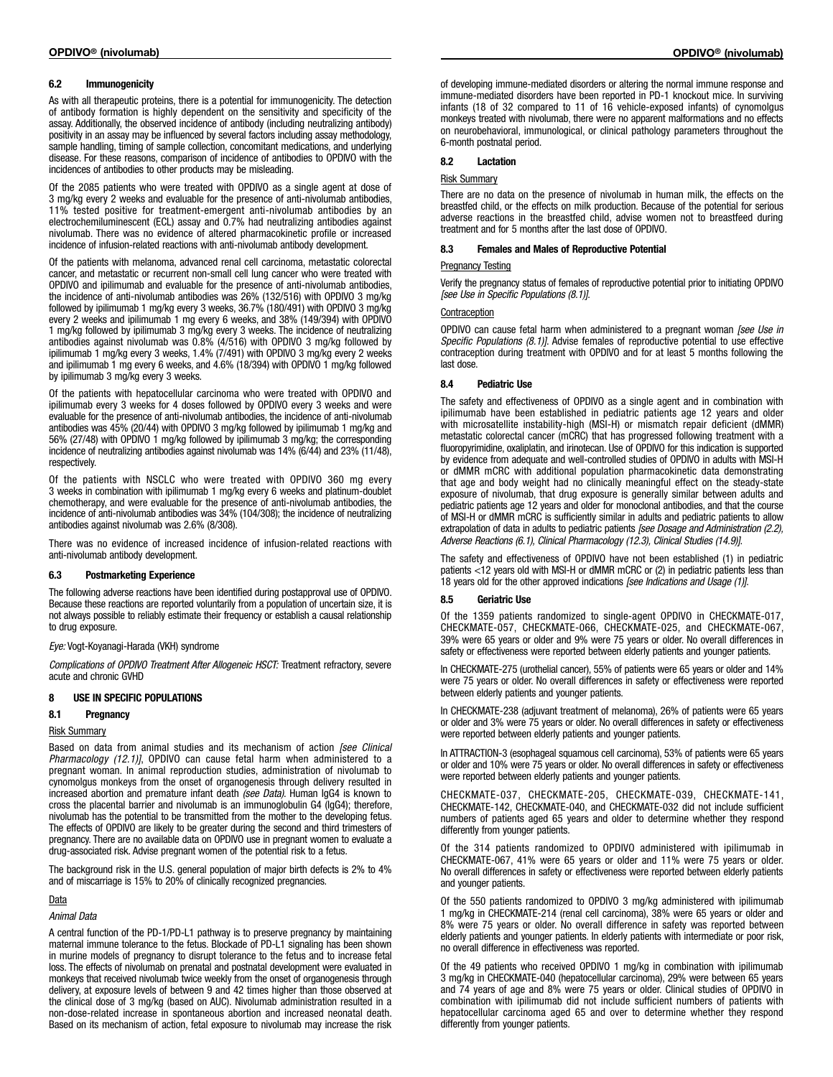#### 6.2 Immunogenicity

As with all therapeutic proteins, there is a potential for immunogenicity. The detection of antibody formation is highly dependent on the sensitivity and specificity of the assay. Additionally, the observed incidence of antibody (including neutralizing antibody) positivity in an assay may be influenced by several factors including assay methodology, sample handling, timing of sample collection, concomitant medications, and underlying disease. For these reasons, comparison of incidence of antibodies to OPDIVO with the incidences of antibodies to other products may be misleading.

Of the 2085 patients who were treated with OPDIVO as a single agent at dose of 3 mg/kg every 2 weeks and evaluable for the presence of anti-nivolumab antibodies, 11% tested positive for treatment-emergent anti-nivolumab antibodies by an electrochemiluminescent (ECL) assay and 0.7% had neutralizing antibodies against nivolumab. There was no evidence of altered pharmacokinetic profile or increased incidence of infusion-related reactions with anti-nivolumab antibody development.

Of the patients with melanoma, advanced renal cell carcinoma, metastatic colorectal cancer, and metastatic or recurrent non-small cell lung cancer who were treated with OPDIVO and ipilimumab and evaluable for the presence of anti-nivolumab antibodies, the incidence of anti-nivolumab antibodies was 26% (132/516) with OPDIVO 3 mg/kg followed by ipilimumab 1 mg/kg every 3 weeks, 36.7% (180/491) with OPDIVO 3 mg/kg every 2 weeks and ipilimumab 1 mg every 6 weeks, and 38% (149/394) with OPDIVO 1 mg/kg followed by ipilimumab 3 mg/kg every 3 weeks. The incidence of neutralizing antibodies against nivolumab was 0.8% (4/516) with OPDIVO 3 mg/kg followed by ipilimumab 1 mg/kg every 3 weeks, 1.4% (7/491) with OPDIVO 3 mg/kg every 2 weeks and ipilimumab 1 mg every 6 weeks, and 4.6% (18/394) with OPDIVO 1 mg/kg followed by ipilimumab 3 mg/kg every 3 weeks.

Of the patients with hepatocellular carcinoma who were treated with OPDIVO and ipilimumab every 3 weeks for 4 doses followed by OPDIVO every 3 weeks and were evaluable for the presence of anti-nivolumab antibodies, the incidence of anti-nivolumab antibodies was 45% (20/44) with OPDIVO 3 mg/kg followed by ipilimumab 1 mg/kg and 56% (27/48) with OPDIVO 1 mg/kg followed by ipilimumab 3 mg/kg; the corresponding incidence of neutralizing antibodies against nivolumab was 14% (6/44) and 23% (11/48), respectively.

Of the patients with NSCLC who were treated with OPDIVO 360 mg every 3 weeks in combination with ipilimumab 1 mg/kg every 6 weeks and platinum-doublet chemotherapy, and were evaluable for the presence of anti-nivolumab antibodies, the incidence of anti-nivolumab antibodies was 34% (104/308); the incidence of neutralizing antibodies against nivolumab was 2.6% (8/308).

There was no evidence of increased incidence of infusion-related reactions with anti-nivolumab antibody development.

#### 6.3 Postmarketing Experience

The following adverse reactions have been identified during postapproval use of OPDIVO. Because these reactions are reported voluntarily from a population of uncertain size, it is not always possible to reliably estimate their frequency or establish a causal relationship to drug exposure.

*Eye:* Vogt-Koyanagi-Harada (VKH) syndrome

*Complications of OPDIVO Treatment After Allogeneic HSCT:* Treatment refractory, severe acute and chronic GVHD

#### 8 USE IN SPECIFIC POPULATIONS

#### 8.1 Pregnancy

#### Risk Summary

Based on data from animal studies and its mechanism of action *[see Clinical Pharmacology (12.1)]*, OPDIVO can cause fetal harm when administered to a pregnant woman. In animal reproduction studies, administration of nivolumab to cynomolgus monkeys from the onset of organogenesis through delivery resulted in increased abortion and premature infant death *(see Data)*. Human IgG4 is known to cross the placental barrier and nivolumab is an immunoglobulin G4 (IgG4); therefore, nivolumab has the potential to be transmitted from the mother to the developing fetus. The effects of OPDIVO are likely to be greater during the second and third trimesters of pregnancy. There are no available data on OPDIVO use in pregnant women to evaluate a drug-associated risk. Advise pregnant women of the potential risk to a fetus.

The background risk in the U.S. general population of major birth defects is 2% to 4% and of miscarriage is 15% to 20% of clinically recognized pregnancies.

### Data

#### *Animal Data*

A central function of the PD-1/PD-L1 pathway is to preserve pregnancy by maintaining maternal immune tolerance to the fetus. Blockade of PD-L1 signaling has been shown in murine models of pregnancy to disrupt tolerance to the fetus and to increase fetal loss. The effects of nivolumab on prenatal and postnatal development were evaluated in monkeys that received nivolumab twice weekly from the onset of organogenesis through delivery, at exposure levels of between 9 and 42 times higher than those observed at the clinical dose of 3 mg/kg (based on AUC). Nivolumab administration resulted in a non-dose-related increase in spontaneous abortion and increased neonatal death. Based on its mechanism of action, fetal exposure to nivolumab may increase the risk

#### 8.2 Lactation

#### Risk Summary

There are no data on the presence of nivolumab in human milk, the effects on the breastfed child, or the effects on milk production. Because of the potential for serious adverse reactions in the breastfed child, advise women not to breastfeed during treatment and for 5 months after the last dose of OPDIVO.

#### 8.3 Females and Males of Reproductive Potential

#### Pregnancy Testing

Verify the pregnancy status of females of reproductive potential prior to initiating OPDIVO *[see Use in Specific Populations (8.1)]*.

#### **Contraception**

OPDIVO can cause fetal harm when administered to a pregnant woman *[see Use in Specific Populations (8.1)]*. Advise females of reproductive potential to use effective contraception during treatment with OPDIVO and for at least 5 months following the last dose.

#### 8.4 Pediatric Use

The safety and effectiveness of OPDIVO as a single agent and in combination with ipilimumab have been established in pediatric patients age 12 years and older with microsatellite instability-high (MSI-H) or mismatch repair deficient (dMMR) metastatic colorectal cancer (mCRC) that has progressed following treatment with a fluoropyrimidine, oxaliplatin, and irinotecan. Use of OPDIVO for this indication is supported by evidence from adequate and well-controlled studies of OPDIVO in adults with MSI-H or dMMR mCRC with additional population pharmacokinetic data demonstrating that age and body weight had no clinically meaningful effect on the steady-state exposure of nivolumab, that drug exposure is generally similar between adults and pediatric patients age 12 years and older for monoclonal antibodies, and that the course of MSI-H or dMMR mCRC is sufficiently similar in adults and pediatric patients to allow extrapolation of data in adults to pediatric patients *[see Dosage and Administration (2.2), Adverse Reactions (6.1), Clinical Pharmacology (12.3), Clinical Studies (14.9)]*.

The safety and effectiveness of OPDIVO have not been established (1) in pediatric patients <12 years old with MSI-H or dMMR mCRC or (2) in pediatric patients less than 18 years old for the other approved indications *[see Indications and Usage (1)]*.

#### 8.5 Geriatric Use

Of the 1359 patients randomized to single-agent OPDIVO in CHECKMATE-017, CHECKMATE-057, CHECKMATE-066, CHECKMATE-025, and CHECKMATE-067, 39% were 65 years or older and 9% were 75 years or older. No overall differences in safety or effectiveness were reported between elderly patients and younger patients.

In CHECKMATE-275 (urothelial cancer), 55% of patients were 65 years or older and 14% were 75 years or older. No overall differences in safety or effectiveness were reported between elderly patients and younger patients.

In CHECKMATE-238 (adjuvant treatment of melanoma), 26% of patients were 65 years or older and 3% were 75 years or older. No overall differences in safety or effectiveness were reported between elderly patients and younger patients.

In ATTRACTION-3 (esophageal squamous cell carcinoma), 53% of patients were 65 years or older and 10% were 75 years or older. No overall differences in safety or effectiveness were reported between elderly patients and younger patients.

CHECKMATE-037, CHECKMATE-205, CHECKMATE-039, CHECKMATE-141, CHECKMATE-142, CHECKMATE-040, and CHECKMATE-032 did not include sufficient numbers of patients aged 65 years and older to determine whether they respond differently from younger patients.

Of the 314 patients randomized to OPDIVO administered with ipilimumab in CHECKMATE-067, 41% were 65 years or older and 11% were 75 years or older. No overall differences in safety or effectiveness were reported between elderly patients and younger patients.

Of the 550 patients randomized to OPDIVO 3 mg/kg administered with ipilimumab 1 mg/kg in CHECKMATE-214 (renal cell carcinoma), 38% were 65 years or older and 8% were 75 years or older. No overall difference in safety was reported between elderly patients and younger patients. In elderly patients with intermediate or poor risk, no overall difference in effectiveness was reported.

Of the 49 patients who received OPDIVO 1 mg/kg in combination with ipilimumab 3 mg/kg in CHECKMATE-040 (hepatocellular carcinoma), 29% were between 65 years and 74 years of age and 8% were 75 years or older. Clinical studies of OPDIVO in combination with ipilimumab did not include sufficient numbers of patients with hepatocellular carcinoma aged 65 and over to determine whether they respond differently from younger patients.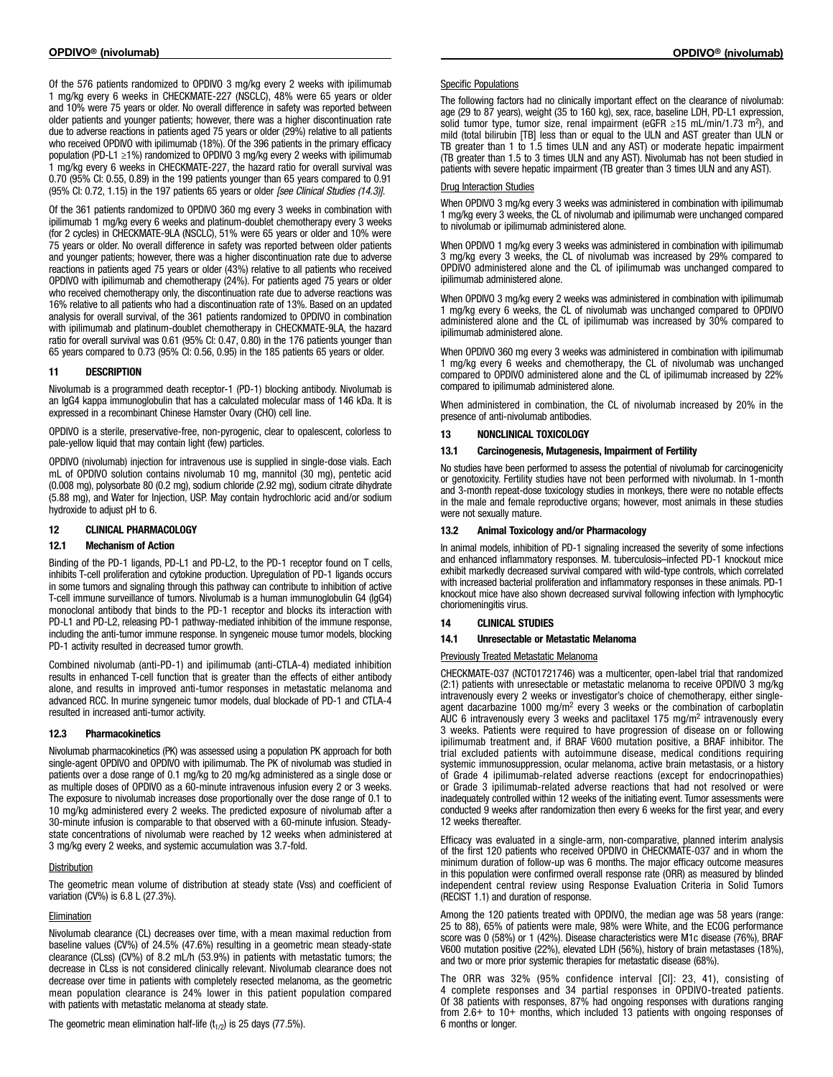Of the 576 patients randomized to OPDIVO 3 mg/kg every 2 weeks with ipilimumab 1 mg/kg every 6 weeks in CHECKMATE-227 (NSCLC), 48% were 65 years or older and 10% were 75 years or older. No overall difference in safety was reported between older patients and younger patients; however, there was a higher discontinuation rate due to adverse reactions in patients aged 75 years or older (29%) relative to all patients who received OPDIVO with ipilimumab (18%). Of the 396 patients in the primary efficacy population (PD-L1 ≥1%) randomized to OPDIVO 3 mg/kg every 2 weeks with ipilimumab 1 mg/kg every 6 weeks in CHECKMATE-227, the hazard ratio for overall survival was 0.70 (95% CI: 0.55, 0.89) in the 199 patients younger than 65 years compared to 0.91 (95% CI: 0.72, 1.15) in the 197 patients 65 years or older *[see Clinical Studies (14.3)]*.

Of the 361 patients randomized to OPDIVO 360 mg every 3 weeks in combination with ipilimumab 1 mg/kg every 6 weeks and platinum-doublet chemotherapy every 3 weeks (for 2 cycles) in CHECKMATE-9LA (NSCLC), 51% were 65 years or older and 10% were 75 years or older. No overall difference in safety was reported between older patients and younger patients; however, there was a higher discontinuation rate due to adverse reactions in patients aged 75 years or older (43%) relative to all patients who received OPDIVO with ipilimumab and chemotherapy (24%). For patients aged 75 years or older who received chemotherapy only, the discontinuation rate due to adverse reactions was 16% relative to all patients who had a discontinuation rate of 13%. Based on an updated analysis for overall survival, of the 361 patients randomized to OPDIVO in combination with ipilimumab and platinum-doublet chemotherapy in CHECKMATE-9LA, the hazard ratio for overall survival was 0.61 (95% CI: 0.47, 0.80) in the 176 patients younger than 65 years compared to 0.73 (95% CI: 0.56, 0.95) in the 185 patients 65 years or older.

#### 11 DESCRIPTION

Nivolumab is a programmed death receptor-1 (PD-1) blocking antibody. Nivolumab is an IgG4 kappa immunoglobulin that has a calculated molecular mass of 146 kDa. It is expressed in a recombinant Chinese Hamster Ovary (CHO) cell line.

OPDIVO is a sterile, preservative-free, non-pyrogenic, clear to opalescent, colorless to pale-yellow liquid that may contain light (few) particles.

OPDIVO (nivolumab) injection for intravenous use is supplied in single-dose vials. Each mL of OPDIVO solution contains nivolumab 10 mg, mannitol (30 mg), pentetic acid (0.008 mg), polysorbate 80 (0.2 mg), sodium chloride (2.92 mg), sodium citrate dihydrate (5.88 mg), and Water for Injection, USP. May contain hydrochloric acid and/or sodium hydroxide to adjust pH to 6.

#### 12 CLINICAL PHARMACOLOGY

#### 12.1 Mechanism of Action

Binding of the PD-1 ligands, PD-L1 and PD-L2, to the PD-1 receptor found on T cells, inhibits T-cell proliferation and cytokine production. Upregulation of PD-1 ligands occurs in some tumors and signaling through this pathway can contribute to inhibition of active T-cell immune surveillance of tumors. Nivolumab is a human immunoglobulin G4 (IgG4) monoclonal antibody that binds to the PD-1 receptor and blocks its interaction with PD-L1 and PD-L2, releasing PD-1 pathway-mediated inhibition of the immune response, including the anti-tumor immune response. In syngeneic mouse tumor models, blocking PD-1 activity resulted in decreased tumor growth.

Combined nivolumab (anti-PD-1) and ipilimumab (anti-CTLA-4) mediated inhibition results in enhanced T-cell function that is greater than the effects of either antibody alone, and results in improved anti-tumor responses in metastatic melanoma and advanced RCC. In murine syngeneic tumor models, dual blockade of PD-1 and CTLA-4 resulted in increased anti-tumor activity.

#### 12.3 Pharmacokinetics

Nivolumab pharmacokinetics (PK) was assessed using a population PK approach for both single-agent OPDIVO and OPDIVO with ipilimumab. The PK of nivolumab was studied in patients over a dose range of 0.1 mg/kg to 20 mg/kg administered as a single dose or as multiple doses of OPDIVO as a 60-minute intravenous infusion every 2 or 3 weeks. The exposure to nivolumab increases dose proportionally over the dose range of 0.1 to 10 mg/kg administered every 2 weeks. The predicted exposure of nivolumab after a 30-minute infusion is comparable to that observed with a 60-minute infusion. Steadystate concentrations of nivolumab were reached by 12 weeks when administered at 3 mg/kg every 2 weeks, and systemic accumulation was 3.7-fold.

#### **Distribution**

The geometric mean volume of distribution at steady state (Vss) and coefficient of variation (CV%) is 6.8 L (27.3%).

#### Elimination

Nivolumab clearance (CL) decreases over time, with a mean maximal reduction from baseline values (CV%) of 24.5% (47.6%) resulting in a geometric mean steady-state clearance (CLss) (CV%) of 8.2 mL/h (53.9%) in patients with metastatic tumors; the decrease in CLss is not considered clinically relevant. Nivolumab clearance does not decrease over time in patients with completely resected melanoma, as the geometric mean population clearance is 24% lower in this patient population compared with patients with metastatic melanoma at steady state.

The geometric mean elimination half-life  $(t_{1/2})$  is 25 days (77.5%).

#### Specific Populations

The following factors had no clinically important effect on the clearance of nivolumab: age (29 to 87 years), weight (35 to 160 kg), sex, race, baseline LDH, PD-L1 expression, solid tumor type, tumor size, renal impairment (eGFR ≥15 mL/min/1.73 m<sup>2</sup>), and mild (total bilirubin [TB] less than or equal to the ULN and AST greater than ULN or TB greater than 1 to 1.5 times ULN and any AST) or moderate hepatic impairment (TB greater than 1.5 to 3 times ULN and any AST). Nivolumab has not been studied in patients with severe hepatic impairment (TB greater than 3 times ULN and any AST).

#### Drug Interaction Studies

When OPDIVO 3 mg/kg every 3 weeks was administered in combination with ipilimumab 1 mg/kg every 3 weeks, the CL of nivolumab and ipilimumab were unchanged compared to nivolumab or ipilimumab administered alone.

When OPDIVO 1 mg/kg every 3 weeks was administered in combination with ipilimumab 3 mg/kg every 3 weeks, the CL of nivolumab was increased by 29% compared to OPDIVO administered alone and the CL of ipilimumab was unchanged compared to ipilimumab administered alone.

When OPDIVO 3 mg/kg every 2 weeks was administered in combination with ipilimumab 1 mg/kg every 6 weeks, the CL of nivolumab was unchanged compared to OPDIVO administered alone and the CL of ipilimumab was increased by 30% compared to ipilimumab administered alone.

When OPDIVO 360 mg every 3 weeks was administered in combination with ipilimumab 1 mg/kg every 6 weeks and chemotherapy, the CL of nivolumab was unchanged compared to OPDIVO administered alone and the CL of ipilimumab increased by 22% compared to ipilimumab administered alone.

When administered in combination, the CL of nivolumab increased by 20% in the presence of anti-nivolumab antibodies.

#### 13 NONCLINICAL TOXICOLOGY

#### 13.1 Carcinogenesis, Mutagenesis, Impairment of Fertility

No studies have been performed to assess the potential of nivolumab for carcinogenicity or genotoxicity. Fertility studies have not been performed with nivolumab. In 1-month and 3-month repeat-dose toxicology studies in monkeys, there were no notable effects in the male and female reproductive organs; however, most animals in these studies were not sexually mature.

#### 13.2 Animal Toxicology and/or Pharmacology

In animal models, inhibition of PD-1 signaling increased the severity of some infections and enhanced inflammatory responses. M. tuberculosis–infected PD-1 knockout mice exhibit markedly decreased survival compared with wild-type controls, which correlated with increased bacterial proliferation and inflammatory responses in these animals. PD-1 knockout mice have also shown decreased survival following infection with lymphocytic choriomeningitis virus.

#### 14 CLINICAL STUDIES

#### 14.1 Unresectable or Metastatic Melanoma

#### Previously Treated Metastatic Melanoma

CHECKMATE-037 (NCT01721746) was a multicenter, open-label trial that randomized (2:1) patients with unresectable or metastatic melanoma to receive OPDIVO 3 mg/kg intravenously every 2 weeks or investigator's choice of chemotherapy, either singleagent dacarbazine 1000 mg/m2 every 3 weeks or the combination of carboplatin AUC 6 intravenously every 3 weeks and paclitaxel 175 mg/m<sup>2</sup> intravenously every 3 weeks. Patients were required to have progression of disease on or following ipilimumab treatment and, if BRAF V600 mutation positive, a BRAF inhibitor. The trial excluded patients with autoimmune disease, medical conditions requiring systemic immunosuppression, ocular melanoma, active brain metastasis, or a history of Grade 4 ipilimumab-related adverse reactions (except for endocrinopathies) or Grade 3 ipilimumab-related adverse reactions that had not resolved or were inadequately controlled within 12 weeks of the initiating event. Tumor assessments were conducted 9 weeks after randomization then every 6 weeks for the first year, and every 12 weeks thereafter.

Efficacy was evaluated in a single-arm, non-comparative, planned interim analysis of the first 120 patients who received OPDIVO in CHECKMATE-037 and in whom the minimum duration of follow-up was 6 months. The major efficacy outcome measures in this population were confirmed overall response rate (ORR) as measured by blinded independent central review using Response Evaluation Criteria in Solid Tumors (RECIST 1.1) and duration of response.

Among the 120 patients treated with OPDIVO, the median age was 58 years (range: 25 to 88), 65% of patients were male, 98% were White, and the ECOG performance score was 0 (58%) or 1 (42%). Disease characteristics were M1c disease (76%), BRAF V600 mutation positive (22%), elevated LDH (56%), history of brain metastases (18%), and two or more prior systemic therapies for metastatic disease (68%).

The ORR was 32% (95% confidence interval [CI]: 23, 41), consisting of 4 complete responses and 34 partial responses in OPDIVO-treated patients. Of 38 patients with responses, 87% had ongoing responses with durations ranging from 2.6+ to 10+ months, which included 13 patients with ongoing responses of 6 months or longer.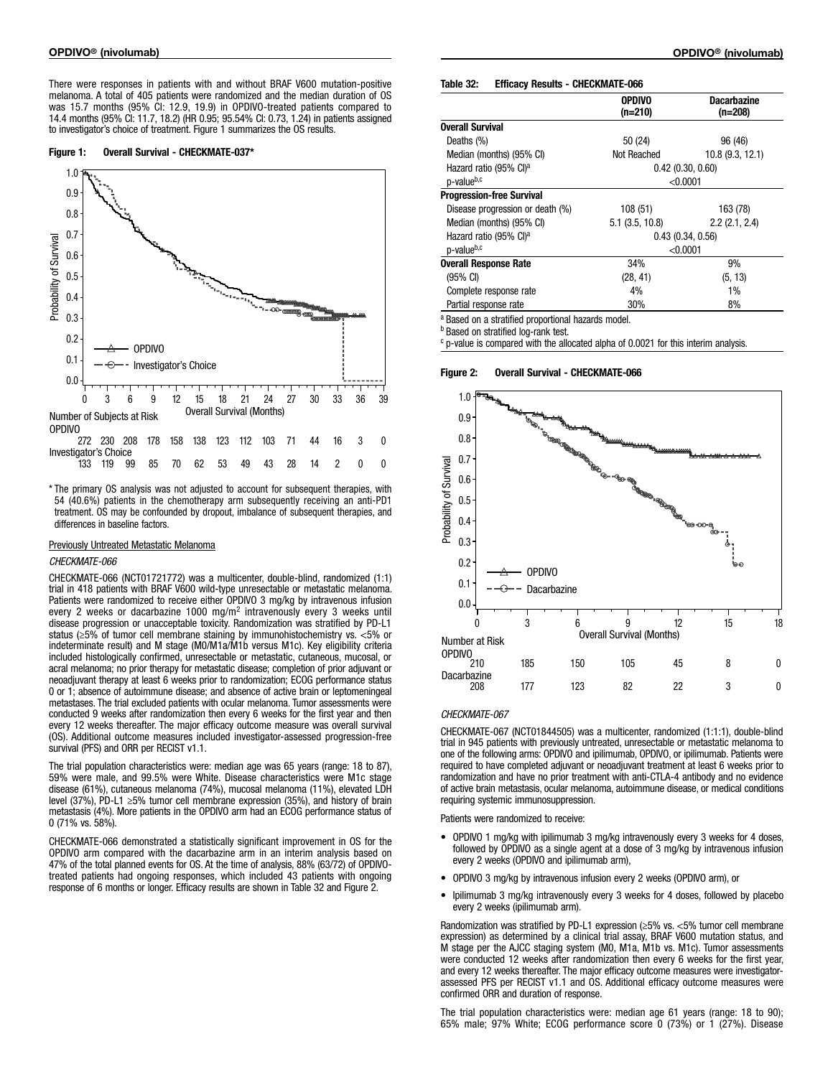There were responses in patients with and without BRAF V600 mutation-positive melanoma. A total of 405 patients were randomized and the median duration of OS was 15.7 months (95% CI: 12.9, 19.9) in OPDIVO-treated patients compared to 14.4 months (95% CI: 11.7, 18.2) (HR 0.95; 95.54% CI: 0.73, 1.24) in patients assigned to investigator's choice of treatment. Figure 1 summarizes the OS results.

#### Figure 1: Overall Survival - CHECKMATE-037\*



\* The primary OS analysis was not adjusted to account for subsequent therapies, with 54 (40.6%) patients in the chemotherapy arm subsequently receiving an anti-PD1 treatment. OS may be confounded by dropout, imbalance of subsequent therapies, and differences in baseline factors.

#### Previously Untreated Metastatic Melanoma

#### *CHECKMATE-066*

CHECKMATE-066 (NCT01721772) was a multicenter, double-blind, randomized (1:1) trial in 418 patients with BRAF V600 wild-type unresectable or metastatic melanoma. Patients were randomized to receive either OPDIVO 3 mg/kg by intravenous infusion every 2 weeks or dacarbazine 1000 mg/m<sup>2</sup> intravenously every 3 weeks until disease progression or unacceptable toxicity. Randomization was stratified by PD-L1 status (≥5% of tumor cell membrane staining by immunohistochemistry vs. <5% or indeterminate result) and M stage (M0/M1a/M1b versus M1c). Key eligibility criteria included histologically confirmed, unresectable or metastatic, cutaneous, mucosal, or acral melanoma; no prior therapy for metastatic disease; completion of prior adjuvant or neoadjuvant therapy at least 6 weeks prior to randomization; ECOG performance status 0 or 1; absence of autoimmune disease; and absence of active brain or leptomeningeal metastases. The trial excluded patients with ocular melanoma. Tumor assessments were conducted 9 weeks after randomization then every 6 weeks for the first year and then every 12 weeks thereafter. The major efficacy outcome measure was overall survival (OS). Additional outcome measures included investigator-assessed progression-free survival (PFS) and ORR per RECIST v1.1.

The trial population characteristics were: median age was 65 years (range: 18 to 87), 59% were male, and 99.5% were White. Disease characteristics were M1c stage disease (61%), cutaneous melanoma (74%), mucosal melanoma (11%), elevated LDH level (37%), PD-L1 ≥5% tumor cell membrane expression (35%), and history of brain metastasis (4%). More patients in the OPDIVO arm had an ECOG performance status of 0 (71% vs. 58%).

CHECKMATE-066 demonstrated a statistically significant improvement in OS for the OPDIVO arm compared with the dacarbazine arm in an interim analysis based on 47% of the total planned events for OS. At the time of analysis, 88% (63/72) of OPDIVOtreated patients had ongoing responses, which included 43 patients with ongoing response of 6 months or longer. Efficacy results are shown in Table 32 and Figure 2.

#### Table 32: Efficacy Results - CHECKMATE-066

|                                    | <b>OPDIVO</b><br>(n=210) | <b>Dacarbazine</b><br>$(n=208)$ |  |
|------------------------------------|--------------------------|---------------------------------|--|
| <b>Overall Survival</b>            |                          |                                 |  |
| Deaths (%)                         | 50(24)                   | 96 (46)                         |  |
| Median (months) (95% CI)           | Not Reached              | 10.8 (9.3, 12.1)                |  |
| Hazard ratio (95% CI) <sup>a</sup> |                          | 0.42(0.30, 0.60)                |  |
| p-valueb,c<br>< 0.0001             |                          |                                 |  |
| <b>Progression-free Survival</b>   |                          |                                 |  |
| Disease progression or death (%)   | 108 (51)                 | 163 (78)                        |  |
| Median (months) (95% CI)           | $5.1$ $(3.5, 10.8)$      | 2.2(2.1, 2.4)                   |  |
| Hazard ratio (95% CI) <sup>a</sup> | 0.43(0.34, 0.56)         |                                 |  |
| p-valueb,c                         |                          | < 0.0001                        |  |
| <b>Overall Response Rate</b>       | 34%                      | 9%                              |  |
| (95% CI)                           | (28, 41)                 | (5, 13)                         |  |
| Complete response rate             | 4%                       | 1%                              |  |
| Partial response rate              | 30%                      | 8%                              |  |

<sup>a</sup> Based on a stratified proportional hazards model.

**b** Based on stratified log-rank test.

 $c$  p-value is compared with the allocated alpha of 0.0021 for this interim analysis.

#### Figure 2: Overall Survival - CHECKMATE-066



#### *CHECKMATE-067*

CHECKMATE-067 (NCT01844505) was a multicenter, randomized (1:1:1), double-blind trial in 945 patients with previously untreated, unresectable or metastatic melanoma to one of the following arms: OPDIVO and ipilimumab, OPDIVO, or ipilimumab. Patients were required to have completed adjuvant or neoadjuvant treatment at least 6 weeks prior to randomization and have no prior treatment with anti-CTLA-4 antibody and no evidence of active brain metastasis, ocular melanoma, autoimmune disease, or medical conditions requiring systemic immunosuppression.

Patients were randomized to receive:

- OPDIVO 1 mg/kg with ipilimumab 3 mg/kg intravenously every 3 weeks for 4 doses, followed by OPDIVO as a single agent at a dose of 3 mg/kg by intravenous infusion every 2 weeks (OPDIVO and ipilimumab arm),
- OPDIVO 3 mg/kg by intravenous infusion every 2 weeks (OPDIVO arm), or
- Ipilimumab 3 mg/kg intravenously every 3 weeks for 4 doses, followed by placebo every 2 weeks (ipilimumab arm).

Randomization was stratified by PD-L1 expression (≥5% vs. <5% tumor cell membrane expression) as determined by a clinical trial assay, BRAF V600 mutation status, and M stage per the AJCC staging system (M0, M1a, M1b vs. M1c). Tumor assessments were conducted 12 weeks after randomization then every 6 weeks for the first year, and every 12 weeks thereafter. The major efficacy outcome measures were investigatorassessed PFS per RECIST v1.1 and OS. Additional efficacy outcome measures were confirmed ORR and duration of response.

The trial population characteristics were: median age 61 years (range: 18 to 90); 65% male; 97% White; ECOG performance score 0 (73%) or 1 (27%). Disease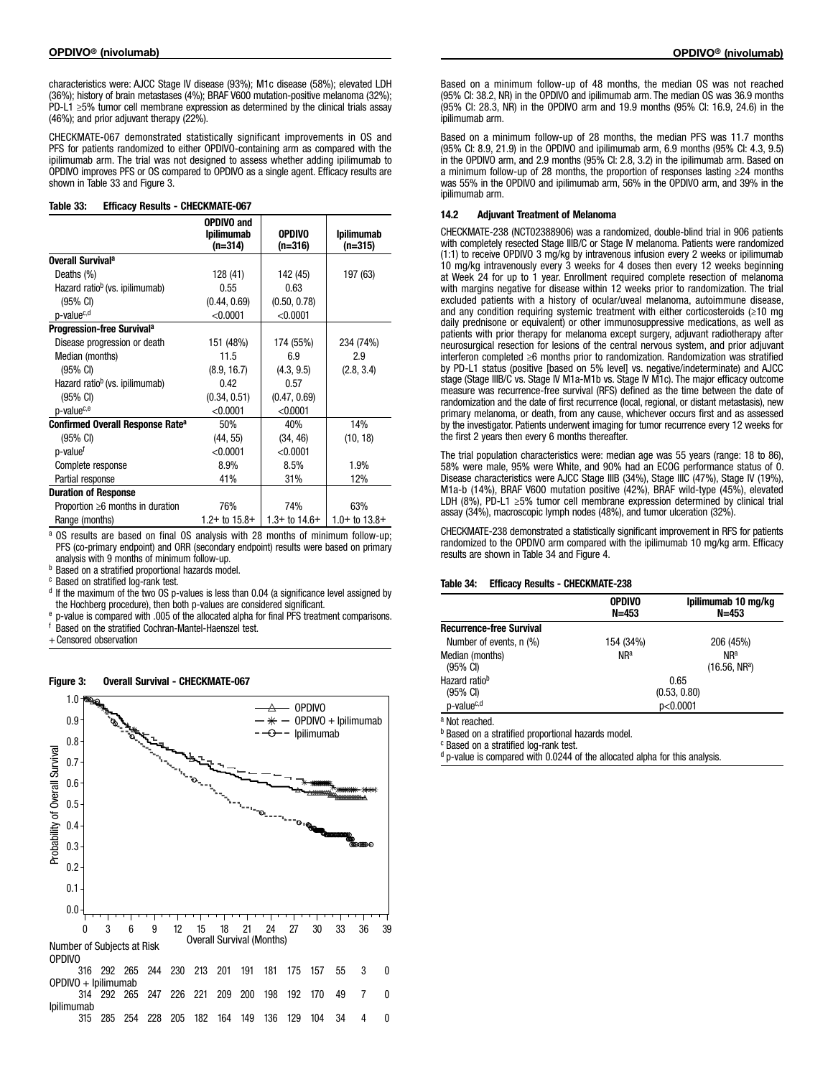characteristics were: AJCC Stage IV disease (93%); M1c disease (58%); elevated LDH (36%); history of brain metastases (4%); BRAF V600 mutation-positive melanoma (32%); PD-L1 ≥5% tumor cell membrane expression as determined by the clinical trials assay (46%); and prior adjuvant therapy (22%).

CHECKMATE-067 demonstrated statistically significant improvements in OS and PFS for patients randomized to either OPDIVO-containing arm as compared with the ipilimumab arm. The trial was not designed to assess whether adding ipilimumab to OPDIVO improves PFS or OS compared to OPDIVO as a single agent. Efficacy results are shown in Table 33 and Figure 3.

#### Table 33: Efficacy Results - CHECKMATE-067

|                                                    | <b>OPDIVO and</b><br><b>Ipilimumab</b> | <b>OPDIVO</b>     | <b>Ipilimumab</b> |
|----------------------------------------------------|----------------------------------------|-------------------|-------------------|
| Overall Survival <sup>a</sup>                      | (n=314)                                | (n=316)           | $(n=315)$         |
|                                                    |                                        |                   |                   |
| Deaths (%)                                         | 128 (41)                               | 142 (45)          | 197 (63)          |
| Hazard ratio <sup>b</sup> (vs. ipilimumab)         | 0.55                                   | 0.63              |                   |
| (95% CI)                                           | (0.44, 0.69)                           | (0.50, 0.78)      |                   |
| p-value <sup>c,d</sup>                             | < 0.0001                               | < 0.0001          |                   |
| Progression-free Survival <sup>a</sup>             |                                        |                   |                   |
| Disease progression or death                       | 151 (48%)                              | 174 (55%)         | 234 (74%)         |
| Median (months)                                    | 11.5                                   | 6.9               | 2.9               |
| $(95% \text{ Cl})$                                 | (8.9, 16.7)                            | (4.3, 9.5)        | (2.8, 3.4)        |
| Hazard ratio <sup>b</sup> (vs. ipilimumab)         | 0.42                                   | 0.57              |                   |
| (95% CI)                                           | (0.34, 0.51)                           | (0.47, 0.69)      |                   |
| p-valuec,e                                         | < 0.0001                               | < 0.0001          |                   |
| <b>Confirmed Overall Response Rate<sup>a</sup></b> | 50%                                    | 40%               | 14%               |
| $(95% \text{ Cl})$                                 | (44, 55)                               | (34, 46)          | (10, 18)          |
| p-value <sup>t</sup>                               | < 0.0001                               | < 0.0001          |                   |
| Complete response                                  | 8.9%                                   | 8.5%              | 1.9%              |
| Partial response                                   | 41%                                    | 31%               | 12%               |
| <b>Duration of Response</b>                        |                                        |                   |                   |
| Proportion $\geq 6$ months in duration             | 76%                                    | 74%               | 63%               |
| Range (months)                                     | $1.2 +$ to $15.8 +$                    | $1.3+$ to $14.6+$ | $1.0+$ to $13.8+$ |

a OS results are based on final OS analysis with 28 months of minimum follow-up; PFS (co-primary endpoint) and ORR (secondary endpoint) results were based on primary analysis with 9 months of minimum follow-up.

**b** Based on a stratified proportional hazards model.

<sup>c</sup> Based on stratified log-rank test.

 $d$  If the maximum of the two OS p-values is less than 0.04 (a significance level assigned by the Hochberg procedure), then both p-values are considered significant.

<sup>e</sup> p-value is compared with .005 of the allocated alpha for final PFS treatment comparisons. <sup>f</sup> Based on the stratified Cochran-Mantel-Haenszel test.

+Censored observation



#### Figure 3: Overall Survival - CHECKMATE-067

Based on a minimum follow-up of 48 months, the median OS was not reached (95% CI: 38.2, NR) in the OPDIVO and ipilimumab arm. The median OS was 36.9 months (95% CI: 28.3, NR) in the OPDIVO arm and 19.9 months (95% CI: 16.9, 24.6) in the ipilimumab arm.

Based on a minimum follow-up of 28 months, the median PFS was 11.7 months (95% CI: 8.9, 21.9) in the OPDIVO and ipilimumab arm, 6.9 months (95% CI: 4.3, 9.5) in the OPDIVO arm, and 2.9 months (95% CI: 2.8, 3.2) in the ipilimumab arm. Based on a minimum follow-up of 28 months, the proportion of responses lasting ≥24 months was 55% in the OPDIVO and ipilimumab arm, 56% in the OPDIVO arm, and 39% in the ipilimumab arm.

#### 14.2 Adjuvant Treatment of Melanoma

CHECKMATE-238 (NCT02388906) was a randomized, double-blind trial in 906 patients with completely resected Stage IIIB/C or Stage IV melanoma. Patients were randomized (1:1) to receive OPDIVO 3 mg/kg by intravenous infusion every 2 weeks or ipilimumab 10 mg/kg intravenously every 3 weeks for 4 doses then every 12 weeks beginning at Week 24 for up to 1 year. Enrollment required complete resection of melanoma with margins negative for disease within 12 weeks prior to randomization. The trial excluded patients with a history of ocular/uveal melanoma, autoimmune disease, and any condition requiring systemic treatment with either corticosteroids (≥10 mg daily prednisone or equivalent) or other immunosuppressive medications, as well as patients with prior therapy for melanoma except surgery, adjuvant radiotherapy after neurosurgical resection for lesions of the central nervous system, and prior adjuvant interferon completed ≥6 months prior to randomization. Randomization was stratified by PD-L1 status (positive [based on 5% level] vs. negative/indeterminate) and AJCC stage (Stage IIIB/C vs. Stage IV M1a-M1b vs. Stage IV M1c). The major efficacy outcome measure was recurrence-free survival (RFS) defined as the time between the date of randomization and the date of first recurrence (local, regional, or distant metastasis), new primary melanoma, or death, from any cause, whichever occurs first and as assessed by the investigator. Patients underwent imaging for tumor recurrence every 12 weeks for the first 2 years then every 6 months thereafter.

The trial population characteristics were: median age was 55 years (range: 18 to 86), 58% were male, 95% were White, and 90% had an ECOG performance status of 0. Disease characteristics were AJCC Stage IIIB (34%), Stage IIIC (47%), Stage IV (19%), M1a-b (14%), BRAF V600 mutation positive (42%), BRAF wild-type (45%), elevated LDH (8%), PD-L1 ≥5% tumor cell membrane expression determined by clinical trial assay (34%), macroscopic lymph nodes (48%), and tumor ulceration (32%).

CHECKMATE-238 demonstrated a statistically significant improvement in RFS for patients randomized to the OPDIVO arm compared with the ipilimumab 10 mg/kg arm. Efficacy results are shown in Table 34 and Figure 4.

#### Table 34: Efficacy Results - CHECKMATE-238

|                                 | <b>OPDIVO</b><br>$N = 453$ | Ipilimumab 10 mg/kg<br>$N = 453$ |  |
|---------------------------------|----------------------------|----------------------------------|--|
| <b>Recurrence-free Survival</b> |                            |                                  |  |
| Number of events, n (%)         | 154 (34%)                  | 206 (45%)                        |  |
| Median (months)                 | <b>NRa</b>                 | <b>NRa</b>                       |  |
| (95% CI)                        |                            | (16.56. NR <sup>a</sup> )        |  |
| Hazard ratio <sup>b</sup>       |                            | 0.65                             |  |
| (95% CI)                        |                            | (0.53, 0.80)                     |  |
| p-value <sup>c,d</sup>          | p<0.0001                   |                                  |  |

<sup>a</sup> Not reached.

**b** Based on a stratified proportional hazards model.

<sup>c</sup> Based on a stratified log-rank test.

<sup>d</sup> p-value is compared with 0.0244 of the allocated alpha for this analysis.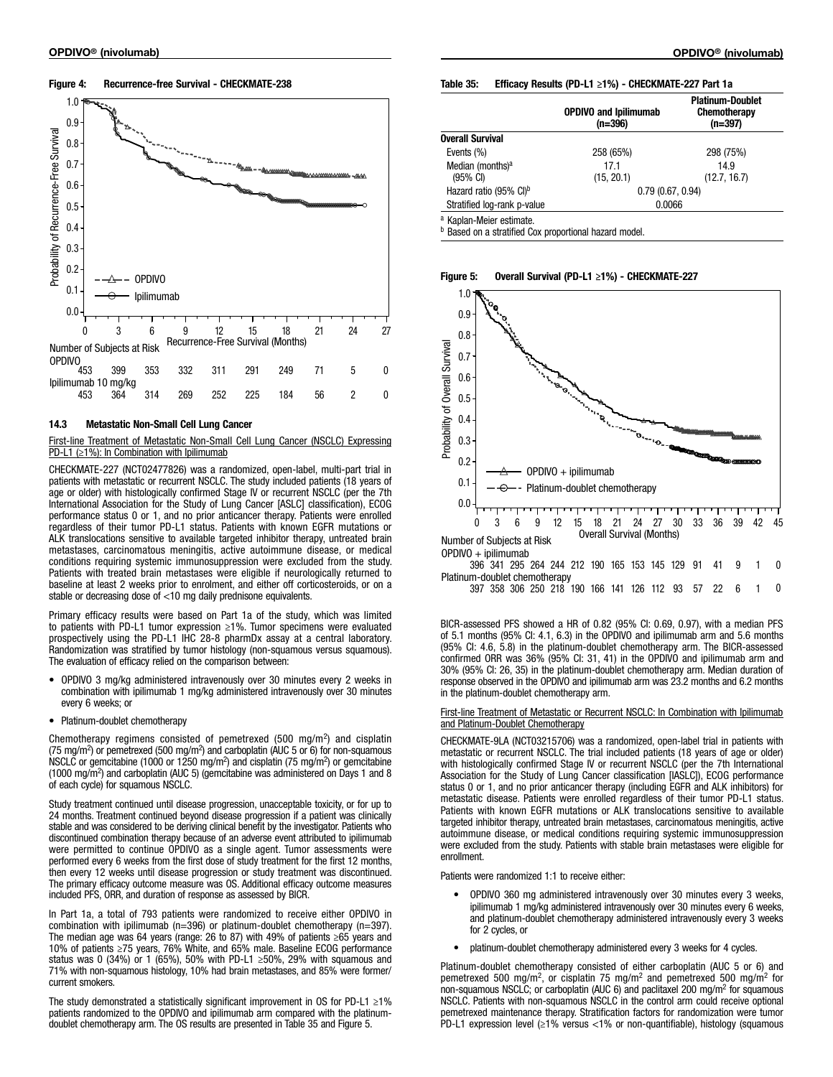#### Figure 4: Recurrence-free Survival - CHECKMATE-238



#### 14.3 Metastatic Non-Small Cell Lung Cancer

First-line Treatment of Metastatic Non-Small Cell Lung Cancer (NSCLC) Expressing PD-L1 (≥1%): In Combination with Ipilimumab

CHECKMATE-227 (NCT02477826) was a randomized, open-label, multi-part trial in patients with metastatic or recurrent NSCLC. The study included patients (18 years of age or older) with histologically confirmed Stage IV or recurrent NSCLC (per the 7th International Association for the Study of Lung Cancer [ASLC] classification), ECOG performance status 0 or 1, and no prior anticancer therapy. Patients were enrolled regardless of their tumor PD-L1 status. Patients with known EGFR mutations or ALK translocations sensitive to available targeted inhibitor therapy, untreated brain metastases, carcinomatous meningitis, active autoimmune disease, or medical conditions requiring systemic immunosuppression were excluded from the study. Patients with treated brain metastases were eligible if neurologically returned to baseline at least 2 weeks prior to enrolment, and either off corticosteroids, or on a stable or decreasing dose of <10 mg daily prednisone equivalents.

Primary efficacy results were based on Part 1a of the study, which was limited to patients with PD-L1 tumor expression ≥1%. Tumor specimens were evaluated prospectively using the PD-L1 IHC 28-8 pharmDx assay at a central laboratory. Randomization was stratified by tumor histology (non-squamous versus squamous). The evaluation of efficacy relied on the comparison between:

- OPDIVO 3 mg/kg administered intravenously over 30 minutes every 2 weeks in combination with ipilimumab 1 mg/kg administered intravenously over 30 minutes every 6 weeks; or
- Platinum-doublet chemotherapy

Chemotherapy regimens consisted of pemetrexed (500 mg/m2) and cisplatin (75 mg/m2 ) or pemetrexed (500 mg/m2 ) and carboplatin (AUC 5 or 6) for non-squamous NSCLC or gemcitabine (1000 or 1250 mg/m<sup>2</sup>) and cisplatin (75 mg/m<sup>2</sup>) or gemcitabine (1000 mg/m2 ) and carboplatin (AUC 5) (gemcitabine was administered on Days 1 and 8 of each cycle) for squamous NSCLC.

Study treatment continued until disease progression, unacceptable toxicity, or for up to 24 months. Treatment continued beyond disease progression if a patient was clinically stable and was considered to be deriving clinical benefit by the investigator. Patients who discontinued combination therapy because of an adverse event attributed to ipilimumab were permitted to continue OPDIVO as a single agent. Tumor assessments were performed every 6 weeks from the first dose of study treatment for the first 12 months, then every 12 weeks until disease progression or study treatment was discontinued. The primary efficacy outcome measure was OS. Additional efficacy outcome measures included PFS, ORR, and duration of response as assessed by BICR.

In Part 1a, a total of 793 patients were randomized to receive either OPDIVO in combination with ipilimumab (n=396) or platinum-doublet chemotherapy (n=397). The median age was 64 years (range: 26 to 87) with 49% of patients ≥65 years and 10% of patients ≥75 years, 76% White, and 65% male. Baseline ECOG performance status was 0 (34%) or 1 (65%), 50% with PD-L1 ≥50%, 29% with squamous and 71% with non-squamous histology, 10% had brain metastases, and 85% were former/ current smokers.

The study demonstrated a statistically significant improvement in OS for PD-L1  $\geq$ 1% patients randomized to the OPDIVO and ipilimumab arm compared with the platinumdoublet chemotherapy arm. The OS results are presented in Table 35 and Figure 5.

#### Table 35: Efficacy Results (PD-L1 ≥1%) - CHECKMATE-227 Part 1a

|                                     | <b>OPDIVO and Ipilimumab</b><br>$(n=396)$ | <b>Platinum-Doublet</b><br>Chemotherapy<br>$(n=397)$ |
|-------------------------------------|-------------------------------------------|------------------------------------------------------|
| Overall Survival                    |                                           |                                                      |
| Events (%)                          | 258 (65%)                                 | 298 (75%)                                            |
| Median (months) <sup>a</sup>        | 17.1                                      | 14.9                                                 |
| $(95% \text{ Cl})$                  | (15, 20.1)                                | (12.7, 16.7)                                         |
| Hazard ratio (95% CI) <sup>b</sup>  | 0.79(0.67, 0.94)                          |                                                      |
| Stratified log-rank p-value         | 0.0066                                    |                                                      |
| <sup>a</sup> Kaplan-Meier estimate. |                                           |                                                      |

**b** Based on a stratified Cox proportional hazard model.

Figure 5: Overall Survival (PD-L1 ≥1%) - CHECKMATE-227



BICR-assessed PFS showed a HR of 0.82 (95% CI: 0.69, 0.97), with a median PFS of 5.1 months (95% CI: 4.1, 6.3) in the OPDIVO and ipilimumab arm and 5.6 months (95% CI: 4.6, 5.8) in the platinum-doublet chemotherapy arm. The BICR-assessed confirmed ORR was 36% (95% CI: 31, 41) in the OPDIVO and ipilimumab arm and 30% (95% CI: 26, 35) in the platinum-doublet chemotherapy arm. Median duration of response observed in the OPDIVO and ipilimumab arm was 23.2 months and 6.2 months in the platinum-doublet chemotherapy arm.

#### First-line Treatment of Metastatic or Recurrent NSCLC: In Combination with Ipilimumab and Platinum-Doublet Chemotherapy

CHECKMATE-9LA (NCT03215706) was a randomized, open-label trial in patients with metastatic or recurrent NSCLC. The trial included patients (18 years of age or older) with histologically confirmed Stage IV or recurrent NSCLC (per the 7th International Association for the Study of Lung Cancer classification [IASLC]), ECOG performance status 0 or 1, and no prior anticancer therapy (including EGFR and ALK inhibitors) for metastatic disease. Patients were enrolled regardless of their tumor PD-L1 status. Patients with known EGFR mutations or ALK translocations sensitive to available targeted inhibitor therapy, untreated brain metastases, carcinomatous meningitis, active autoimmune disease, or medical conditions requiring systemic immunosuppression were excluded from the study. Patients with stable brain metastases were eligible for enrollment.

Patients were randomized 1:1 to receive either:

- OPDIVO 360 mg administered intravenously over 30 minutes every 3 weeks, ipilimumab 1 mg/kg administered intravenously over 30 minutes every 6 weeks, and platinum-doublet chemotherapy administered intravenously every 3 weeks for 2 cycles, or
- platinum-doublet chemotherapy administered every 3 weeks for 4 cycles.

Platinum-doublet chemotherapy consisted of either carboplatin (AUC 5 or 6) and pemetrexed 500 mg/m2, or cisplatin 75 mg/m2 and pemetrexed 500 mg/m2 for non-squamous NSCLC; or carboplatin (AUC 6) and paclitaxel 200 mg/m2 for squamous NSCLC. Patients with non-squamous NSCLC in the control arm could receive optional pemetrexed maintenance therapy. Stratification factors for randomization were tumor PD-L1 expression level (≥1% versus <1% or non-quantifiable), histology (squamous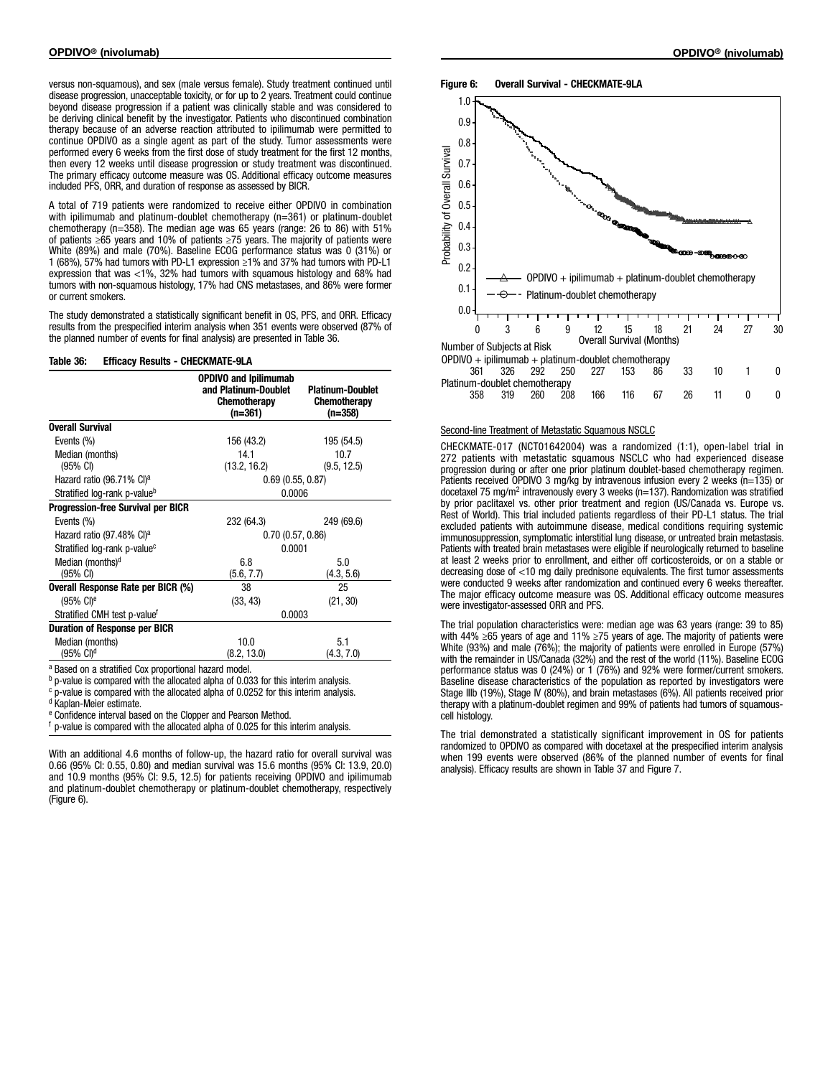versus non-squamous), and sex (male versus female). Study treatment continued until disease progression, unacceptable toxicity, or for up to 2 years. Treatment could continue beyond disease progression if a patient was clinically stable and was considered to be deriving clinical benefit by the investigator. Patients who discontinued combination therapy because of an adverse reaction attributed to ipilimumab were permitted to continue OPDIVO as a single agent as part of the study. Tumor assessments were performed every 6 weeks from the first dose of study treatment for the first 12 months, then every 12 weeks until disease progression or study treatment was discontinued. The primary efficacy outcome measure was OS. Additional efficacy outcome measures included PFS, ORR, and duration of response as assessed by BICR.

A total of 719 patients were randomized to receive either OPDIVO in combination with ipilimumab and platinum-doublet chemotherapy (n=361) or platinum-doublet chemotherapy (n=358). The median age was 65 years (range: 26 to 86) with 51% of patients ≥65 years and 10% of patients ≥75 years. The majority of patients were White (89%) and male (70%). Baseline ECOG performance status was 0 (31%) or 1 (68%), 57% had tumors with PD-L1 expression ≥1% and 37% had tumors with PD-L1 expression that was <1%, 32% had tumors with squamous histology and 68% had tumors with non-squamous histology, 17% had CNS metastases, and 86% were former or current smokers.

The study demonstrated a statistically significant benefit in OS, PFS, and ORR. Efficacy results from the prespecified interim analysis when 351 events were observed (87% of the planned number of events for final analysis) are presented in Table 36.

#### Table 36: Efficacy Results - CHECKMATE-9LA

|                                           | <b>OPDIVO and Ipilimumab</b><br>and Platinum-Doublet<br>Chemotherapy<br>$(n=361)$ | <b>Platinum-Doublet</b><br>Chemotherapy<br>$(n=358)$ |
|-------------------------------------------|-----------------------------------------------------------------------------------|------------------------------------------------------|
| <b>Overall Survival</b>                   |                                                                                   |                                                      |
| Events (%)                                | 156 (43.2)                                                                        | 195 (54.5)                                           |
| Median (months)<br>$(95% \text{ Cl})$     | 14.1<br>(13.2, 16.2)                                                              | 10.7<br>(9.5, 12.5)                                  |
| Hazard ratio (96.71% CI) <sup>a</sup>     | 0.69(0.55, 0.87)                                                                  |                                                      |
| Stratified log-rank p-value <sup>b</sup>  | 0.0006                                                                            |                                                      |
| <b>Progression-free Survival per BICR</b> |                                                                                   |                                                      |
| Events (%)                                | 232 (64.3)                                                                        | 249 (69.6)                                           |
| Hazard ratio (97.48% CI) <sup>a</sup>     | 0.70(0.57, 0.86)                                                                  |                                                      |
| Stratified log-rank p-value <sup>c</sup>  | 0.0001                                                                            |                                                      |
| Median (months) <sup>d</sup>              | 6.8                                                                               | 5.0                                                  |
| (95% CI)                                  | (5.6, 7.7)                                                                        | (4.3, 5.6)                                           |
| Overall Response Rate per BICR (%)        | 38                                                                                | 25                                                   |
| $(95\% \text{ Cl})^e$                     | (33, 43)                                                                          | (21, 30)                                             |
| Stratified CMH test p-value <sup>t</sup>  | 0.0003                                                                            |                                                      |
| <b>Duration of Response per BICR</b>      |                                                                                   |                                                      |
| Median (months)                           | 10.0                                                                              | 5.1                                                  |
| (95% CI) <sup>d</sup>                     | (8.2, 13.0)                                                                       | (4.3, 7.0)                                           |

<sup>a</sup> Based on a stratified Cox proportional hazard model.

 $<sup>b</sup>$  p-value is compared with the allocated alpha of 0.033 for this interim analysis.</sup>

 $c$  p-value is compared with the allocated alpha of 0.0252 for this interim analysis.

<sup>d</sup> Kaplan-Meier estimate.

<sup>e</sup> Confidence interval based on the Clopper and Pearson Method.

 $<sup>f</sup>$  p-value is compared with the allocated alpha of 0.025 for this interim analysis.</sup>

With an additional 4.6 months of follow-up, the hazard ratio for overall survival was 0.66 (95% CI: 0.55, 0.80) and median survival was 15.6 months (95% CI: 13.9, 20.0) and 10.9 months (95% CI: 9.5, 12.5) for patients receiving OPDIVO and ipilimumab and platinum-doublet chemotherapy or platinum-doublet chemotherapy, respectively (Figure 6).



#### Second-line Treatment of Metastatic Squamous NSCLC

CHECKMATE-017 (NCT01642004) was a randomized (1:1), open-label trial in 272 patients with metastatic squamous NSCLC who had experienced disease progression during or after one prior platinum doublet-based chemotherapy regimen. Patients received OPDIVO 3 mg/kg by intravenous infusion every 2 weeks (n=135) or docetaxel 75 mg/m<sup>2</sup> intravenously every 3 weeks (n=137). Randomization was stratified by prior paclitaxel vs. other prior treatment and region (US/Canada vs. Europe vs. Rest of World). This trial included patients regardless of their PD-L1 status. The trial excluded patients with autoimmune disease, medical conditions requiring systemic immunosuppression, symptomatic interstitial lung disease, or untreated brain metastasis. Patients with treated brain metastases were eligible if neurologically returned to baseline at least 2 weeks prior to enrollment, and either off corticosteroids, or on a stable or decreasing dose of <10 mg daily prednisone equivalents. The first tumor assessments were conducted 9 weeks after randomization and continued every 6 weeks thereafter. The major efficacy outcome measure was OS. Additional efficacy outcome measures were investigator-assessed ORR and PFS.

The trial population characteristics were: median age was 63 years (range: 39 to 85) with 44% ≥65 years of age and 11% ≥75 years of age. The majority of patients were White (93%) and male (76%); the majority of patients were enrolled in Europe (57%) with the remainder in US/Canada (32%) and the rest of the world (11%). Baseline ECOG performance status was 0 (24%) or  $1$  (76%) and 92% were former/current smokers. Baseline disease characteristics of the population as reported by investigators were Stage IIIb (19%), Stage IV (80%), and brain metastases (6%). All patients received prior therapy with a platinum-doublet regimen and 99% of patients had tumors of squamouscell histology.

The trial demonstrated a statistically significant improvement in OS for patients randomized to OPDIVO as compared with docetaxel at the prespecified interim analysis when 199 events were observed (86% of the planned number of events for final analysis). Efficacy results are shown in Table 37 and Figure 7.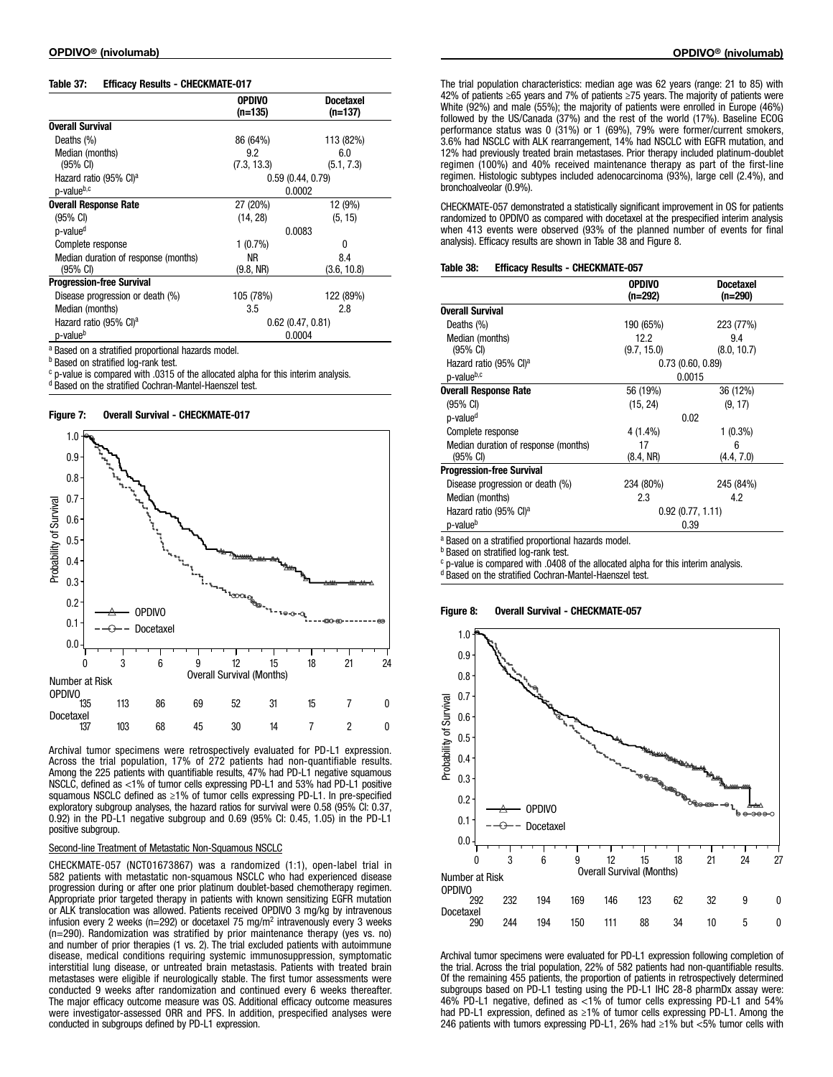#### Table 37: Efficacy Results - CHECKMATE-017

|                                      | <b>OPDIVO</b><br>(n=135) | <b>Docetaxel</b><br>(n=137) |
|--------------------------------------|--------------------------|-----------------------------|
| <b>Overall Survival</b>              |                          |                             |
| Deaths (%)                           | 86 (64%)                 | 113 (82%)                   |
| Median (months)                      | 9.2                      | 6.0                         |
| $(95% \text{ Cl})$                   | (7.3, 13.3)              | (5.1, 7.3)                  |
| Hazard ratio (95% CI) <sup>a</sup>   |                          | 0.59(0.44, 0.79)            |
| p-valueb,c                           |                          | 0.0002                      |
| <b>Overall Response Rate</b>         | 27 (20%)                 | 12 (9%)                     |
| (95% CI)                             | (14, 28)                 | (5, 15)                     |
| p-value <sup>d</sup>                 |                          | 0.0083                      |
| Complete response                    | $1(0.7\%)$               | 0                           |
| Median duration of response (months) | NR.                      | 8.4                         |
| (95% CI)                             | (9.8, NR)                | (3.6, 10.8)                 |
| <b>Progression-free Survival</b>     |                          |                             |
| Disease progression or death (%)     | 105 (78%)                | 122 (89%)                   |
| Median (months)                      | 3.5                      | 2.8                         |
| Hazard ratio (95% CI) <sup>a</sup>   |                          | $0.62$ (0.47, 0.81)         |
| p-value <sup>b</sup>                 |                          | 0.0004                      |

<sup>a</sup> Based on a stratified proportional hazards model.

**b** Based on stratified log-rank test.

<sup>c</sup> p-value is compared with .0315 of the allocated alpha for this interim analysis.

<sup>d</sup> Based on the stratified Cochran-Mantel-Haenszel test.



Archival tumor specimens were retrospectively evaluated for PD-L1 expression. Across the trial population, 17% of 272 patients had non-quantifiable results. Among the 225 patients with quantifiable results, 47% had PD-L1 negative squamous NSCLC, defined as <1% of tumor cells expressing PD-L1 and 53% had PD-L1 positive squamous NSCLC defined as ≥1% of tumor cells expressing PD-L1. In pre-specified exploratory subgroup analyses, the hazard ratios for survival were 0.58 (95% CI: 0.37, 0.92) in the PD-L1 negative subgroup and 0.69 (95% CI: 0.45, 1.05) in the PD-L1 positive subgroup.

#### Second-line Treatment of Metastatic Non-Squamous NSCLC

CHECKMATE-057 (NCT01673867) was a randomized (1:1), open-label trial in 582 patients with metastatic non-squamous NSCLC who had experienced disease progression during or after one prior platinum doublet-based chemotherapy regimen. Appropriate prior targeted therapy in patients with known sensitizing EGFR mutation or ALK translocation was allowed. Patients received OPDIVO 3 mg/kg by intravenous infusion every 2 weeks (n=292) or docetaxel 75 mg/m<sup>2</sup> intravenously every 3 weeks (n=290). Randomization was stratified by prior maintenance therapy (yes vs. no) and number of prior therapies (1 vs. 2). The trial excluded patients with autoimmune disease, medical conditions requiring systemic immunosuppression, symptomatic interstitial lung disease, or untreated brain metastasis. Patients with treated brain metastases were eligible if neurologically stable. The first tumor assessments were conducted 9 weeks after randomization and continued every 6 weeks thereafter. The major efficacy outcome measure was OS. Additional efficacy outcome measures were investigator-assessed ORR and PFS. In addition, prespecified analyses were conducted in subgroups defined by PD-L1 expression.

The trial population characteristics: median age was 62 years (range: 21 to 85) with 42% of patients ≥65 years and 7% of patients ≥75 years. The majority of patients were White (92%) and male (55%); the majority of patients were enrolled in Europe (46%) followed by the US/Canada (37%) and the rest of the world (17%). Baseline ECOG performance status was 0 (31%) or 1 (69%), 79% were former/current smokers, 3.6% had NSCLC with ALK rearrangement, 14% had NSCLC with EGFR mutation, and 12% had previously treated brain metastases. Prior therapy included platinum-doublet regimen (100%) and 40% received maintenance therapy as part of the first-line regimen. Histologic subtypes included adenocarcinoma (93%), large cell (2.4%), and bronchoalveolar (0.9%).

CHECKMATE-057 demonstrated a statistically significant improvement in OS for patients randomized to OPDIVO as compared with docetaxel at the prespecified interim analysis when 413 events were observed (93% of the planned number of events for final analysis). Efficacy results are shown in Table 38 and Figure 8.

#### Table 38: Efficacy Results - CHECKMATE-057

|                                      | <b>OPDIVO</b><br>(n=292) | <b>Docetaxel</b><br>$(n=290)$ |
|--------------------------------------|--------------------------|-------------------------------|
| <b>Overall Survival</b>              |                          |                               |
| Deaths (%)                           | 190 (65%)                | 223 (77%)                     |
| Median (months)                      | 12.2                     | 9.4                           |
| $(95% \text{ Cl})$                   | (9.7, 15.0)              | (8.0, 10.7)                   |
| Hazard ratio (95% CI) <sup>a</sup>   |                          | $0.73$ (0.60, 0.89)           |
| p-valueb,c                           |                          | 0.0015                        |
| <b>Overall Response Rate</b>         | 56 (19%)                 | 36 (12%)                      |
| (95% CI)                             | (15, 24)                 | (9, 17)                       |
| p-value <sup>d</sup>                 |                          | 0.02                          |
| Complete response                    | 4 (1.4%)                 | 1 (0.3%)                      |
| Median duration of response (months) | 17                       | 6                             |
| (95% CI)                             | (8.4, NR)                | (4.4, 7.0)                    |
| <b>Progression-free Survival</b>     |                          |                               |
| Disease progression or death (%)     | 234 (80%)                | 245 (84%)                     |
| Median (months)                      | 2.3                      | 4.2                           |
| Hazard ratio (95% CI) <sup>a</sup>   |                          | 0.92(0.77, 1.11)              |
| p-valueb                             |                          | 0.39                          |

<sup>a</sup> Based on a stratified proportional hazards model.

**b** Based on stratified log-rank test.

<sup>c</sup> p-value is compared with .0408 of the allocated alpha for this interim analysis.

d Based on the stratified Cochran-Mantel-Haenszel test.

#### Figure 8: Overall Survival - CHECKMATE-057



Archival tumor specimens were evaluated for PD-L1 expression following completion of the trial. Across the trial population, 22% of 582 patients had non-quantifiable results. Of the remaining 455 patients, the proportion of patients in retrospectively determined subgroups based on PD-L1 testing using the PD-L1 IHC 28-8 pharmDx assay were: 46% PD-L1 negative, defined as <1% of tumor cells expressing PD-L1 and 54% had PD-L1 expression, defined as ≥1% of tumor cells expressing PD-L1. Among the 246 patients with tumors expressing PD-L1, 26% had ≥1% but <5% tumor cells with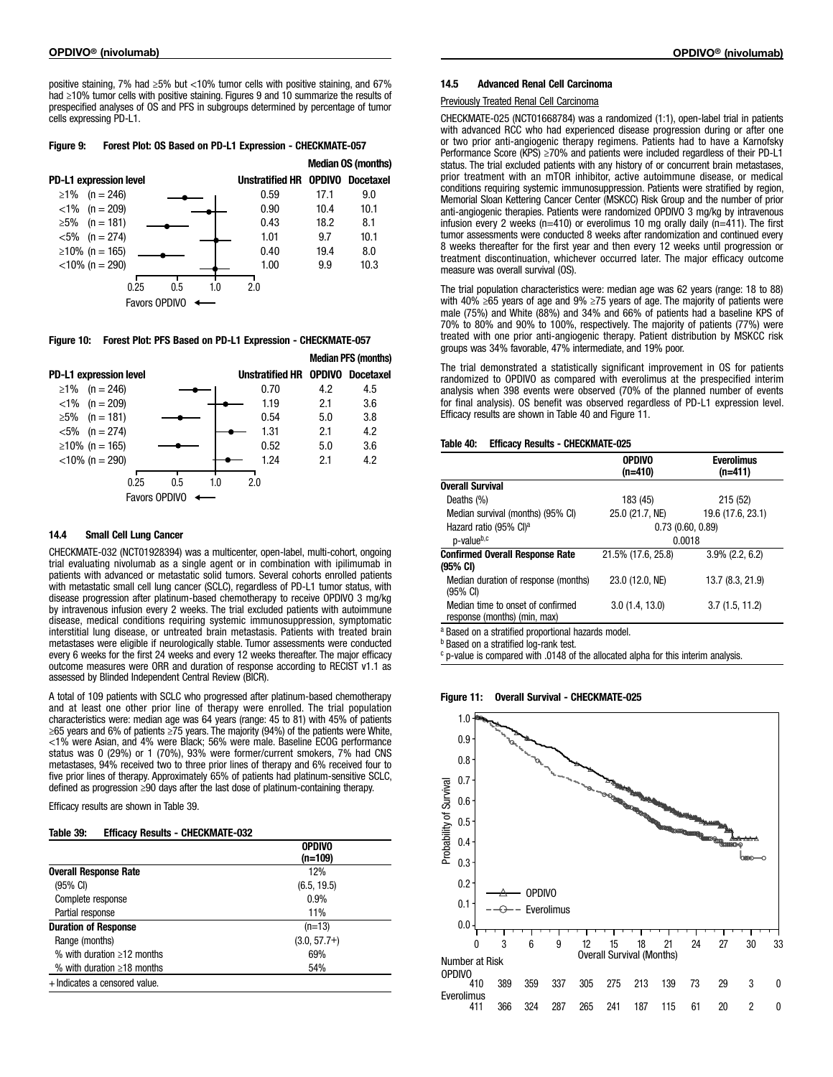positive staining, 7% had ≥5% but <10% tumor cells with positive staining, and 67% had ≥10% tumor cells with positive staining. Figures 9 and 10 summarize the results of prespecified analyses of OS and PFS in subgroups determined by percentage of tumor cells expressing PD-L1.

#### Figure 9: Forest Plot: OS Based on PD-L1 Expression - CHECKMATE-057



#### Figure 10: Forest Plot: PFS Based on PD-L1 Expression - CHECKMATE-057



#### 14.4 Small Cell Lung Cancer

CHECKMATE-032 (NCT01928394) was a multicenter, open-label, multi-cohort, ongoing trial evaluating nivolumab as a single agent or in combination with ipilimumab in patients with advanced or metastatic solid tumors. Several cohorts enrolled patients with metastatic small cell lung cancer (SCLC), regardless of PD-L1 tumor status, with disease progression after platinum-based chemotherapy to receive OPDIVO 3 mg/kg by intravenous infusion every 2 weeks. The trial excluded patients with autoimmune disease, medical conditions requiring systemic immunosuppression, symptomatic interstitial lung disease, or untreated brain metastasis. Patients with treated brain metastases were eligible if neurologically stable. Tumor assessments were conducted every 6 weeks for the first 24 weeks and every 12 weeks thereafter. The major efficacy outcome measures were ORR and duration of response according to RECIST v1.1 as assessed by Blinded Independent Central Review (BICR).

A total of 109 patients with SCLC who progressed after platinum-based chemotherapy and at least one other prior line of therapy were enrolled. The trial population characteristics were: median age was 64 years (range: 45 to 81) with 45% of patients ≥65 years and 6% of patients ≥75 years. The majority (94%) of the patients were White, <1% were Asian, and 4% were Black; 56% were male. Baseline ECOG performance status was 0 (29%) or 1 (70%), 93% were former/current smokers, 7% had CNS metastases, 94% received two to three prior lines of therapy and 6% received four to five prior lines of therapy. Approximately 65% of patients had platinum-sensitive SCLC, defined as progression ≥90 days after the last dose of platinum-containing therapy.

Efficacy results are shown in Table 39.

#### Table 39: Efficacy Results - CHECKMATE-032

|                                  | <b>OPDIVO</b>  |
|----------------------------------|----------------|
|                                  | $(n=109)$      |
| <b>Overall Response Rate</b>     | 12%            |
| $(95% \text{ Cl})$               | (6.5, 19.5)    |
| Complete response                | 0.9%           |
| Partial response                 | 11%            |
| <b>Duration of Response</b>      | $(n=13)$       |
| Range (months)                   | $(3.0, 57.7+)$ |
| % with duration $\geq 12$ months | 69%            |
| % with duration $\geq 18$ months | 54%            |
| + Indicates a censored value.    |                |

#### 14.5 Advanced Renal Cell Carcinoma

#### Previously Treated Renal Cell Carcinoma

CHECKMATE-025 (NCT01668784) was a randomized (1:1), open-label trial in patients with advanced RCC who had experienced disease progression during or after one or two prior anti-angiogenic therapy regimens. Patients had to have a Karnofsky Performance Score (KPS) ≥70% and patients were included regardless of their PD-L1 status. The trial excluded patients with any history of or concurrent brain metastases, prior treatment with an mTOR inhibitor, active autoimmune disease, or medical conditions requiring systemic immunosuppression. Patients were stratified by region, Memorial Sloan Kettering Cancer Center (MSKCC) Risk Group and the number of prior anti-angiogenic therapies. Patients were randomized OPDIVO 3 mg/kg by intravenous infusion every 2 weeks (n=410) or everolimus 10 mg orally daily (n=411). The first tumor assessments were conducted 8 weeks after randomization and continued every 8 weeks thereafter for the first year and then every 12 weeks until progression or treatment discontinuation, whichever occurred later. The major efficacy outcome measure was overall survival (OS).

The trial population characteristics were: median age was 62 years (range: 18 to 88) with 40% ≥65 years of age and 9% ≥75 years of age. The majority of patients were male (75%) and White (88%) and 34% and 66% of patients had a baseline KPS of 70% to 80% and 90% to 100%, respectively. The majority of patients (77%) were treated with one prior anti-angiogenic therapy. Patient distribution by MSKCC risk groups was 34% favorable, 47% intermediate, and 19% poor.

The trial demonstrated a statistically significant improvement in OS for patients randomized to OPDIVO as compared with everolimus at the prespecified interim analysis when 398 events were observed (70% of the planned number of events for final analysis). OS benefit was observed regardless of PD-L1 expression level. Efficacy results are shown in Table 40 and Figure 11.

#### Table 40: Efficacy Results - CHECKMATE-025

|                                                                   | <b>OPDIVO</b><br>$(n=410)$ | <b>Everolimus</b><br>$(n=411)$ |  |
|-------------------------------------------------------------------|----------------------------|--------------------------------|--|
| <b>Overall Survival</b>                                           |                            |                                |  |
| Deaths (%)                                                        | 183 (45)                   | 215 (52)                       |  |
| Median survival (months) (95% CI)                                 | 25.0 (21.7, NE)            | 19.6 (17.6, 23.1)              |  |
| Hazard ratio (95% CI) <sup>a</sup>                                | 0.73(0.60, 0.89)           |                                |  |
| p-valueb,c                                                        | 0.0018                     |                                |  |
| <b>Confirmed Overall Response Rate</b><br>$(95% \text{ CI})$      | 21.5% (17.6, 25.8)         | $3.9\%$ (2.2, 6.2)             |  |
| Median duration of response (months)<br>$(95% \text{ Cl})$        | 23.0 (12.0, NE)            | 13.7 (8.3, 21.9)               |  |
| Median time to onset of confirmed<br>response (months) (min, max) | 3.0(1.4, 13.0)             | 3.7(1.5, 11.2)                 |  |
| a Based on a stratified proportional hazards model.               |                            |                                |  |

**b** Based on a stratified log-rank test.

 $c$  p-value is compared with .0148 of the allocated alpha for this interim analysis.

#### Figure 11: Overall Survival - CHECKMATE-025

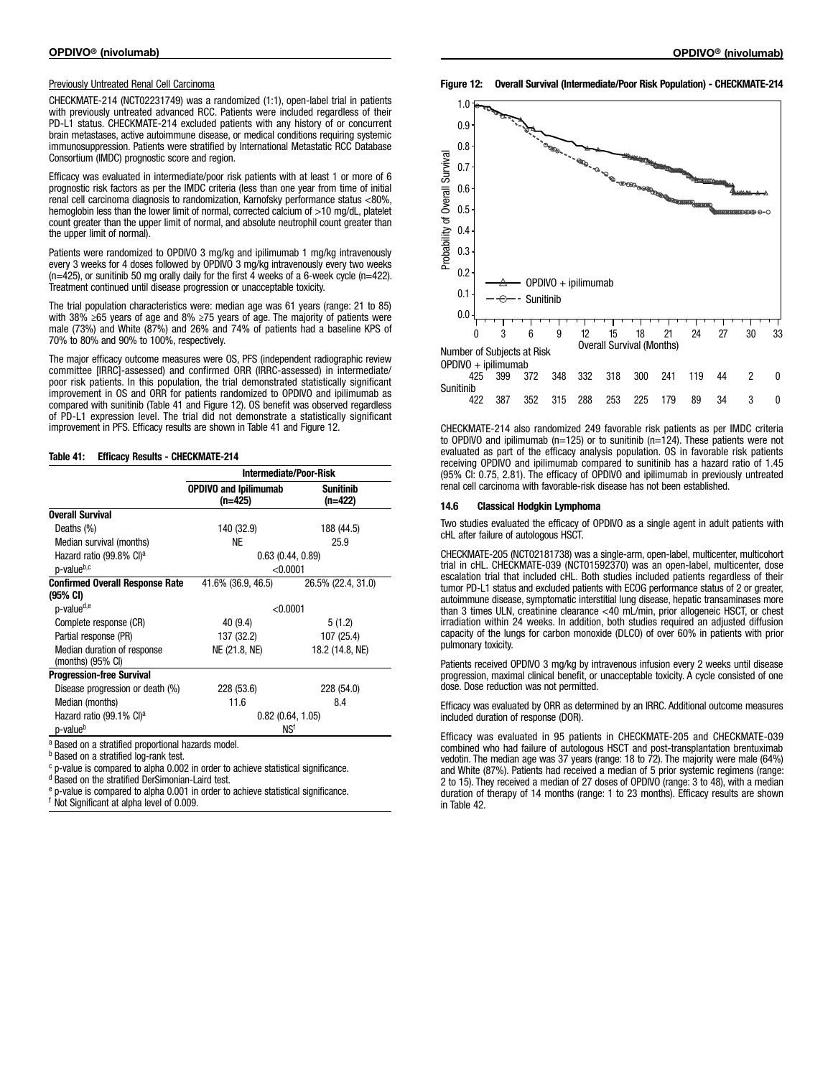#### Previously Untreated Renal Cell Carcinoma

CHECKMATE-214 (NCT02231749) was a randomized (1:1), open-label trial in patients with previously untreated advanced RCC. Patients were included regardless of their PD-L1 status. CHECKMATE-214 excluded patients with any history of or concurrent brain metastases, active autoimmune disease, or medical conditions requiring systemic immunosuppression. Patients were stratified by International Metastatic RCC Database Consortium (IMDC) prognostic score and region.

Efficacy was evaluated in intermediate/poor risk patients with at least 1 or more of 6 prognostic risk factors as per the IMDC criteria (less than one year from time of initial renal cell carcinoma diagnosis to randomization, Karnofsky performance status <80%, hemoglobin less than the lower limit of normal, corrected calcium of >10 mg/dL, platelet count greater than the upper limit of normal, and absolute neutrophil count greater than the upper limit of normal).

Patients were randomized to OPDIVO 3 mg/kg and ipilimumab 1 mg/kg intravenously every 3 weeks for 4 doses followed by OPDIVO 3 mg/kg intravenously every two weeks (n=425), or sunitinib 50 mg orally daily for the first 4 weeks of a 6-week cycle (n=422). Treatment continued until disease progression or unacceptable toxicity.

The trial population characteristics were: median age was 61 years (range: 21 to 85) with 38% ≥65 years of age and 8% ≥75 years of age. The majority of patients were male (73%) and White (87%) and 26% and 74% of patients had a baseline KPS of 70% to 80% and 90% to 100%, respectively.

The major efficacy outcome measures were OS, PFS (independent radiographic review committee [IRRC]-assessed) and confirmed ORR (IRRC-assessed) in intermediate/ poor risk patients. In this population, the trial demonstrated statistically significant improvement in OS and ORR for patients randomized to OPDIVO and ipilimumab as compared with sunitinib (Table 41 and Figure 12). OS benefit was observed regardless of PD-L1 expression level. The trial did not demonstrate a statistically significant improvement in PFS. Efficacy results are shown in Table 41 and Figure 12.

#### Table 41: Efficacy Results - CHECKMATE-214

|                                                  | <b>Intermediate/Poor-Risk</b>           |                             |  |
|--------------------------------------------------|-----------------------------------------|-----------------------------|--|
|                                                  | <b>OPDIVO and Ipilimumab</b><br>(n=425) | <b>Sunitinib</b><br>(n=422) |  |
| <b>Overall Survival</b>                          |                                         |                             |  |
| Deaths (%)                                       | 140 (32.9)                              | 188 (44.5)                  |  |
| Median survival (months)                         | <b>NE</b>                               | 25.9                        |  |
| Hazard ratio (99.8% CI) <sup>a</sup>             | 0.63(0.44, 0.89)                        |                             |  |
| p-valueb,c                                       | < 0.0001                                |                             |  |
| <b>Confirmed Overall Response Rate</b>           | 41.6% (36.9, 46.5)                      | 26.5% (22.4, 31.0)          |  |
| (95% CI)                                         |                                         |                             |  |
| p-value <sup>d,e</sup>                           | < 0.0001                                |                             |  |
| Complete response (CR)                           | 40(9.4)                                 | 5(1.2)                      |  |
| Partial response (PR)                            | 137 (32.2)                              | 107 (25.4)                  |  |
| Median duration of response<br>(months) (95% CI) | NE (21.8, NE)                           | 18.2 (14.8, NE)             |  |
| <b>Progression-free Survival</b>                 |                                         |                             |  |
| Disease progression or death (%)                 | 228 (53.6)                              | 228 (54.0)                  |  |
| Median (months)                                  | 11.6                                    | 8.4                         |  |
| Hazard ratio (99.1% CI) <sup>a</sup>             | 0.82(0.64, 1.05)                        |                             |  |
| p-value <sup>b</sup>                             | NS <sup>f</sup>                         |                             |  |

a Based on a stratified proportional hazards model.

**b** Based on a stratified log-rank test.

<sup>c</sup> p-value is compared to alpha 0.002 in order to achieve statistical significance.

<sup>d</sup> Based on the stratified DerSimonian-Laird test.

<sup>e</sup> p-value is compared to alpha 0.001 in order to achieve statistical significance.

<sup>f</sup> Not Significant at alpha level of 0.009.

Figure 12: Overall Survival (Intermediate/Poor Risk Population) - CHECKMATE-214



CHECKMATE-214 also randomized 249 favorable risk patients as per IMDC criteria to OPDIVO and ipilimumab (n=125) or to sunitinib (n=124). These patients were not evaluated as part of the efficacy analysis population. OS in favorable risk patients receiving OPDIVO and ipilimumab compared to sunitinib has a hazard ratio of 1.45 (95% CI: 0.75, 2.81). The efficacy of OPDIVO and ipilimumab in previously untreated renal cell carcinoma with favorable-risk disease has not been established.

#### 14.6 Classical Hodgkin Lymphoma

Two studies evaluated the efficacy of OPDIVO as a single agent in adult patients with cHL after failure of autologous HSCT.

CHECKMATE-205 (NCT02181738) was a single-arm, open-label, multicenter, multicohort trial in cHL. CHECKMATE-039 (NCT01592370) was an open-label, multicenter, dose escalation trial that included cHL. Both studies included patients regardless of their tumor PD-L1 status and excluded patients with ECOG performance status of 2 or greater, autoimmune disease, symptomatic interstitial lung disease, hepatic transaminases more than 3 times ULN, creatinine clearance <40 mL/min, prior allogeneic HSCT, or chest irradiation within 24 weeks. In addition, both studies required an adjusted diffusion capacity of the lungs for carbon monoxide (DLCO) of over 60% in patients with prior pulmonary toxicity.

Patients received OPDIVO 3 mg/kg by intravenous infusion every 2 weeks until disease progression, maximal clinical benefit, or unacceptable toxicity. A cycle consisted of one dose. Dose reduction was not permitted.

Efficacy was evaluated by ORR as determined by an IRRC. Additional outcome measures included duration of response (DOR).

Efficacy was evaluated in 95 patients in CHECKMATE-205 and CHECKMATE-039 combined who had failure of autologous HSCT and post-transplantation brentuximab vedotin. The median age was 37 years (range: 18 to 72). The majority were male (64%) and White (87%). Patients had received a median of 5 prior systemic regimens (range: 2 to 15). They received a median of 27 doses of OPDIVO (range: 3 to 48), with a median duration of therapy of 14 months (range: 1 to 23 months). Efficacy results are shown in Table 42.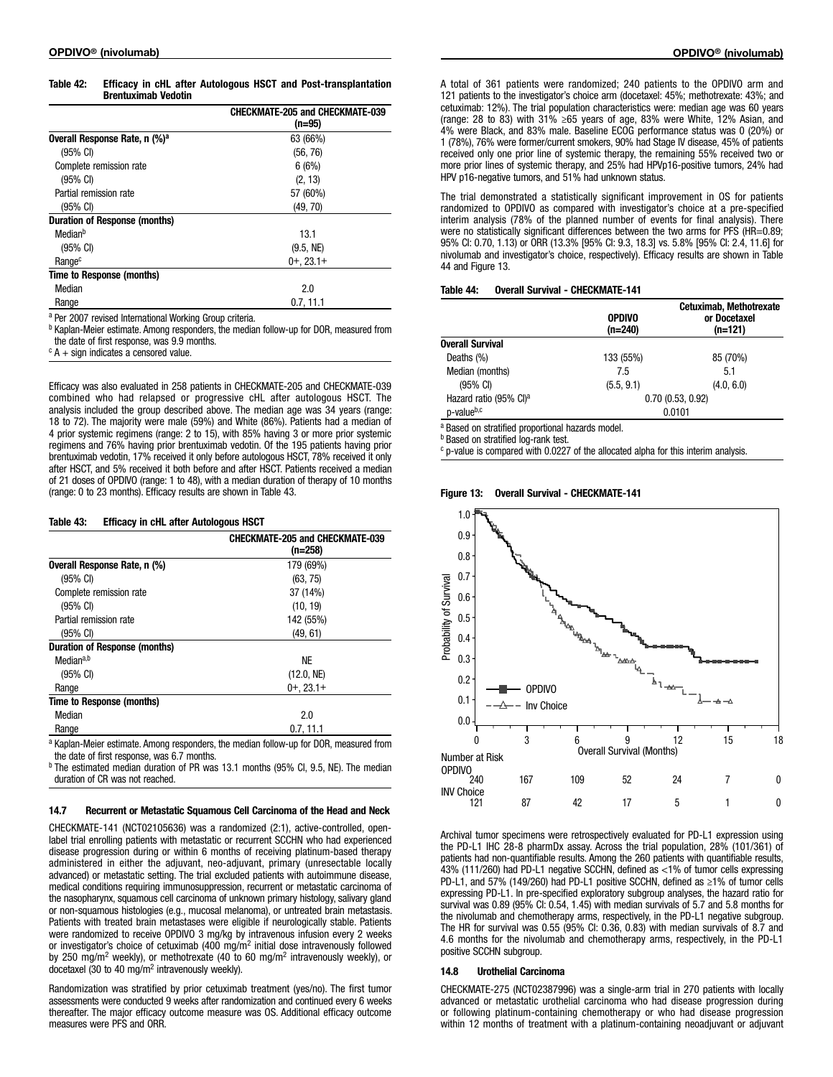| Table 42: | Efficacy in cHL after Autologous HSCT and Post-transplantation |
|-----------|----------------------------------------------------------------|
|           | <b>Brentuximab Vedotin</b>                                     |

|                                           | <b>CHECKMATE-205 and CHECKMATE-039</b><br>$(n=95)$ |
|-------------------------------------------|----------------------------------------------------|
| Overall Response Rate, n (%) <sup>a</sup> | 63 (66%)                                           |
| $(95% \text{ Cl})$                        | (56, 76)                                           |
| Complete remission rate                   | 6(6%)                                              |
| $(95% \text{ Cl})$                        | (2, 13)                                            |
| Partial remission rate                    | 57 (60%)                                           |
| $(95% \text{ Cl})$                        | (49, 70)                                           |
| <b>Duration of Response (months)</b>      |                                                    |
| Median <sup>b</sup>                       | 13.1                                               |
| $(95% \text{ Cl})$                        | (9.5, NE)                                          |
| Range <sup>c</sup>                        | $0+$ , 23.1+                                       |
| Time to Response (months)                 |                                                    |
| Median                                    | 2.0                                                |
| Range                                     | 0.7, 11.1                                          |

<sup>a</sup> Per 2007 revised International Working Group criteria.

**b Kaplan-Meier estimate. Among responders, the median follow-up for DOR, measured from** the date of first response, was 9.9 months.

 $c$  A + sign indicates a censored value.

Efficacy was also evaluated in 258 patients in CHECKMATE-205 and CHECKMATE-039 combined who had relapsed or progressive cHL after autologous HSCT. The analysis included the group described above. The median age was 34 years (range: 18 to 72). The majority were male (59%) and White (86%). Patients had a median of 4 prior systemic regimens (range: 2 to 15), with 85% having 3 or more prior systemic regimens and 76% having prior brentuximab vedotin. Of the 195 patients having prior brentuximab vedotin, 17% received it only before autologous HSCT, 78% received it only after HSCT, and 5% received it both before and after HSCT. Patients received a median of 21 doses of OPDIVO (range: 1 to 48), with a median duration of therapy of 10 months (range: 0 to 23 months). Efficacy results are shown in Table 43.

#### Table 43: **Efficacy in cHL after Autologous HSCT**

|                                      | <b>CHECKMATE-205 and CHECKMATE-039</b><br>(n=258) |
|--------------------------------------|---------------------------------------------------|
| Overall Response Rate, n (%)         | 179 (69%)                                         |
| $(95% \text{ Cl})$                   | (63, 75)                                          |
| Complete remission rate              | 37 (14%)                                          |
| $(95% \text{ Cl})$                   | (10, 19)                                          |
| Partial remission rate               | 142 (55%)                                         |
| $(95% \text{ Cl})$                   | (49, 61)                                          |
| <b>Duration of Response (months)</b> |                                                   |
| Mediana,b                            | <b>NE</b>                                         |
| $(95% \text{ Cl})$                   | (12.0, NE)                                        |
| Range                                | $0+0.23.1+$                                       |
| Time to Response (months)            |                                                   |
| Median                               | 2.0                                               |
| Range                                | 0.7, 11.1                                         |

a Kaplan-Meier estimate. Among responders, the median follow-up for DOR, measured from the date of first response, was 6.7 months.

<sup>b</sup> The estimated median duration of PR was 13.1 months (95% CI, 9.5, NE). The median duration of CR was not reached.

#### 14.7 Recurrent or Metastatic Squamous Cell Carcinoma of the Head and Neck

CHECKMATE-141 (NCT02105636) was a randomized (2:1), active-controlled, openlabel trial enrolling patients with metastatic or recurrent SCCHN who had experienced disease progression during or within 6 months of receiving platinum-based therapy administered in either the adjuvant, neo-adjuvant, primary (unresectable locally advanced) or metastatic setting. The trial excluded patients with autoimmune disease, medical conditions requiring immunosuppression, recurrent or metastatic carcinoma of the nasopharynx, squamous cell carcinoma of unknown primary histology, salivary gland or non-squamous histologies (e.g., mucosal melanoma), or untreated brain metastasis. Patients with treated brain metastases were eligible if neurologically stable. Patients were randomized to receive OPDIVO 3 mg/kg by intravenous infusion every 2 weeks<br>or investigator's choice of cetuximab (400 mg/m<sup>2</sup> initial dose intravenously followed by 250 mg/m<sup>2</sup> weekly), or methotrexate (40 to 60 mg/m<sup>2</sup> intravenously weekly), or docetaxel (30 to 40 mg/m<sup>2</sup> intravenously weekly).

Randomization was stratified by prior cetuximab treatment (yes/no). The first tumor assessments were conducted 9 weeks after randomization and continued every 6 weeks thereafter. The major efficacy outcome measure was OS. Additional efficacy outcome measures were PFS and ORR.

A total of 361 patients were randomized; 240 patients to the OPDIVO arm and 121 patients to the investigator's choice arm (docetaxel: 45%; methotrexate: 43%; and cetuximab: 12%). The trial population characteristics were: median age was 60 years (range: 28 to 83) with 31% ≥65 years of age, 83% were White, 12% Asian, and 4% were Black, and 83% male. Baseline ECOG performance status was 0 (20%) or 1 (78%), 76% were former/current smokers, 90% had Stage IV disease, 45% of patients received only one prior line of systemic therapy, the remaining 55% received two or more prior lines of systemic therapy, and 25% had HPVp16-positive tumors, 24% had HPV p16-negative tumors, and 51% had unknown status.

The trial demonstrated a statistically significant improvement in OS for patients randomized to OPDIVO as compared with investigator's choice at a pre-specified interim analysis (78% of the planned number of events for final analysis). There were no statistically significant differences between the two arms for PFS (HR=0.89; 95% CI: 0.70, 1.13) or ORR (13.3% [95% CI: 9.3, 18.3] vs. 5.8% [95% CI: 2.4, 11.6] for nivolumab and investigator's choice, respectively). Efficacy results are shown in Table 44 and Figure 13.

#### Table 44: Overall Survival - CHECKMATE-141

|                                                   | <b>OPDIVO</b><br>$(n=240)$ | Cetuximab, Methotrexate<br>or Docetaxel<br>$(n=121)$ |
|---------------------------------------------------|----------------------------|------------------------------------------------------|
| <b>Overall Survival</b>                           |                            |                                                      |
| Deaths (%)                                        | 133 (55%)                  | 85 (70%)                                             |
| Median (months)                                   | 7.5                        | 5.1                                                  |
| (95% CI)                                          | (5.5, 9.1)                 | (4.0, 6.0)                                           |
| Hazard ratio (95% CI) <sup>a</sup>                |                            | 0.70(0.53, 0.92)                                     |
| p-valueb,c                                        |                            | 0.0101                                               |
| a Based on stratified proportional hazards model. |                            |                                                      |

**b** Based on stratified log-rank test.

 $c$  p-value is compared with 0.0227 of the allocated alpha for this interim analysis.

#### Figure 13: Overall Survival - CHECKMATE-141



Archival tumor specimens were retrospectively evaluated for PD-L1 expression using the PD-L1 IHC 28-8 pharmDx assay. Across the trial population, 28% (101/361) of patients had non-quantifiable results. Among the 260 patients with quantifiable results, 43% (111/260) had PD-L1 negative SCCHN, defined as <1% of tumor cells expressing PD-L1, and 57% (149/260) had PD-L1 positive SCCHN, defined as ≥1% of tumor cells expressing PD-L1. In pre-specified exploratory subgroup analyses, the hazard ratio for survival was 0.89 (95% CI: 0.54, 1.45) with median survivals of 5.7 and 5.8 months for the nivolumab and chemotherapy arms, respectively, in the PD-L1 negative subgroup. The HR for survival was 0.55 (95% CI: 0.36, 0.83) with median survivals of 8.7 and 4.6 months for the nivolumab and chemotherapy arms, respectively, in the PD-L1 positive SCCHN subgroup.

#### 14.8 Urothelial Carcinoma

CHECKMATE-275 (NCT02387996) was a single-arm trial in 270 patients with locally advanced or metastatic urothelial carcinoma who had disease progression during or following platinum-containing chemotherapy or who had disease progression within 12 months of treatment with a platinum-containing neoadjuvant or adjuvant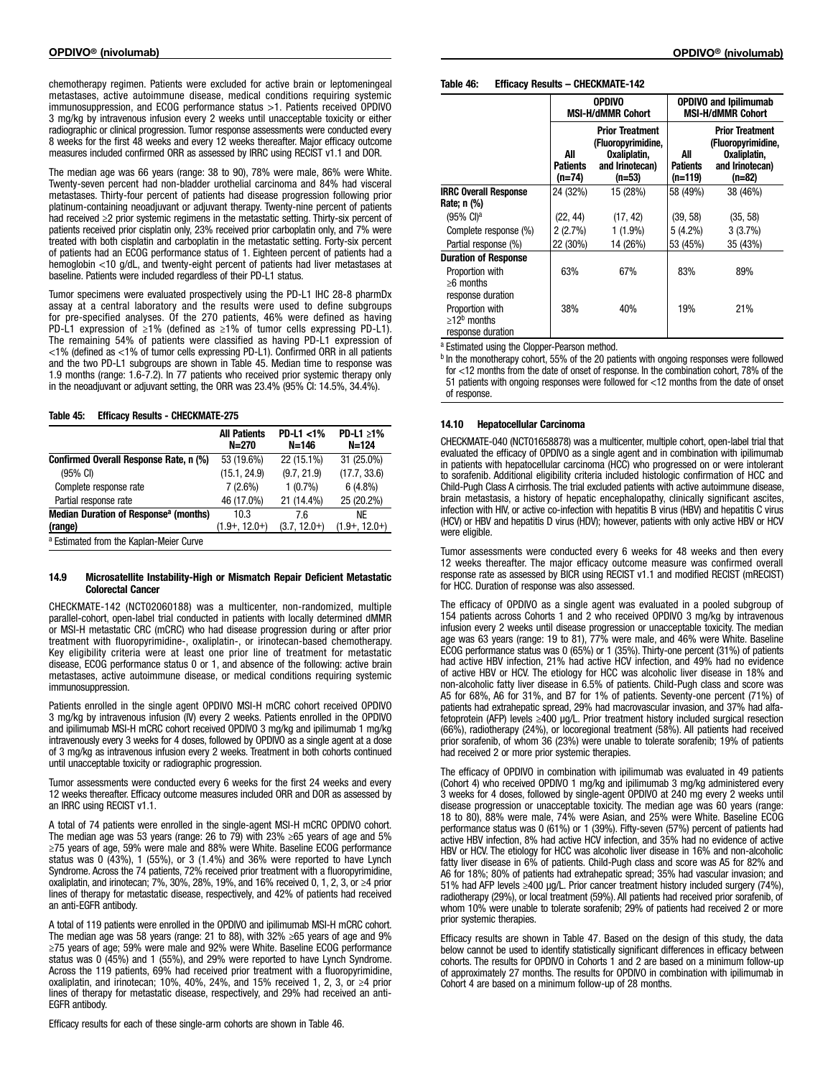chemotherapy regimen. Patients were excluded for active brain or leptomeningeal metastases, active autoimmune disease, medical conditions requiring systemic immunosuppression, and ECOG performance status >1. Patients received OPDIVO 3 mg/kg by intravenous infusion every 2 weeks until unacceptable toxicity or either radiographic or clinical progression. Tumor response assessments were conducted every 8 weeks for the first 48 weeks and every 12 weeks thereafter. Major efficacy outcome measures included confirmed ORR as assessed by IRRC using RECIST v1.1 and DOR.

The median age was 66 years (range: 38 to 90), 78% were male, 86% were White. Twenty-seven percent had non-bladder urothelial carcinoma and 84% had visceral metastases. Thirty-four percent of patients had disease progression following prior platinum-containing neoadjuvant or adjuvant therapy. Twenty-nine percent of patients had received ≥2 prior systemic regimens in the metastatic setting. Thirty-six percent of patients received prior cisplatin only, 23% received prior carboplatin only, and 7% were treated with both cisplatin and carboplatin in the metastatic setting. Forty-six percent of patients had an ECOG performance status of 1. Eighteen percent of patients had a hemoglobin <10 g/dL, and twenty-eight percent of patients had liver metastases at baseline. Patients were included regardless of their PD-L1 status.

Tumor specimens were evaluated prospectively using the PD-L1 IHC 28-8 pharmDx assay at a central laboratory and the results were used to define subgroups for pre-specified analyses. Of the 270 patients, 46% were defined as having PD-L1 expression of ≥1% (defined as ≥1% of tumor cells expressing PD-L1). The remaining 54% of patients were classified as having PD-L1 expression of <1% (defined as <1% of tumor cells expressing PD-L1). Confirmed ORR in all patients and the two PD-L1 subgroups are shown in Table 45. Median time to response was 1.9 months (range: 1.6-7.2). In 77 patients who received prior systemic therapy only in the neoadjuvant or adjuvant setting, the ORR was 23.4% (95% CI: 14.5%, 34.4%).

| Table 45: |  | <b>Efficacy Results - CHECKMATE-275</b> |  |
|-----------|--|-----------------------------------------|--|
|           |  |                                         |  |

|                                                   | <b>All Patients</b><br>N=270 | PD-L1 <1%<br>N=146 | PD-L1 ≥1%<br>N=124 |
|---------------------------------------------------|------------------------------|--------------------|--------------------|
| Confirmed Overall Response Rate, n (%)            | 53 (19.6%)                   | 22 (15.1%)         | 31 (25.0%)         |
| $(95% \text{ Cl})$                                | (15.1, 24.9)                 | (9.7, 21.9)        | (17.7, 33.6)       |
| Complete response rate                            | 7(2.6%)                      | $1(0.7\%)$         | $6(4.8\%)$         |
| Partial response rate                             | 46 (17.0%)                   | 21 (14.4%)         | 25 (20.2%)         |
| Median Duration of Response <sup>a</sup> (months) | 10.3                         | 7.6                | ΝE                 |
| (range)                                           | $(1.9+, 12.0+)$              | $(3.7, 12.0+)$     | $(1.9+, 12.0+)$    |
| a Ectimated from the Kanlan-Mejer Curve           |                              |                    |                    |

a Estimated from the Kaplan-Meier Curve

#### 14.9 Microsatellite Instability-High or Mismatch Repair Deficient Metastatic Colorectal Cancer

CHECKMATE-142 (NCT02060188) was a multicenter, non-randomized, multiple parallel-cohort, open-label trial conducted in patients with locally determined dMMR or MSI-H metastatic CRC (mCRC) who had disease progression during or after prior treatment with fluoropyrimidine-, oxaliplatin-, or irinotecan-based chemotherapy. Key eligibility criteria were at least one prior line of treatment for metastatic disease, ECOG performance status 0 or 1, and absence of the following: active brain metastases, active autoimmune disease, or medical conditions requiring systemic immunosuppression.

Patients enrolled in the single agent OPDIVO MSI-H mCRC cohort received OPDIVO 3 mg/kg by intravenous infusion (IV) every 2 weeks. Patients enrolled in the OPDIVO and ipilimumab MSI-H mCRC cohort received OPDIVO 3 mg/kg and ipilimumab 1 mg/kg intravenously every 3 weeks for 4 doses, followed by OPDIVO as a single agent at a dose of 3 mg/kg as intravenous infusion every 2 weeks. Treatment in both cohorts continued until unacceptable toxicity or radiographic progression.

Tumor assessments were conducted every 6 weeks for the first 24 weeks and every 12 weeks thereafter. Efficacy outcome measures included ORR and DOR as assessed by an IRRC using RECIST v1.1.

A total of 74 patients were enrolled in the single-agent MSI-H mCRC OPDIVO cohort. The median age was 53 years (range: 26 to 79) with 23% ≥65 years of age and 5% ≥75 years of age, 59% were male and 88% were White. Baseline ECOG performance status was 0 (43%), 1 (55%), or 3 (1.4%) and 36% were reported to have Lynch Syndrome. Across the 74 patients, 72% received prior treatment with a fluoropyrimidine, oxaliplatin, and irinotecan; 7%, 30%, 28%, 19%, and 16% received 0, 1, 2, 3, or ≥4 prior lines of therapy for metastatic disease, respectively, and 42% of patients had received an anti-EGFR antibody.

A total of 119 patients were enrolled in the OPDIVO and ipilimumab MSI-H mCRC cohort. The median age was 58 years (range: 21 to 88), with 32% ≥65 years of age and 9% ≥75 years of age; 59% were male and 92% were White. Baseline ECOG performance status was 0 (45%) and 1 (55%), and 29% were reported to have Lynch Syndrome. Across the 119 patients, 69% had received prior treatment with a fluoropyrimidine, oxaliplatin, and irinotecan; 10%, 40%, 24%, and 15% received 1, 2, 3, or ≥4 prior lines of therapy for metastatic disease, respectively, and 29% had received an anti-EGFR antibody.

Efficacy results for each of these single-arm cohorts are shown in Table 46.

Table 46: Efficacy Results – CHECKMATE-142

|                               | <b>OPDIVO</b><br><b>MSI-H/dMMR Cohort</b> |                                                                                             | <b>OPDIVO and Ipilimumab</b><br><b>MSI-H/dMMR Cohort</b> |                                                                                           |
|-------------------------------|-------------------------------------------|---------------------------------------------------------------------------------------------|----------------------------------------------------------|-------------------------------------------------------------------------------------------|
|                               | All<br><b>Patients</b><br>(n=74)          | <b>Prior Treatment</b><br>(Fluoropyrimidine,<br>Oxaliplatin.<br>and Irinotecan)<br>$(n=53)$ | All<br><b>Patients</b><br>(n=119)                        | <b>Prior Treatment</b><br>(Fluoropyrimidine,<br>Oxaliplatin.<br>and Irinotecan)<br>(n=82) |
| <b>IRRC Overall Response</b>  | 24 (32%)                                  | 15 (28%)                                                                                    | 58 (49%)                                                 | 38 (46%)                                                                                  |
| Rate; n (%)                   |                                           |                                                                                             |                                                          |                                                                                           |
| $(95% \text{ Cl})^a$          | (22, 44)                                  | (17, 42)                                                                                    | (39, 58)                                                 | (35, 58)                                                                                  |
| Complete response (%)         | 2(2.7%)                                   | $1(1.9\%)$                                                                                  | $5(4.2\%)$                                               | 3(3.7%)                                                                                   |
| Partial response (%)          | 22 (30%)                                  | 14 (26%)                                                                                    | 53 (45%)                                                 | 35 (43%)                                                                                  |
| <b>Duration of Response</b>   |                                           |                                                                                             |                                                          |                                                                                           |
| Proportion with               | 63%                                       | 67%                                                                                         | 83%                                                      | 89%                                                                                       |
| $\geq 6$ months               |                                           |                                                                                             |                                                          |                                                                                           |
| response duration             |                                           |                                                                                             |                                                          |                                                                                           |
| Proportion with               | 38%                                       | 40%                                                                                         | 19%                                                      | 21%                                                                                       |
| $\geq$ 12 <sup>b</sup> months |                                           |                                                                                             |                                                          |                                                                                           |
| response duration             |                                           |                                                                                             |                                                          |                                                                                           |

a Estimated using the Clopper-Pearson method.

<sup>b</sup> In the monotherapy cohort, 55% of the 20 patients with ongoing responses were followed for <12 months from the date of onset of response. In the combination cohort, 78% of the 51 patients with ongoing responses were followed for <12 months from the date of onset of response.

#### 14.10 Hepatocellular Carcinoma

CHECKMATE-040 (NCT01658878) was a multicenter, multiple cohort, open-label trial that evaluated the efficacy of OPDIVO as a single agent and in combination with ipilimumab in patients with hepatocellular carcinoma (HCC) who progressed on or were intolerant to sorafenib. Additional eligibility criteria included histologic confirmation of HCC and Child-Pugh Class A cirrhosis. The trial excluded patients with active autoimmune disease, brain metastasis, a history of hepatic encephalopathy, clinically significant ascites, infection with HIV, or active co-infection with hepatitis B virus (HBV) and hepatitis C virus (HCV) or HBV and hepatitis D virus (HDV); however, patients with only active HBV or HCV were eligible.

Tumor assessments were conducted every 6 weeks for 48 weeks and then every 12 weeks thereafter. The major efficacy outcome measure was confirmed overall response rate as assessed by BICR using RECIST v1.1 and modified RECIST (mRECIST) for HCC. Duration of response was also assessed.

The efficacy of OPDIVO as a single agent was evaluated in a pooled subgroup of 154 patients across Cohorts 1 and 2 who received OPDIVO 3 mg/kg by intravenous infusion every 2 weeks until disease progression or unacceptable toxicity. The median age was 63 years (range: 19 to 81), 77% were male, and 46% were White. Baseline ECOG performance status was 0 (65%) or 1 (35%). Thirty-one percent (31%) of patients had active HBV infection, 21% had active HCV infection, and 49% had no evidence of active HBV or HCV. The etiology for HCC was alcoholic liver disease in 18% and non-alcoholic fatty liver disease in 6.5% of patients. Child-Pugh class and score was A5 for 68%, A6 for 31%, and B7 for 1% of patients. Seventy-one percent (71%) of patients had extrahepatic spread, 29% had macrovascular invasion, and 37% had alfafetoprotein (AFP) levels ≥400 µg/L. Prior treatment history included surgical resection (66%), radiotherapy (24%), or locoregional treatment (58%). All patients had received prior sorafenib, of whom 36 (23%) were unable to tolerate sorafenib; 19% of patients had received 2 or more prior systemic therapies.

The efficacy of OPDIVO in combination with ipilimumab was evaluated in 49 patients (Cohort 4) who received OPDIVO 1 mg/kg and ipilimumab 3 mg/kg administered every 3 weeks for 4 doses, followed by single-agent OPDIVO at 240 mg every 2 weeks until disease progression or unacceptable toxicity. The median age was 60 years (range: 18 to 80), 88% were male, 74% were Asian, and 25% were White. Baseline ECOG performance status was 0 (61%) or 1 (39%). Fifty-seven (57%) percent of patients had active HBV infection, 8% had active HCV infection, and 35% had no evidence of active HBV or HCV. The etiology for HCC was alcoholic liver disease in 16% and non-alcoholic fatty liver disease in 6% of patients. Child-Pugh class and score was A5 for 82% and A6 for 18%; 80% of patients had extrahepatic spread; 35% had vascular invasion; and 51% had AFP levels ≥400 µg/L. Prior cancer treatment history included surgery (74%), radiotherapy (29%), or local treatment (59%). All patients had received prior sorafenib, of whom 10% were unable to tolerate sorafenib; 29% of patients had received 2 or more prior systemic therapies.

Efficacy results are shown in Table 47. Based on the design of this study, the data below cannot be used to identify statistically significant differences in efficacy between cohorts. The results for OPDIVO in Cohorts 1 and 2 are based on a minimum follow-up of approximately 27 months. The results for OPDIVO in combination with ipilimumab in Cohort 4 are based on a minimum follow-up of 28 months.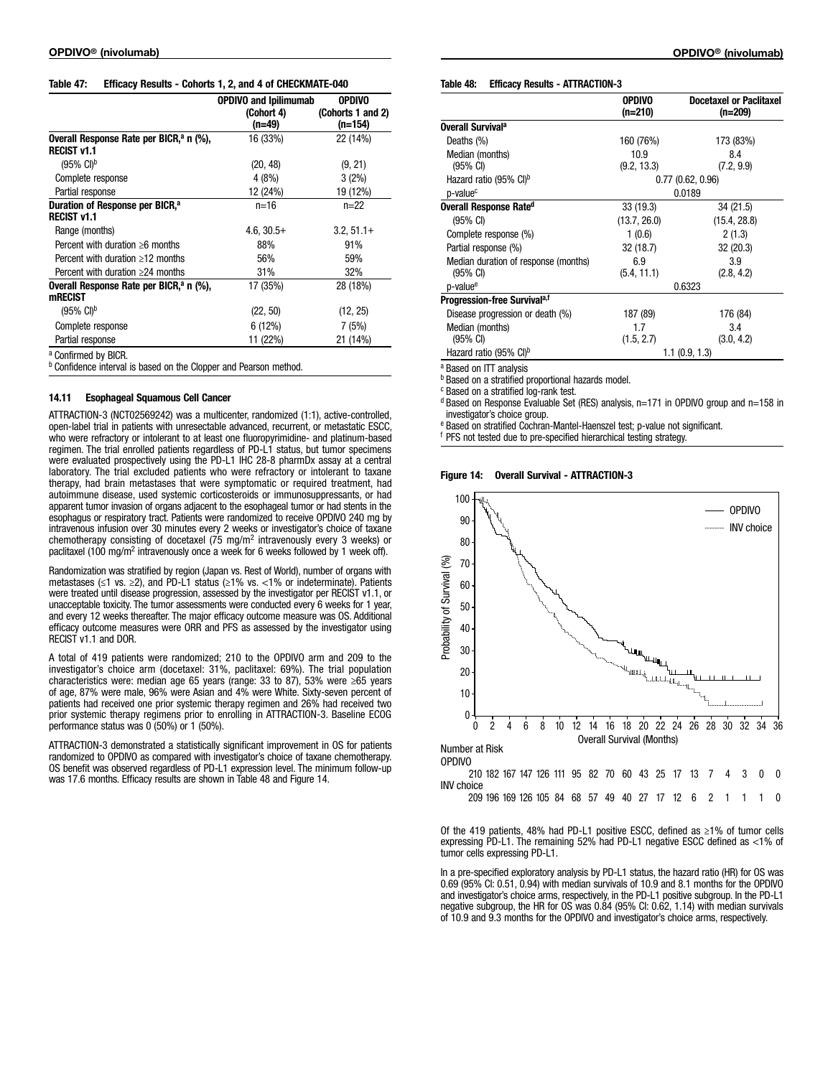#### Table 47: Efficacy Results - Cohorts 1, 2, and 4 of CHECKMATE-040

|                                                                           | <b>OPDIVO and Ipilimumab</b><br>(Cohort 4)<br>(n=49) | <b>OPDIVO</b><br>(Cohorts 1 and 2)<br>(n=154) |
|---------------------------------------------------------------------------|------------------------------------------------------|-----------------------------------------------|
| Overall Response Rate per BICR, <sup>a</sup> n (%),<br><b>RECIST v1.1</b> | 16 (33%)                                             | 22 (14%)                                      |
| $(95\% \text{ Cl})^{\text{b}}$                                            | (20, 48)                                             | (9, 21)                                       |
| Complete response                                                         | 4(8%)                                                | $3(2\%)$                                      |
| Partial response                                                          | 12 (24%)                                             | 19 (12%)                                      |
| Duration of Response per BICR, <sup>a</sup><br><b>RECIST v1.1</b>         | $n = 16$                                             | $n=22$                                        |
| Range (months)                                                            | $4.6, 30.5+$                                         | $3.2, 51.1+$                                  |
| Percent with duration $\geq 6$ months                                     | 88%                                                  | 91%                                           |
| Percent with duration $\geq 12$ months                                    | 56%                                                  | 59%                                           |
| Percent with duration $\geq$ 24 months                                    | 31%                                                  | 32%                                           |
| Overall Response Rate per BICR, <sup>a</sup> n (%),<br><b>mRECIST</b>     | 17 (35%)                                             | 28 (18%)                                      |
| $(95\% \text{ Cl})^{\text{b}}$                                            | (22, 50)                                             | (12, 25)                                      |
| Complete response                                                         | 6(12%)                                               | 7 (5%)                                        |
| Partial response                                                          | 11 (22%)                                             | 21 (14%)                                      |
| <sup>a</sup> Confirmed by BICR.                                           |                                                      |                                               |

**b** Confidence interval is based on the Clopper and Pearson method.

#### 14.11 Esophageal Squamous Cell Cancer

ATTRACTION-3 (NCT02569242) was a multicenter, randomized (1:1), active-controlled, open-label trial in patients with unresectable advanced, recurrent, or metastatic ESCC, who were refractory or intolerant to at least one fluoropyrimidine- and platinum-based regimen. The trial enrolled patients regardless of PD-L1 status, but tumor specimens were evaluated prospectively using the PD-L1 IHC 28-8 pharmDx assay at a central laboratory. The trial excluded patients who were refractory or intolerant to taxane therapy, had brain metastases that were symptomatic or required treatment, had autoimmune disease, used systemic corticosteroids or immunosuppressants, or had apparent tumor invasion of organs adjacent to the esophageal tumor or had stents in the esophagus or respiratory tract. Patients were randomized to receive OPDIVO 240 mg by intravenous infusion over 30 minutes every 2 weeks or investigator's choice of taxane chemotherapy consisting of docetaxel (75 mg/m2 intravenously every 3 weeks) or paclitaxel (100 mg/m<sup>2</sup> intravenously once a week for 6 weeks followed by 1 week off).

Randomization was stratified by region (Japan vs. Rest of World), number of organs with metastases (≤1 vs. ≥2), and PD-L1 status (≥1% vs. <1% or indeterminate). Patients were treated until disease progression, assessed by the investigator per RECIST v1.1, or unacceptable toxicity. The tumor assessments were conducted every 6 weeks for 1 year, and every 12 weeks thereafter. The major efficacy outcome measure was OS. Additional efficacy outcome measures were ORR and PFS as assessed by the investigator using RECIST v1.1 and DOR.

A total of 419 patients were randomized; 210 to the OPDIVO arm and 209 to the investigator's choice arm (docetaxel: 31%, paclitaxel: 69%). The trial population characteristics were: median age 65 years (range: 33 to 87), 53% were ≥65 years of age, 87% were male, 96% were Asian and 4% were White. Sixty-seven percent of patients had received one prior systemic therapy regimen and 26% had received two prior systemic therapy regimens prior to enrolling in ATTRACTION-3. Baseline ECOG performance status was 0 (50%) or 1 (50%).

ATTRACTION-3 demonstrated a statistically significant improvement in OS for patients randomized to OPDIVO as compared with investigator's choice of taxane chemotherapy. OS benefit was observed regardless of PD-L1 expression level. The minimum follow-up was 17.6 months. Efficacy results are shown in Table 48 and Figure 14.

#### Table 48: Efficacy Results - ATTRACTION-3

|                                          | <b>OPDIVO</b><br>(n=210) | <b>Docetaxel or Paclitaxel</b><br>$(n=209)$ |  |
|------------------------------------------|--------------------------|---------------------------------------------|--|
| Overall Survival <sup>a</sup>            |                          |                                             |  |
| Deaths (%)                               | 160 (76%)                | 173 (83%)                                   |  |
| Median (months)                          | 10.9                     | 8.4                                         |  |
| $(95% \text{ Cl})$                       | (9.2, 13.3)              | (7.2, 9.9)                                  |  |
| Hazard ratio (95% CI) <sup>b</sup>       |                          | 0.77(0.62, 0.96)                            |  |
| p-value <sup>c</sup>                     | 0.0189                   |                                             |  |
| Overall Response Rate <sup>d</sup>       | 33(19.3)                 | 34 (21.5)                                   |  |
| (95% CI)                                 | (13.7, 26.0)             | (15.4, 28.8)                                |  |
| Complete response (%)                    | 1(0.6)                   | 2(1.3)                                      |  |
| Partial response (%)                     | 32 (18.7)                | 32(20.3)                                    |  |
| Median duration of response (months)     | 6.9                      | 3.9                                         |  |
| $(95% \text{ Cl})$                       | (5.4, 11.1)              | (2.8, 4.2)                                  |  |
| p-value <sup>e</sup>                     | 0.6323                   |                                             |  |
| Progression-free Survival <sup>a,f</sup> |                          |                                             |  |
| Disease progression or death (%)         | 187 (89)                 | 176 (84)                                    |  |
| Median (months)                          | 1.7                      | 3.4                                         |  |
| (95% CI)                                 | (1.5, 2.7)               | (3.0, 4.2)                                  |  |
| Hazard ratio (95% CI) <sup>b</sup>       | $1.1$ (0.9, 1.3)         |                                             |  |

<sup>a</sup> Based on ITT analysis

b Based on a stratified proportional hazards model.

<sup>c</sup> Based on a stratified log-rank test.

 $d$  Based on Response Evaluable Set (RES) analysis, n=171 in OPDIVO group and n=158 in investigator's choice group.

<sup>e</sup> Based on stratified Cochran-Mantel-Haenszel test; p-value not significant.

<sup>f</sup> PFS not tested due to pre-specified hierarchical testing strategy.

#### Figure 14: Overall Survival - ATTRACTION-3



Of the 419 patients, 48% had PD-L1 positive ESCC, defined as ≥1% of tumor cells expressing PD-L1. The remaining 52% had PD-L1 negative ESCC defined as <1% of tumor cells expressing PD-L1.

In a pre-specified exploratory analysis by PD-L1 status, the hazard ratio (HR) for OS was 0.69 (95% CI: 0.51, 0.94) with median survivals of 10.9 and 8.1 months for the OPDIVO and investigator's choice arms, respectively, in the PD-L1 positive subgroup. In the PD-L1 negative subgroup, the HR for OS was 0.84 (95% CI: 0.62, 1.14) with median survivals of 10.9 and 9.3 months for the OPDIVO and investigator's choice arms, respectively.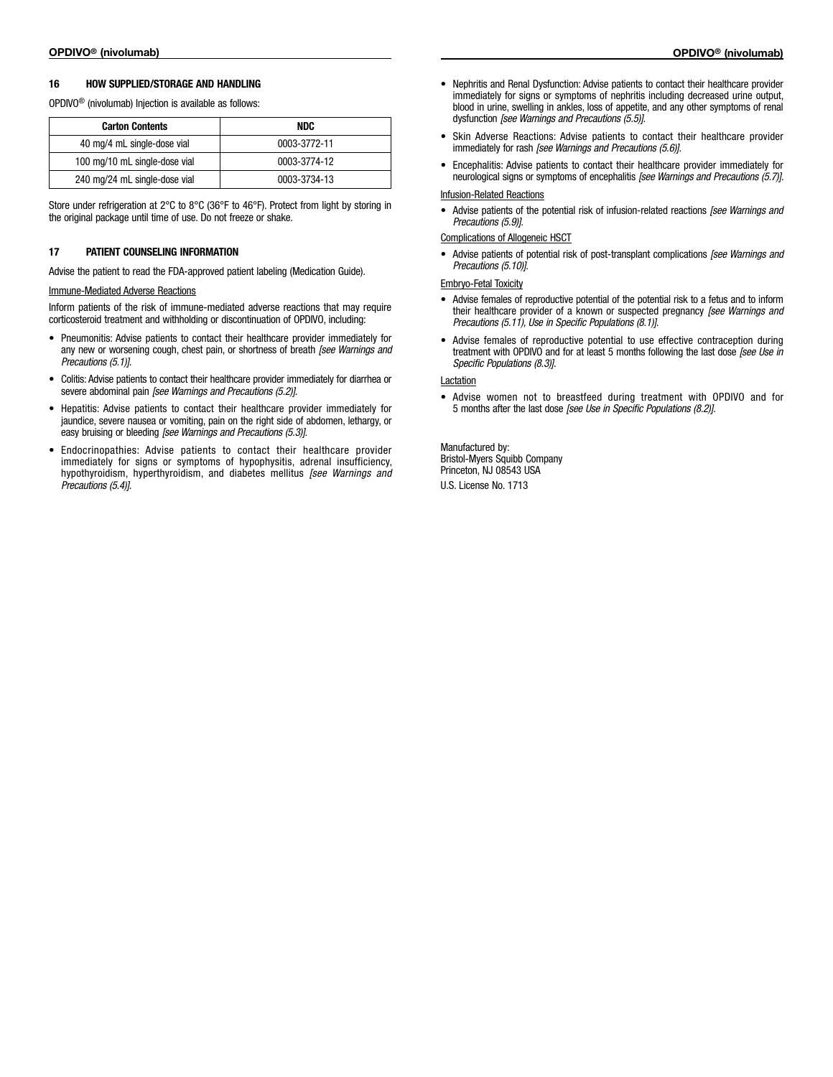#### 16 HOW SUPPLIED/STORAGE AND HANDLING

OPDIVO® (nivolumab) Injection is available as follows:

| <b>Carton Contents</b>        | NDC.         |  |  |
|-------------------------------|--------------|--|--|
| 40 mg/4 mL single-dose vial   | 0003-3772-11 |  |  |
| 100 mg/10 mL single-dose vial | 0003-3774-12 |  |  |
| 240 mg/24 mL single-dose vial | 0003-3734-13 |  |  |

Store under refrigeration at 2°C to 8°C (36°F to 46°F). Protect from light by storing in the original package until time of use. Do not freeze or shake.

#### 17 PATIENT COUNSELING INFORMATION

Advise the patient to read the FDA-approved patient labeling (Medication Guide).

#### Immune-Mediated Adverse Reactions

Inform patients of the risk of immune-mediated adverse reactions that may require corticosteroid treatment and withholding or discontinuation of OPDIVO, including:

- Pneumonitis: Advise patients to contact their healthcare provider immediately for any new or worsening cough, chest pain, or shortness of breath *[see Warnings and Precautions (5.1)]*.
- Colitis: Advise patients to contact their healthcare provider immediately for diarrhea or severe abdominal pain *[see Warnings and Precautions (5.2)]*.
- Hepatitis: Advise patients to contact their healthcare provider immediately for jaundice, severe nausea or vomiting, pain on the right side of abdomen, lethargy, or easy bruising or bleeding *[see Warnings and Precautions (5.3)]*.
- Endocrinopathies: Advise patients to contact their healthcare provider immediately for signs or symptoms of hypophysitis, adrenal insufficiency, hypothyroidism, hyperthyroidism, and diabetes mellitus *[see Warnings and Precautions (5.4)]*.
- Nephritis and Renal Dysfunction: Advise patients to contact their healthcare provider immediately for signs or symptoms of nephritis including decreased urine output, blood in urine, swelling in ankles, loss of appetite, and any other symptoms of renal dysfunction *[see Warnings and Precautions (5.5)]*.
- Skin Adverse Reactions: Advise patients to contact their healthcare provider immediately for rash *[see Warnings and Precautions (5.6)]*.
- Encephalitis: Advise patients to contact their healthcare provider immediately for neurological signs or symptoms of encephalitis *[see Warnings and Precautions (5.7)]*.

#### Infusion-Related Reactions

• Advise patients of the potential risk of infusion-related reactions *[see Warnings and Precautions (5.9)]*.

#### Complications of Allogeneic HSCT

• Advise patients of potential risk of post-transplant complications *[see Warnings and Precautions (5.10)]*.

#### Embryo-Fetal Toxicity

- Advise females of reproductive potential of the potential risk to a fetus and to inform their healthcare provider of a known or suspected pregnancy *[see Warnings and Precautions (5.11), Use in Specific Populations (8.1)]*.
- Advise females of reproductive potential to use effective contraception during treatment with OPDIVO and for at least 5 months following the last dose *[see Use in Specific Populations (8.3)]*.

#### Lactation

• Advise women not to breastfeed during treatment with OPDIVO and for 5 months after the last dose *[see Use in Specific Populations (8.2)]*.

Manufactured by: Bristol-Myers Squibb Company Princeton, NJ 08543 USA U.S. License No. 1713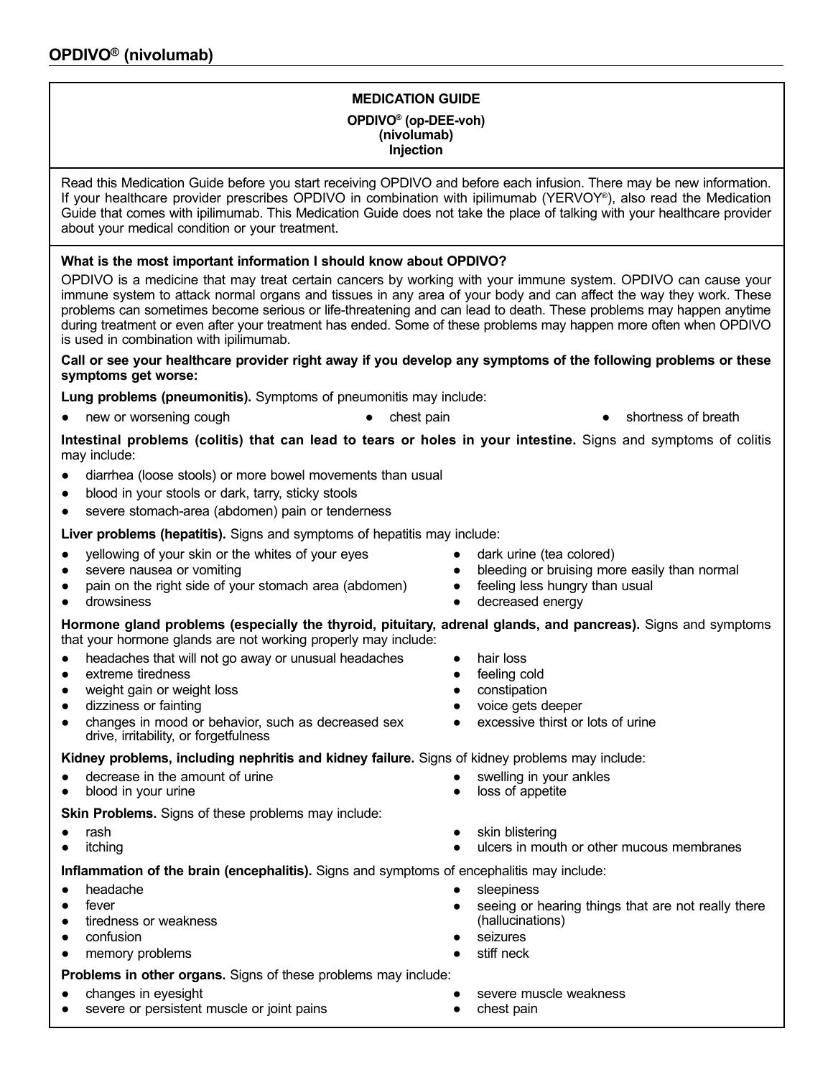### **MEDICATION GUIDE OPDIVO® (op-DEE-voh) (nivolumab) Injection**

Read this Medication Guide before you start receiving OPDIVO and before each infusion. There may be new information. If your healthcare provider prescribes OPDIVO in combination with ipilimumab (YERVOY®), also read the Medication Guide that comes with ipilimumab. This Medication Guide does not take the place of talking with your healthcare provider about your medical condition or your treatment.

### **What is the most important information I should know about OPDIVO?**

OPDIVO is a medicine that may treat certain cancers by working with your immune system. OPDIVO can cause your immune system to attack normal organs and tissues in any area of your body and can affect the way they work. These problems can sometimes become serious or life-threatening and can lead to death. These problems may happen anytime during treatment or even after your treatment has ended. Some of these problems may happen more often when OPDIVO is used in combination with ipilimumab.

### **Call or see your healthcare provider right away if you develop any symptoms of the following problems or these symptoms get worse:**

**Lung problems (pneumonitis).** Symptoms of pneumonitis may include:

● new or worsening cough ● chest pain ● chest pain ● shortness of breath

**Intestinal problems (colitis) that can lead to tears or holes in your intestine.** Signs and symptoms of colitis may include:

- diarrhea (loose stools) or more bowel movements than usual
- blood in your stools or dark, tarry, sticky stools
- severe stomach-area (abdomen) pain or tenderness

**Liver problems (hepatitis).** Signs and symptoms of hepatitis may include:

- yellowing of your skin or the whites of your eyes
- severe nausea or vomiting
- pain on the right side of your stomach area (abdomen)
- drowsiness
- dark urine (tea colored)
- bleeding or bruising more easily than normal
- feeling less hungry than usual
- decreased energy

### **Hormone gland problems (especially the thyroid, pituitary, adrenal glands, and pancreas).** Signs and symptoms that your hormone glands are not working properly may include:

- headaches that will not go away or unusual headaches
- extreme tiredness
- weight gain or weight loss
- dizziness or fainting
- changes in mood or behavior, such as decreased sex drive, irritability, or forgetfulness
	-
- 
- 

**Skin Problems.** Signs of these problems may include:

- 
- 
- 
- hair loss
- feeling cold
- 
- 
- excessive thirst or lots of urine
- **Kidney problems, including nephritis and kidney failure.** Signs of kidney problems may include:
	- decrease in the amount of urine **and the amount of urine and the swelling in your ankles** 
		-
		-
- itching ulcers in mouth or other mucous membranes

**Inflammation of the brain (encephalitis).** Signs and symptoms of encephalitis may include:

- headache
- fever
- tiredness or weakness
- confusion
- memory problems

### **Problems in other organs.** Signs of these problems may include:

- 
- severe or persistent muscle or joint pains **•** chest pain
- seeing or hearing things that are not really there (hallucinations)
- seizures
- stiff neck
- changes in eyesight **be a changes** in eyesight **a changes** because the severe muscle weakness
	-
- 
- constipation
- voice gets deeper
- 
- 
- blood in your urine example and the set of appetite example of a loss of appetite
	-
	- -
		-
- rash **●** skin blistering
	-
	-
	-
	- sleepiness
	-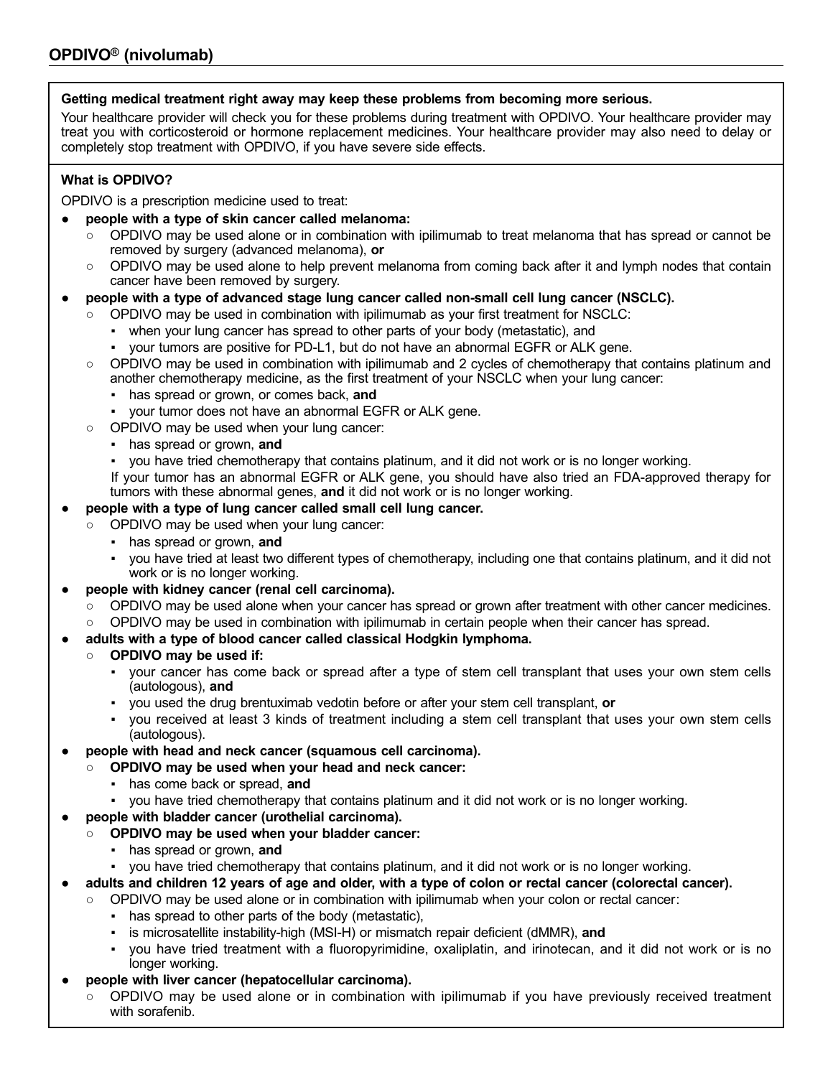### **Getting medical treatment right away may keep these problems from becoming more serious.**

Your healthcare provider will check you for these problems during treatment with OPDIVO. Your healthcare provider mav treat you with corticosteroid or hormone replacement medicines. Your healthcare provider may also need to delay or completely stop treatment with OPDIVO, if you have severe side effects.

### **What is OPDIVO?**

OPDIVO is a prescription medicine used to treat:

- people with a type of skin cancer called melanoma:
	- OPDIVO may be used alone or in combination with ipilimumab to treat melanoma that has spread or cannot be removed by surgery (advanced melanoma), **or**
	- OPDIVO may be used alone to help prevent melanoma from coming back after it and lymph nodes that contain cancer have been removed by surgery.
- people with a type of advanced stage lung cancer called non-small cell lung cancer (NSCLC).
	- OPDIVO may be used in combination with ipilimumab as your first treatment for NSCLC:
		- when your lung cancer has spread to other parts of your body (metastatic), and
		- your tumors are positive for PD-L1, but do not have an abnormal EGFR or ALK gene.
	- OPDIVO may be used in combination with ipilimumab and 2 cycles of chemotherapy that contains platinum and another chemotherapy medicine, as the first treatment of your NSCLC when your lung cancer:
		- has spread or grown, or comes back, **and**
		- your tumor does not have an abnormal EGFR or ALK gene.
	- OPDIVO may be used when your lung cancer:
		- has spread or grown, **and**
		- you have tried chemotherapy that contains platinum, and it did not work or is no longer working.

If your tumor has an abnormal EGFR or ALK gene, you should have also tried an FDA-approved therapy for tumors with these abnormal genes, **and** it did not work or is no longer working.

### ● **people with a type of lung cancer called small cell lung cancer.**

- OPDIVO may be used when your lung cancer:
	- has spread or grown, **and**
	- you have tried at least two different types of chemotherapy, including one that contains platinum, and it did not work or is no longer working.
- people with kidney cancer (renal cell carcinoma).
	- OPDIVO may be used alone when your cancer has spread or grown after treatment with other cancer medicines.
	- OPDIVO may be used in combination with ipilimumab in certain people when their cancer has spread.

### ● **adults with a type of blood cancer called classical Hodgkin lymphoma.**

- **OPDIVO may be used if:**
	- your cancer has come back or spread after a type of stem cell transplant that uses your own stem cells (autologous), **and**
	- you used the drug brentuximab vedotin before or after your stem cell transplant, **or**
	- you received at least 3 kinds of treatment including a stem cell transplant that uses your own stem cells (autologous).
- **people with head and neck cancer (squamous cell carcinoma).**
	- **OPDIVO may be used when your head and neck cancer:**
		- has come back or spread, **and**
		- you have tried chemotherapy that contains platinum and it did not work or is no longer working.
- **people with bladder cancer (urothelial carcinoma).**
	- **OPDIVO may be used when your bladder cancer:**
		- has spread or grown, **and**
		- you have tried chemotherapy that contains platinum, and it did not work or is no longer working.
- **adults and children 12 years of age and older, with a type of colon or rectal cancer (colorectal cancer).**
	- OPDIVO may be used alone or in combination with ipilimumab when your colon or rectal cancer:
		- has spread to other parts of the body (metastatic),
		- is microsatellite instability-high (MSI-H) or mismatch repair deficient (dMMR), **and**
		- you have tried treatment with a fluoropyrimidine, oxaliplatin, and irinotecan, and it did not work or is no longer working.
	- people with liver cancer (hepatocellular carcinoma).
		- OPDIVO may be used alone or in combination with ipilimumab if you have previously received treatment with sorafenib.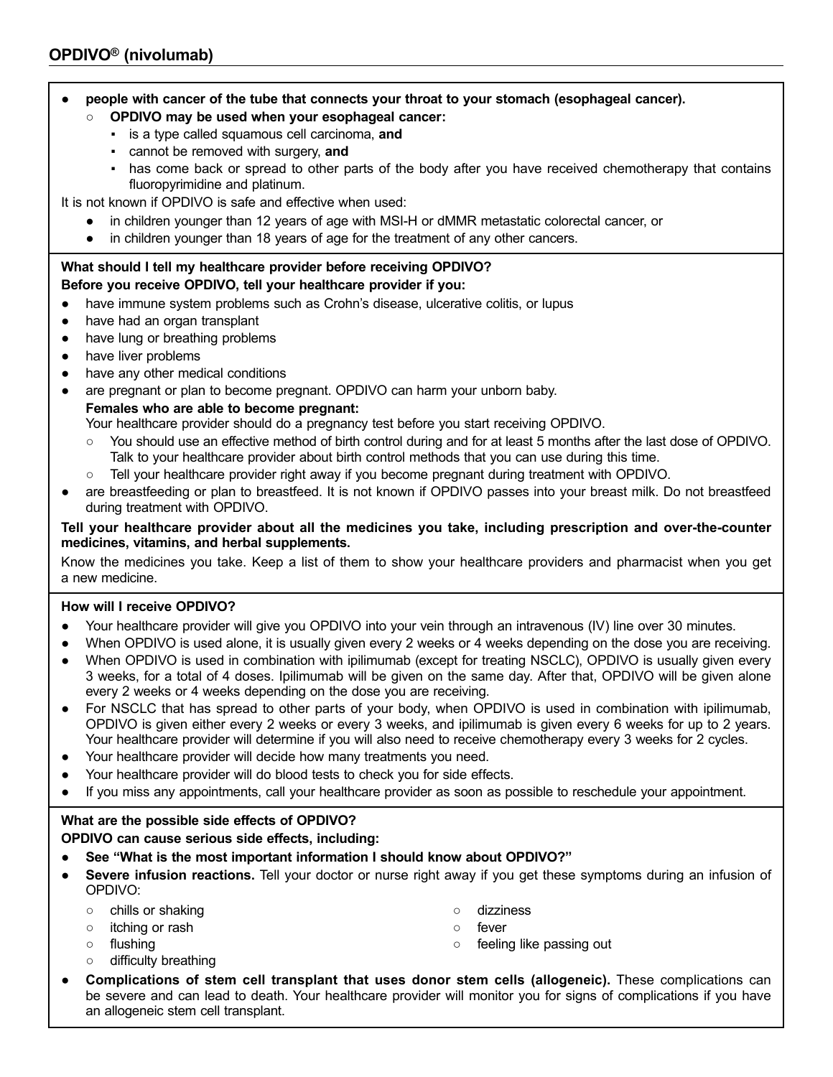### ● **people with cancer of the tube that connects your throat to your stomach (esophageal cancer).**

- **OPDIVO may be used when your esophageal cancer :**
	- is a type called squamous cell carcinoma, **and**
	- cannot be removed with surgery, **and**
	- has come back or spread to other parts of the body after you have received chemotherapy that contains fluoropyrimidine and platinum.

It is not known if OPDIVO is safe and effective when used:

- in children younger than 12 years of age with MSI-H or dMMR metastatic colorectal cancer, or
- in children younger than 18 years of age for the treatment of any other cancers.

### **What should I tell my healthcare provider before receiving OPDIVO? Before you receive OPDIVO, tell your healthcare provider if you:**

- have immune system problems such as Crohn's disease, ulcerative colitis, or lupus
- have had an organ transplant
- have lung or breathing problems
- have liver problems
- have any other medical conditions
- are pregnant or plan to become pregnant. OPDIVO can harm your unborn baby. **Females who are able to become pregnant:**

Your healthcare provider should do a pregnancy test before you start receiving OPDIVO.

- You should use an effective method of birth control during and for at least 5 months after the last dose of OPDIVO. Talk to your healthcare provider about birth control methods that you can use during this time.
- Tell your healthcare provider right away if you become pregnant during treatment with OPDIVO.
- are breastfeeding or plan to breastfeed. It is not known if OPDIVO passes into your breast milk. Do not breastfeed during treatment with OPDIVO.

### **Tell your healthcare provider about all the medicines you take, including prescription and over-the-counter medicines, vitamins, and herbal supplements.**

Know the medicines you take. Keep a list of them to show your healthcare providers and pharmacist when you get a new medicine.

### **How will I receive OPDIVO?**

- Your healthcare provider will give you OPDIVO into your vein through an intravenous (IV) line over 30 minutes.
- When OPDIVO is used alone, it is usually given every 2 weeks or 4 weeks depending on the dose you are receiving.
- When OPDIVO is used in combination with ipilimumab (except for treating NSCLC), OPDIVO is usually given every 3 weeks, for a total of 4 doses. Ipilimumab will be given on the same day. After that, OPDIVO will be given alone every 2 weeks or 4 weeks depending on the dose you are receiving.
- For NSCLC that has spread to other parts of your body, when OPDIVO is used in combination with ipilimumab, OPDIVO is given either every 2 weeks or every 3 weeks, and ipilimumab is given every 6 weeks for up to 2 years. Your healthcare provider will determine if you will also need to receive chemotherapy every 3 weeks for 2 cycles.
- Your healthcare provider will decide how many treatments you need.
- Your healthcare provider will do blood tests to check you for side effects.
- If you miss any appointments, call your healthcare provider as soon as possible to reschedule your appointment.

### **What are the possible side effects of OPDIVO?**

**OPDIVO can cause serious side effects, including:**

- **See "What is the most important information I should know about OPDIVO?"**
- **Severe infusion reactions.** Tell your doctor or nurse right away if you get these symptoms during an infusion of OPDIVO:
	- chills or shaking  **dizziness**
	- itching or rash **○** fever
	-
	- difficulty breathing
- 
- 
- flushing strategies are the control of the feeling like passing out
- **Complications of stem cell transplant that uses donor stem cells (allogeneic).** These complications can be severe and can lead to death. Your healthcare provider will monitor you for signs of complications if you have an allogeneic stem cell transplant.